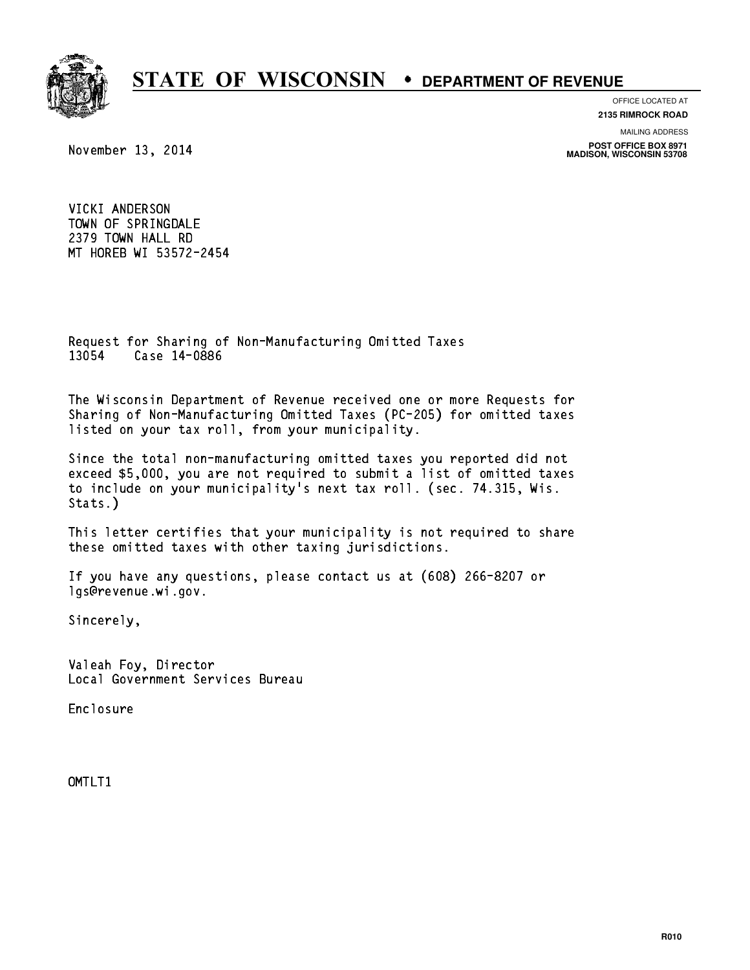

OFFICE LOCATED AT

**2135 RIMROCK ROAD**

MAILING ADDRESS

November 13, 2014

**POST OFFICE BOX 8971 MADISON, WISCONSIN 53708**

VICKI ANDERSON TOWN OF SPRINGDALE 2379 TOWN HALL RD MT HOREB WI 53572-2454

Request for Sharing of Non-Manufacturing Omitted Taxes Request for Sharing of N<br>13054 Case 14-0886

The Wisconsin Department of Revenue received one or more Requests for Sharing of Non-Manufacturing Omitted Taxes (PC-205) for omitted taxes listed on your tax roll, from your municipality.

Since the total non-manufacturing omitted taxes you reported did not exceed \$5,000, you are not required to submit a list of omitted taxes to include on your municipality's next tax roll. (sec. 74.315, Wis. Stats.)

This letter certifies that your municipality is not required to share these omitted taxes with other taxing jurisdictions.

If you have any questions, please contact us at (608) 266-8207 or lgs@revenue.wi.gov.

Sincerely,

Valeah Foy, Director Local Government Services Bureau

Enclosure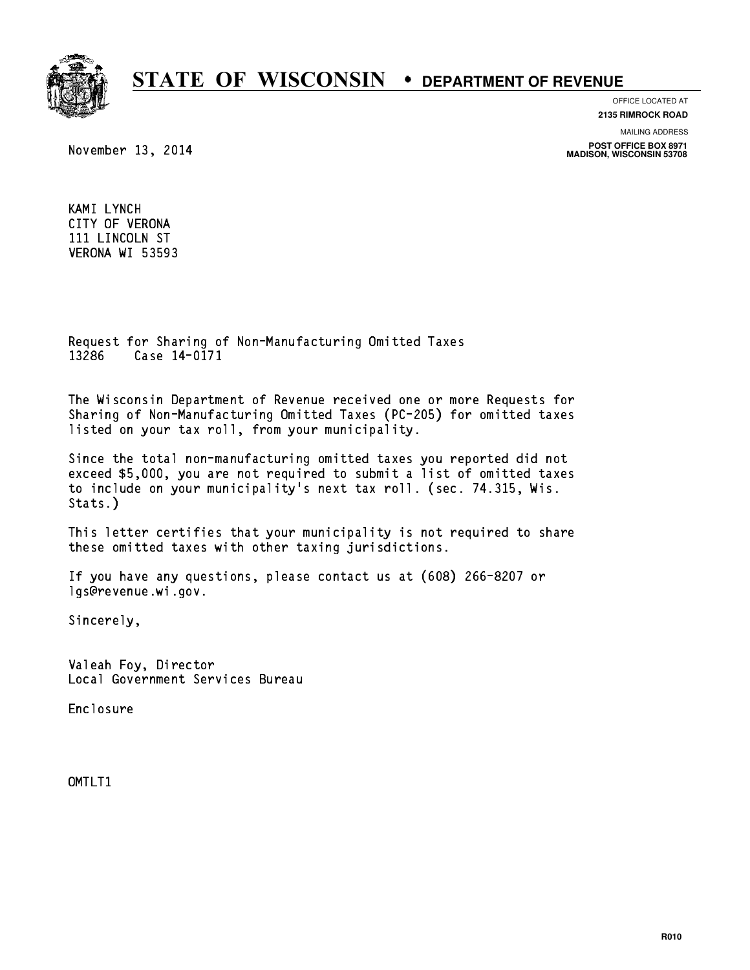

OFFICE LOCATED AT

**2135 RIMROCK ROAD**

November 13, 2014

MAILING ADDRESS

**POST OFFICE BOX 8971 MADISON, WISCONSIN 53708**

KAMI LYNCH CITY OF VERONA 111 LINCOLN ST VERONA WI 53593

Request for Sharing of Non-Manufacturing Omitted Taxes Request for Sharing of N<br>13286 Case 14-0171

The Wisconsin Department of Revenue received one or more Requests for Sharing of Non-Manufacturing Omitted Taxes (PC-205) for omitted taxes listed on your tax roll, from your municipality.

Since the total non-manufacturing omitted taxes you reported did not exceed \$5,000, you are not required to submit a list of omitted taxes to include on your municipality's next tax roll. (sec. 74.315, Wis. Stats.)

This letter certifies that your municipality is not required to share these omitted taxes with other taxing jurisdictions.

If you have any questions, please contact us at (608) 266-8207 or lgs@revenue.wi.gov.

Sincerely,

Valeah Foy, Director Local Government Services Bureau

Enclosure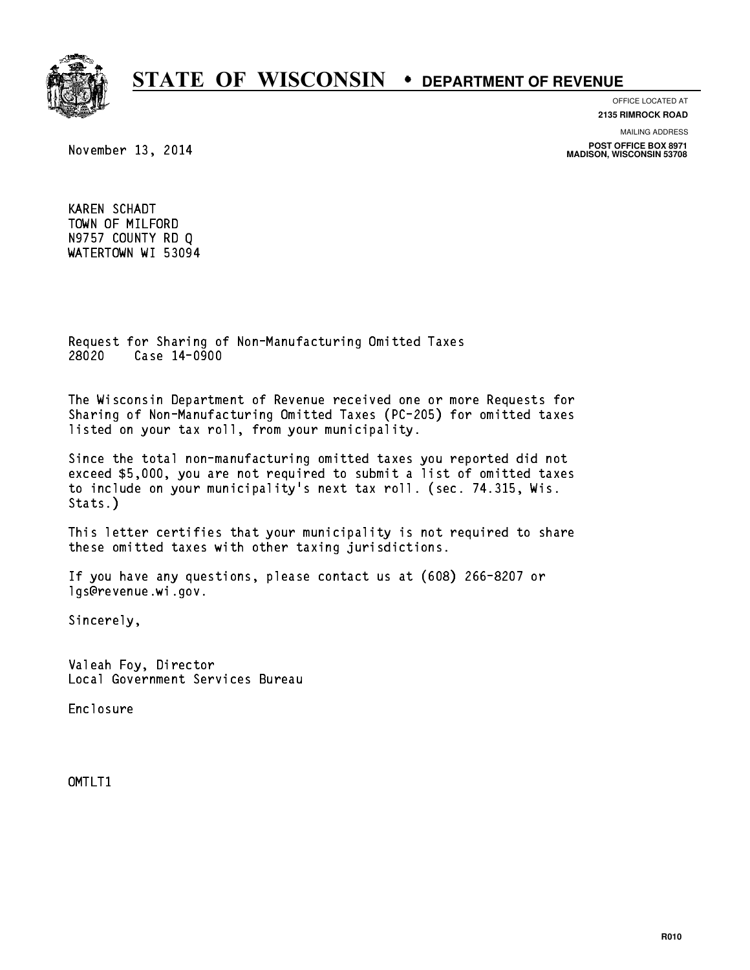

OFFICE LOCATED AT

**2135 RIMROCK ROAD**

November 13, 2014

MAILING ADDRESS

**POST OFFICE BOX 8971 MADISON, WISCONSIN 53708**

KAREN SCHADT TOWN OF MILFORD N9757 COUNTY RD Q WATERTOWN WI 53094

Request for Sharing of Non-Manufacturing Omitted Taxes Request for Sharing of N<br>28020 Case 14-0900

The Wisconsin Department of Revenue received one or more Requests for Sharing of Non-Manufacturing Omitted Taxes (PC-205) for omitted taxes listed on your tax roll, from your municipality.

Since the total non-manufacturing omitted taxes you reported did not exceed \$5,000, you are not required to submit a list of omitted taxes to include on your municipality's next tax roll. (sec. 74.315, Wis. Stats.)

This letter certifies that your municipality is not required to share these omitted taxes with other taxing jurisdictions.

If you have any questions, please contact us at (608) 266-8207 or lgs@revenue.wi.gov.

Sincerely,

Valeah Foy, Director Local Government Services Bureau

Enclosure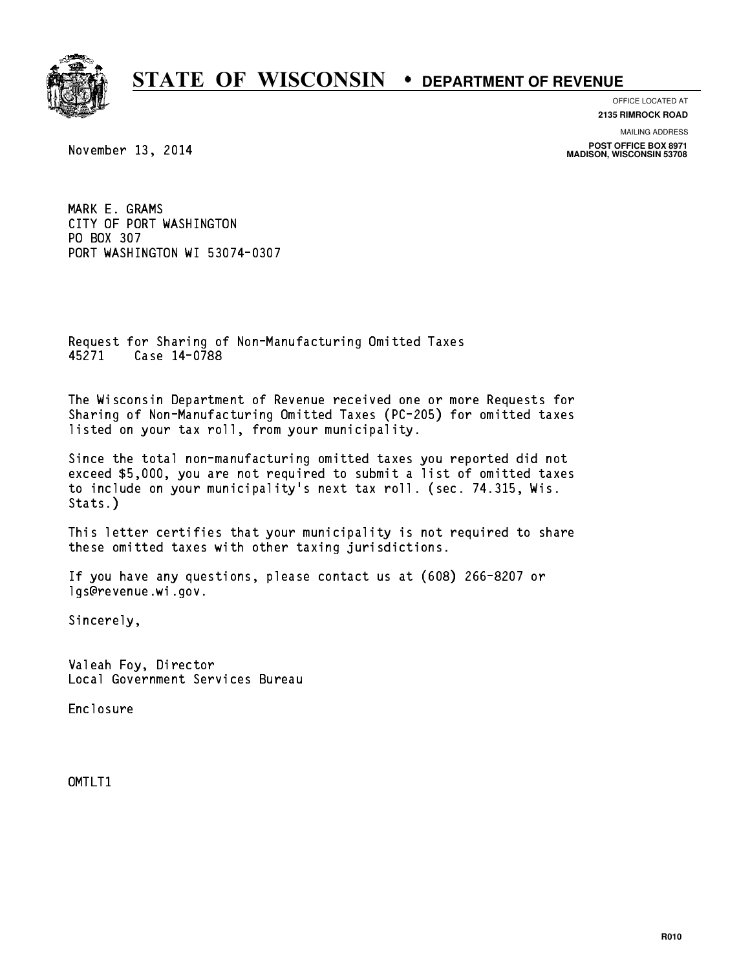

OFFICE LOCATED AT **2135 RIMROCK ROAD**

November 13, 2014

MAILING ADDRESS **POST OFFICE BOX 8971 MADISON, WISCONSIN 53708**

MARK E. GRAMS MARK E. GRAMS<br>CITY OF PORT WASHINGTON CITY OF PORT<br>PO BOX 307<br>POPT ULOUIUST PO BOX 307<br>PORT WASHINGTON WI 53074-0307

Request for Sharing of Non-Manufacturing Omitted Taxes Request for Sharing of N<br>45271 Case 14-0788

The Wisconsin Department of Revenue received one or more Requests for Sharing of Non-Manufacturing Omitted Taxes (PC-205) for omitted taxes listed on your tax roll, from your municipality.

Since the total non-manufacturing omitted taxes you reported did not exceed \$5,000, you are not required to submit a list of omitted taxes to include on your municipality's next tax roll. (sec. 74.315, Wis. Stats.)

This letter certifies that your municipality is not required to share these omitted taxes with other taxing jurisdictions.

If you have any questions, please contact us at (608) 266-8207 or lgs@revenue.wi.gov.

Sincerely,

Valeah Foy, Director Local Government Services Bureau

Enclosure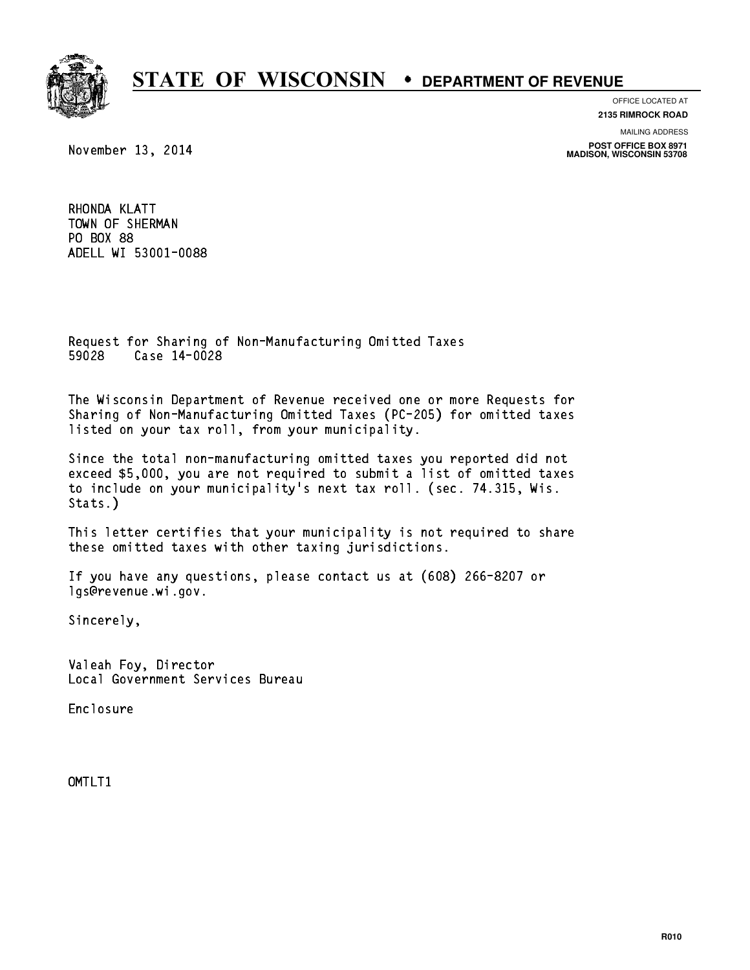

OFFICE LOCATED AT **2135 RIMROCK ROAD**

November 13, 2014

MAILING ADDRESS

**POST OFFICE BOX 8971 MADISON, WISCONSIN 53708**

RHONDA KLATT RHONDA KLATT<br>TOWN OF SHERMAN PO BOX 88 PO BOX 88<br>ADELL WI 53001-0088

Request for Sharing of Non-Manufacturing Omitted Taxes Request for Sharing of N<br>59028 Case 14-0028

The Wisconsin Department of Revenue received one or more Requests for Sharing of Non-Manufacturing Omitted Taxes (PC-205) for omitted taxes listed on your tax roll, from your municipality.

Since the total non-manufacturing omitted taxes you reported did not exceed \$5,000, you are not required to submit a list of omitted taxes to include on your municipality's next tax roll. (sec. 74.315, Wis. Stats.)

This letter certifies that your municipality is not required to share these omitted taxes with other taxing jurisdictions.

If you have any questions, please contact us at (608) 266-8207 or lgs@revenue.wi.gov.

Sincerely,

Valeah Foy, Director Local Government Services Bureau

Enclosure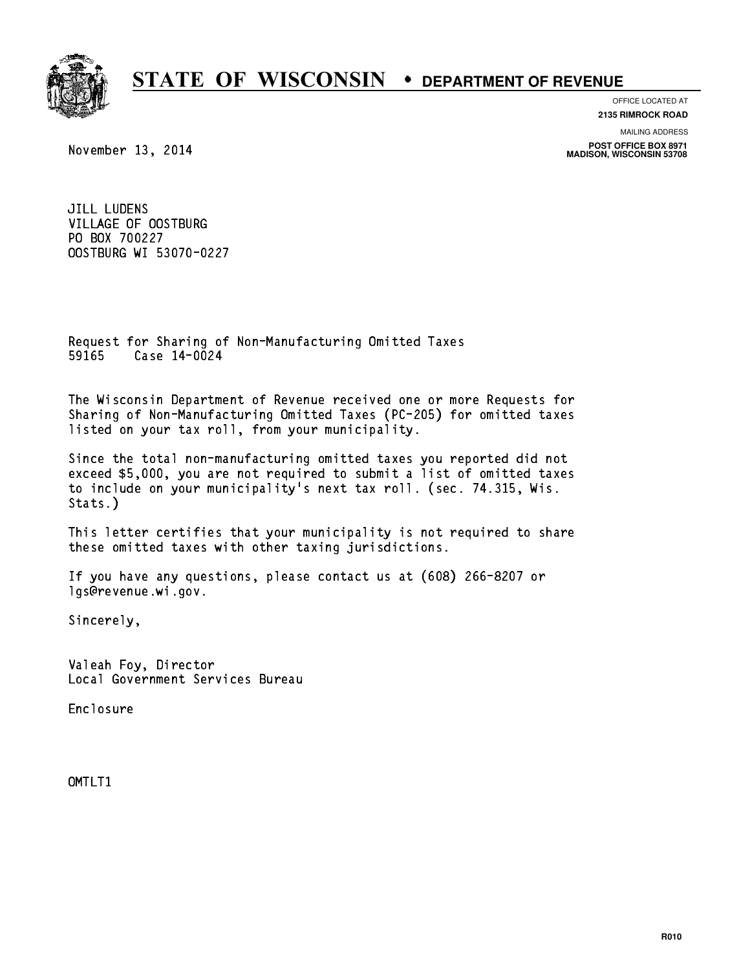

OFFICE LOCATED AT **2135 RIMROCK ROAD**

MAILING ADDRESS

November 13, 2014

**POST OFFICE BOX 8971 MADISON, WISCONSIN 53708**

JILL LUDENS VILLAGE OF OOSTBURG PO BOX 700227 OOSTBURG WI 53070-0227

Request for Sharing of Non-Manufacturing Omitted Taxes Request for Sharing of N<br>59165 Case 14-0024

The Wisconsin Department of Revenue received one or more Requests for Sharing of Non-Manufacturing Omitted Taxes (PC-205) for omitted taxes listed on your tax roll, from your municipality.

Since the total non-manufacturing omitted taxes you reported did not exceed \$5,000, you are not required to submit a list of omitted taxes to include on your municipality's next tax roll. (sec. 74.315, Wis. Stats.)

This letter certifies that your municipality is not required to share these omitted taxes with other taxing jurisdictions.

If you have any questions, please contact us at (608) 266-8207 or lgs@revenue.wi.gov.

Sincerely,

Valeah Foy, Director Local Government Services Bureau

Enclosure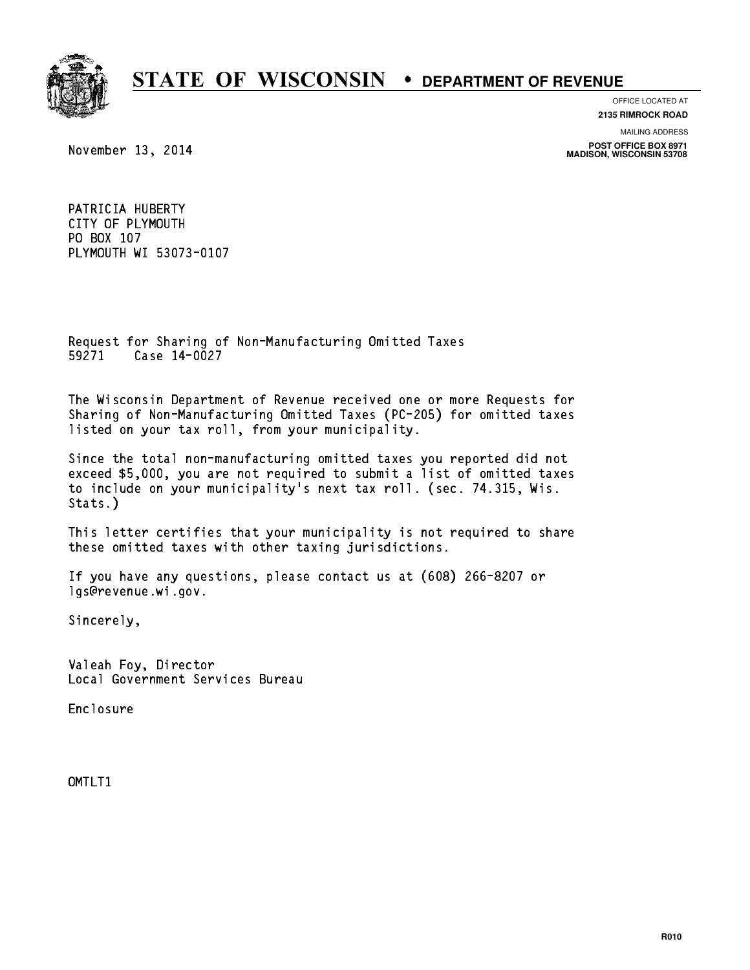

OFFICE LOCATED AT **2135 RIMROCK ROAD**

November 13, 2014

MAILING ADDRESS **POST OFFICE BOX 8971 MADISON, WISCONSIN 53708**

PATRICIA HUBERTY PATRICIA HUBERTY<br>CITY OF PLYMOUTH CITY OF PLYMO<br>PO BOX 107<br>PLYMOUTH UI F PLYMOUTH WI 53073-0107

Request for Sharing of Non-Manufacturing Omitted Taxes Request for Sharing of N<br>59271 Case 14-0027

The Wisconsin Department of Revenue received one or more Requests for Sharing of Non-Manufacturing Omitted Taxes (PC-205) for omitted taxes listed on your tax roll, from your municipality.

Since the total non-manufacturing omitted taxes you reported did not exceed \$5,000, you are not required to submit a list of omitted taxes to include on your municipality's next tax roll. (sec. 74.315, Wis. Stats.)

This letter certifies that your municipality is not required to share these omitted taxes with other taxing jurisdictions.

If you have any questions, please contact us at (608) 266-8207 or lgs@revenue.wi.gov.

Sincerely,

Valeah Foy, Director Local Government Services Bureau

Enclosure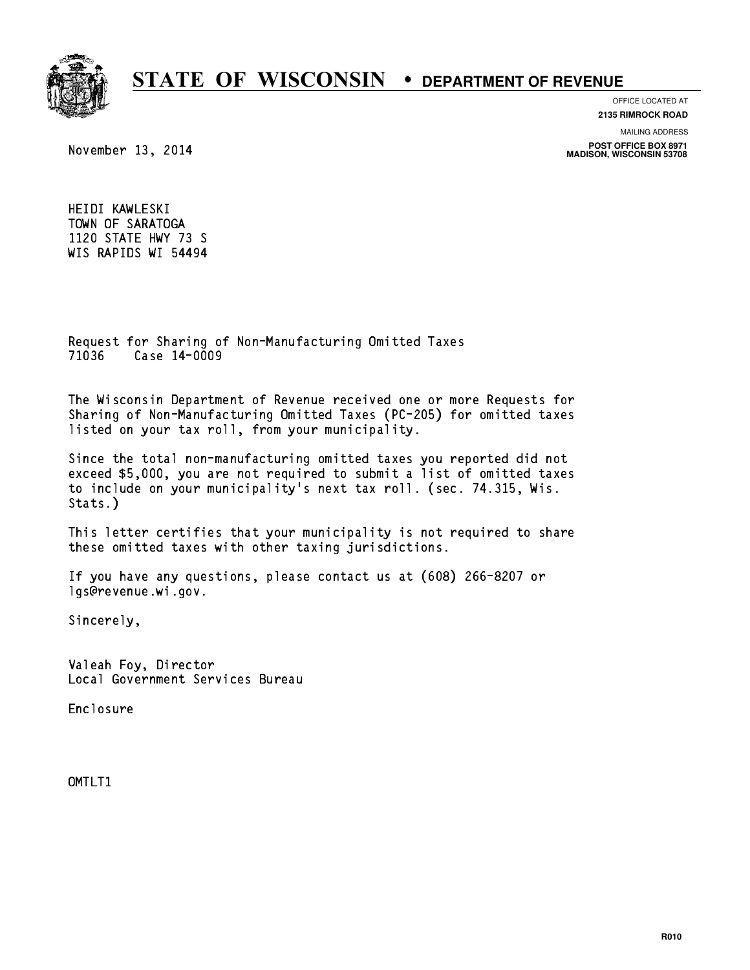

OFFICE LOCATED AT

**2135 RIMROCK ROAD**

November 13, 2014

MAILING ADDRESS

**POST OFFICE BOX 8971 MADISON, WISCONSIN 53708**

HEIDI KAWLESKI TOWN OF SARATOGA 1120 STATE HWY 73 S WIS RAPIDS WI 54494

Request for Sharing of Non-Manufacturing Omitted Taxes Request for Sharing of N<br>71036 Case 14-0009

The Wisconsin Department of Revenue received one or more Requests for Sharing of Non-Manufacturing Omitted Taxes (PC-205) for omitted taxes listed on your tax roll, from your municipality.

Since the total non-manufacturing omitted taxes you reported did not exceed \$5,000, you are not required to submit a list of omitted taxes to include on your municipality's next tax roll. (sec. 74.315, Wis. Stats.)

This letter certifies that your municipality is not required to share these omitted taxes with other taxing jurisdictions.

If you have any questions, please contact us at (608) 266-8207 or lgs@revenue.wi.gov.

Sincerely,

Valeah Foy, Director Local Government Services Bureau

Enclosure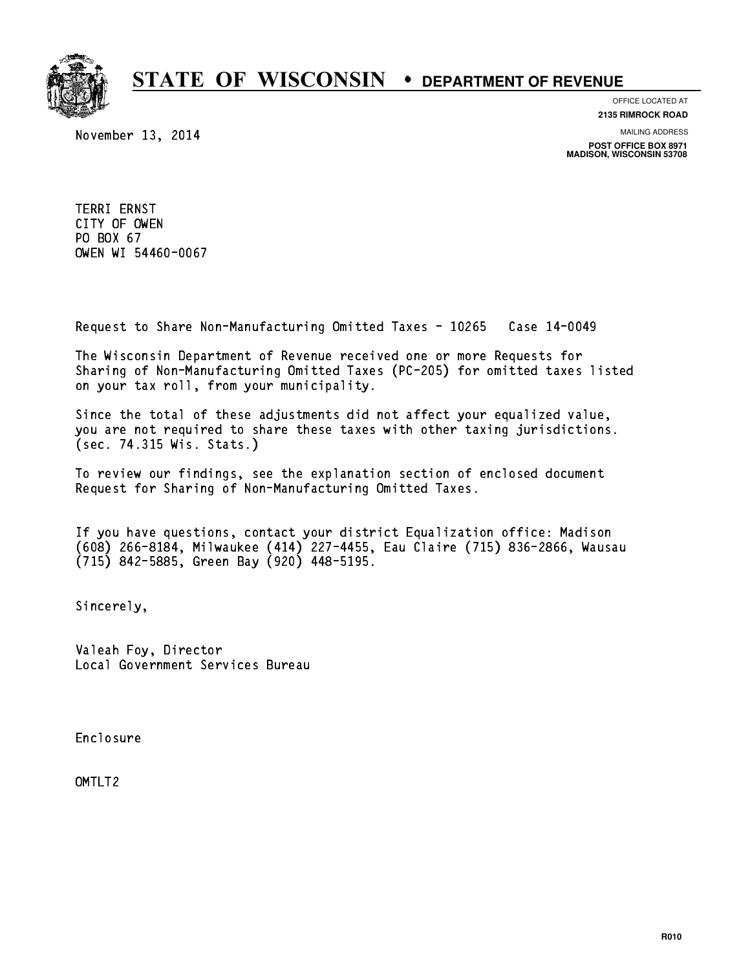

November 13, 2014

OFFICE LOCATED AT **2135 RIMROCK ROAD**

MAILING ADDRESS

**POST OFFICE BOX 8971 MADISON, WISCONSIN 53708**

TERRI ERNST TERRI ERNST<br>CITY OF OWEN<br>PRIMICI CITY OF OWEN<br>PO BOX 67<br>CUEN UI 5446 PO BOX 67<br>OWEN WI 54460-0067

Request to Share Non-Manufacturing Omitted Taxes - 10265 Case 14-0049

The Wisconsin Department of Revenue received one or more Requests for Sharing of Non-Manufacturing Omitted Taxes (PC-205) for omitted taxes listed on your tax roll, from your municipality.

Since the total of these adjustments did not affect your equalized value, you are not required to share these taxes with other taxing jurisdictions. (sec. 74.315 Wis. Stats.)

To review our findings, see the explanation section of enclosed document Request for Sharing of Non-Manufacturing Omitted Taxes.

If you have questions, contact your district Equalization office: Madison (608) 266-8184, Milwaukee (414) 227-4455, Eau Claire (715) 836-2866, Wausau (715) 842-5885, Green Bay (920) 448-5195.

Sincerely,

Valeah Foy, Director Local Government Services Bureau

Enclosure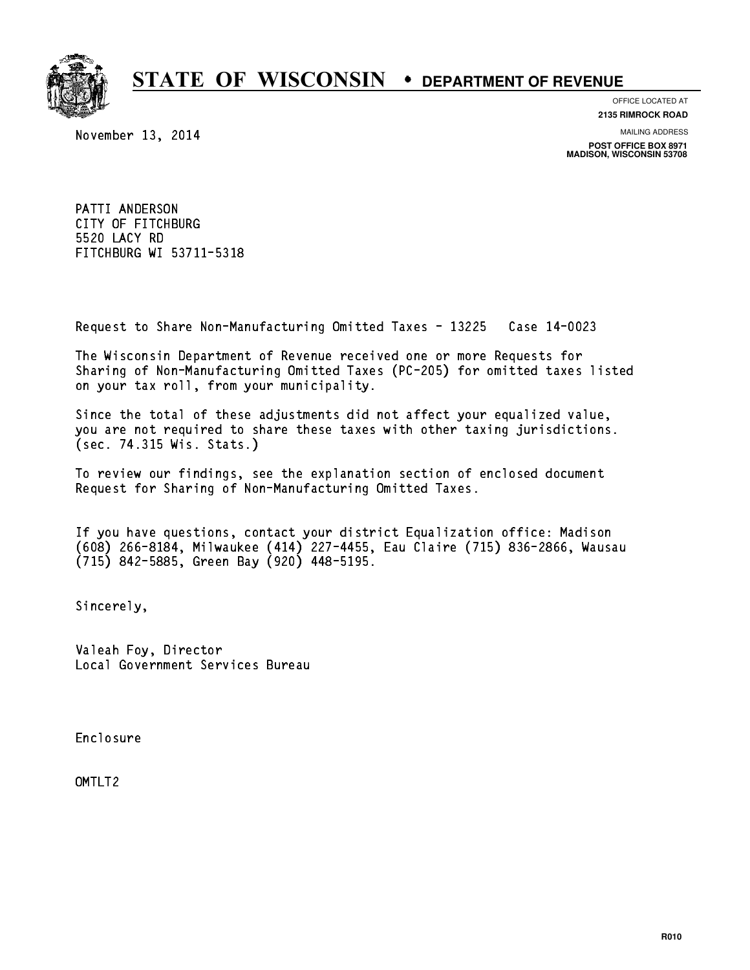

November 13, 2014

OFFICE LOCATED AT **2135 RIMROCK ROAD**

MAILING ADDRESS

**POST OFFICE BOX 8971 MADISON, WISCONSIN 53708**

PATTI ANDERSON CITY OF FITCHBURG 5520 LACY RD FITCHBURG WI 53711-5318

Request to Share Non-Manufacturing Omitted Taxes - 13225 Case 14-0023

The Wisconsin Department of Revenue received one or more Requests for Sharing of Non-Manufacturing Omitted Taxes (PC-205) for omitted taxes listed on your tax roll, from your municipality.

Since the total of these adjustments did not affect your equalized value, you are not required to share these taxes with other taxing jurisdictions. (sec. 74.315 Wis. Stats.)

To review our findings, see the explanation section of enclosed document Request for Sharing of Non-Manufacturing Omitted Taxes.

If you have questions, contact your district Equalization office: Madison (608) 266-8184, Milwaukee (414) 227-4455, Eau Claire (715) 836-2866, Wausau (715) 842-5885, Green Bay (920) 448-5195.

Sincerely,

Valeah Foy, Director Local Government Services Bureau

Enclosure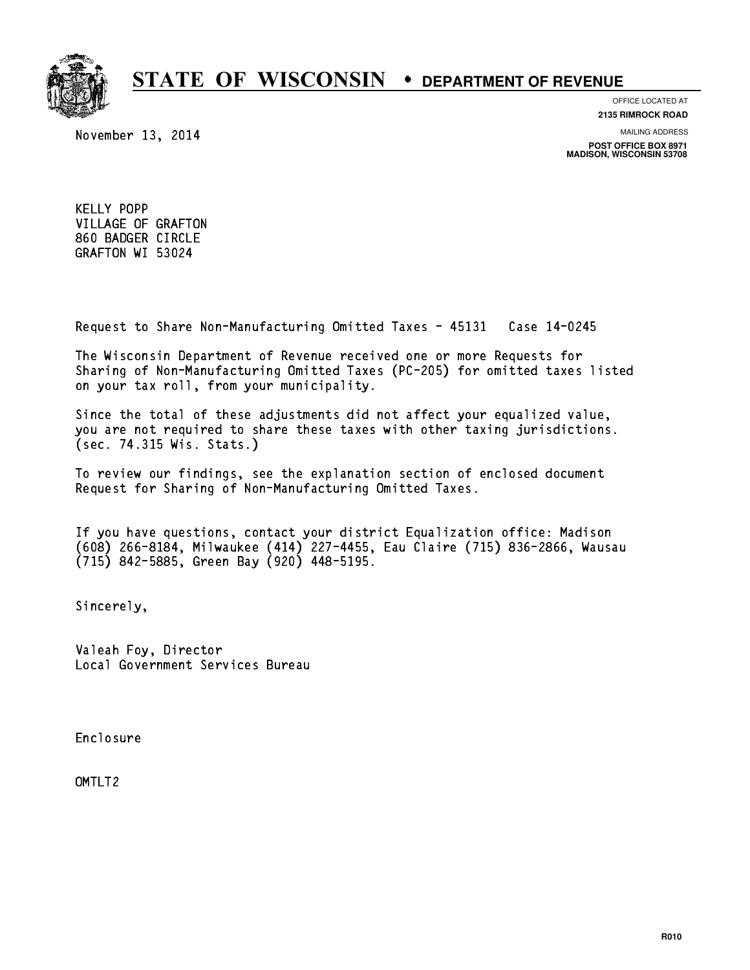

November 13, 2014

OFFICE LOCATED AT **2135 RIMROCK ROAD**

MAILING ADDRESS

**POST OFFICE BOX 8971 MADISON, WISCONSIN 53708**

KELLY POPP VILLAGE OF GRAFTON 860 BADGER CIRCLE GRAFTON WI 53024

Request to Share Non-Manufacturing Omitted Taxes - 45131 Case 14-0245

The Wisconsin Department of Revenue received one or more Requests for Sharing of Non-Manufacturing Omitted Taxes (PC-205) for omitted taxes listed on your tax roll, from your municipality.

Since the total of these adjustments did not affect your equalized value, you are not required to share these taxes with other taxing jurisdictions. (sec. 74.315 Wis. Stats.)

To review our findings, see the explanation section of enclosed document Request for Sharing of Non-Manufacturing Omitted Taxes.

If you have questions, contact your district Equalization office: Madison (608) 266-8184, Milwaukee (414) 227-4455, Eau Claire (715) 836-2866, Wausau (715) 842-5885, Green Bay (920) 448-5195.

Sincerely,

Valeah Foy, Director Local Government Services Bureau

Enclosure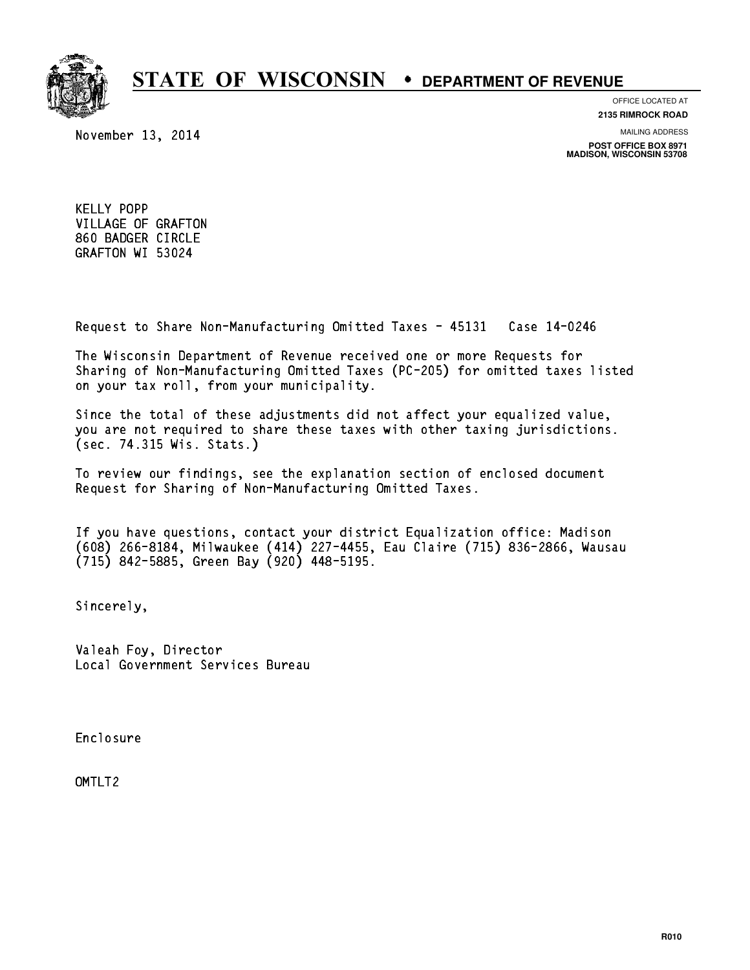

November 13, 2014

OFFICE LOCATED AT **2135 RIMROCK ROAD**

MAILING ADDRESS

**POST OFFICE BOX 8971 MADISON, WISCONSIN 53708**

KELLY POPP VILLAGE OF GRAFTON 860 BADGER CIRCLE GRAFTON WI 53024

Request to Share Non-Manufacturing Omitted Taxes - 45131 Case 14-0246

The Wisconsin Department of Revenue received one or more Requests for Sharing of Non-Manufacturing Omitted Taxes (PC-205) for omitted taxes listed on your tax roll, from your municipality.

Since the total of these adjustments did not affect your equalized value, you are not required to share these taxes with other taxing jurisdictions. (sec. 74.315 Wis. Stats.)

To review our findings, see the explanation section of enclosed document Request for Sharing of Non-Manufacturing Omitted Taxes.

If you have questions, contact your district Equalization office: Madison (608) 266-8184, Milwaukee (414) 227-4455, Eau Claire (715) 836-2866, Wausau (715) 842-5885, Green Bay (920) 448-5195.

Sincerely,

Valeah Foy, Director Local Government Services Bureau

Enclosure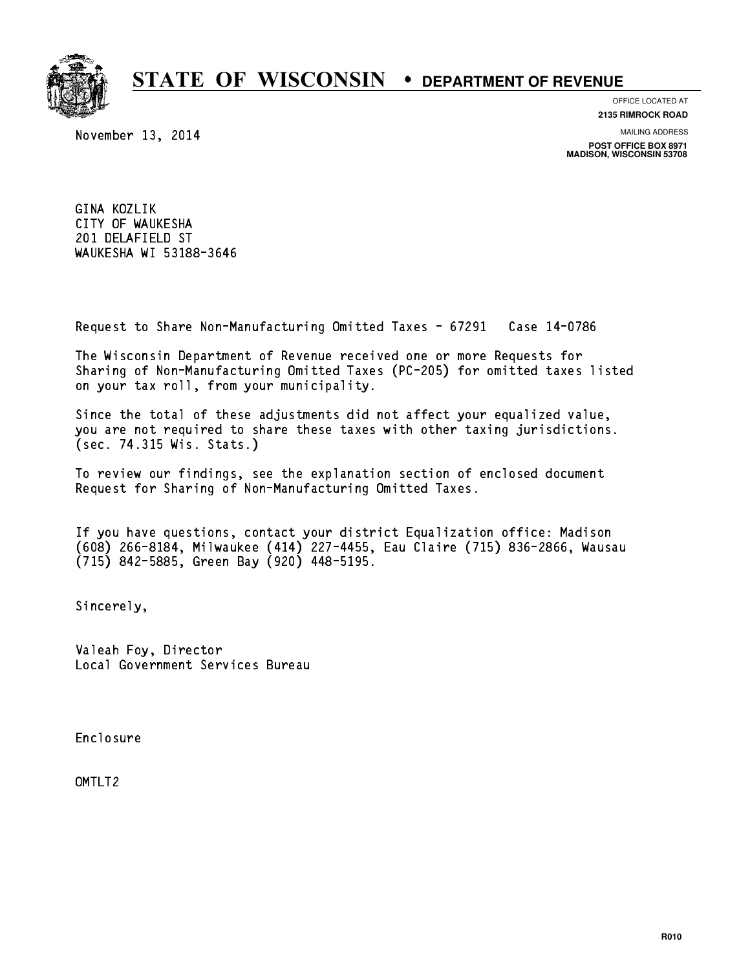

OFFICE LOCATED AT

November 13, 2014

**2135 RIMROCK ROAD**

MAILING ADDRESS

**POST OFFICE BOX 8971 MADISON, WISCONSIN 53708**

GINA KOZLIK CITY OF WAUKESHA 201 DELAFIELD ST WAUKESHA WI 53188-3646

Request to Share Non-Manufacturing Omitted Taxes - 67291 Case 14-0786

The Wisconsin Department of Revenue received one or more Requests for Sharing of Non-Manufacturing Omitted Taxes (PC-205) for omitted taxes listed on your tax roll, from your municipality.

Since the total of these adjustments did not affect your equalized value, you are not required to share these taxes with other taxing jurisdictions. (sec. 74.315 Wis. Stats.)

To review our findings, see the explanation section of enclosed document Request for Sharing of Non-Manufacturing Omitted Taxes.

If you have questions, contact your district Equalization office: Madison (608) 266-8184, Milwaukee (414) 227-4455, Eau Claire (715) 836-2866, Wausau (715) 842-5885, Green Bay (920) 448-5195.

Sincerely,

Valeah Foy, Director Local Government Services Bureau

Enclosure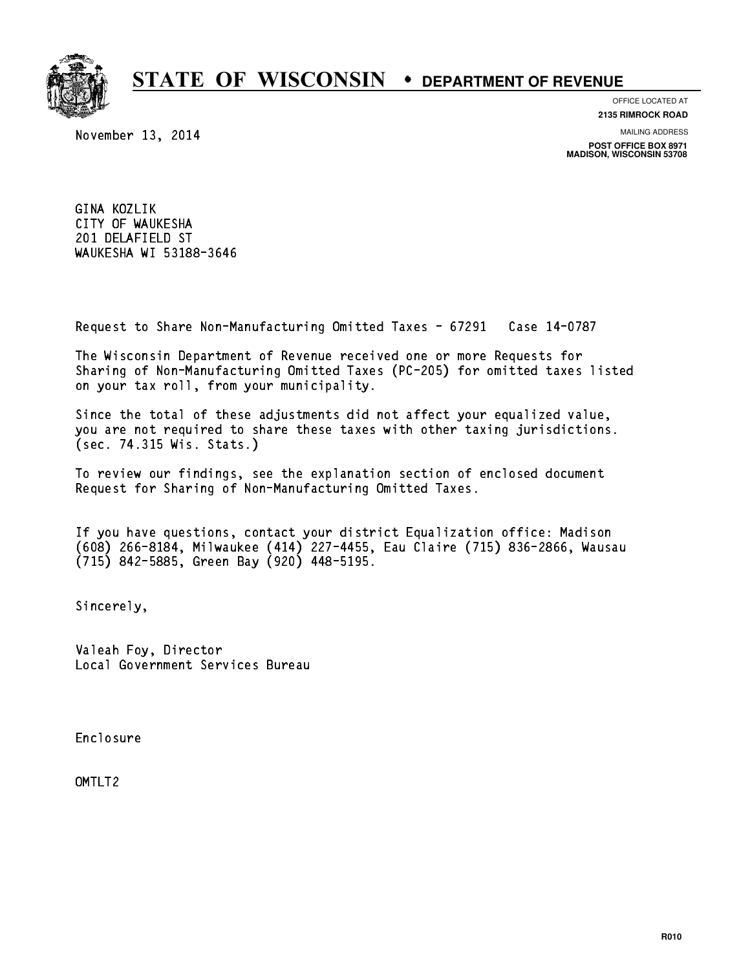

OFFICE LOCATED AT

November 13, 2014

**2135 RIMROCK ROAD**

MAILING ADDRESS

**POST OFFICE BOX 8971 MADISON, WISCONSIN 53708**

GINA KOZLIK CITY OF WAUKESHA 201 DELAFIELD ST WAUKESHA WI 53188-3646

Request to Share Non-Manufacturing Omitted Taxes - 67291 Case 14-0787

The Wisconsin Department of Revenue received one or more Requests for Sharing of Non-Manufacturing Omitted Taxes (PC-205) for omitted taxes listed on your tax roll, from your municipality.

Since the total of these adjustments did not affect your equalized value, you are not required to share these taxes with other taxing jurisdictions. (sec. 74.315 Wis. Stats.)

To review our findings, see the explanation section of enclosed document Request for Sharing of Non-Manufacturing Omitted Taxes.

If you have questions, contact your district Equalization office: Madison (608) 266-8184, Milwaukee (414) 227-4455, Eau Claire (715) 836-2866, Wausau (715) 842-5885, Green Bay (920) 448-5195.

Sincerely,

Valeah Foy, Director Local Government Services Bureau

Enclosure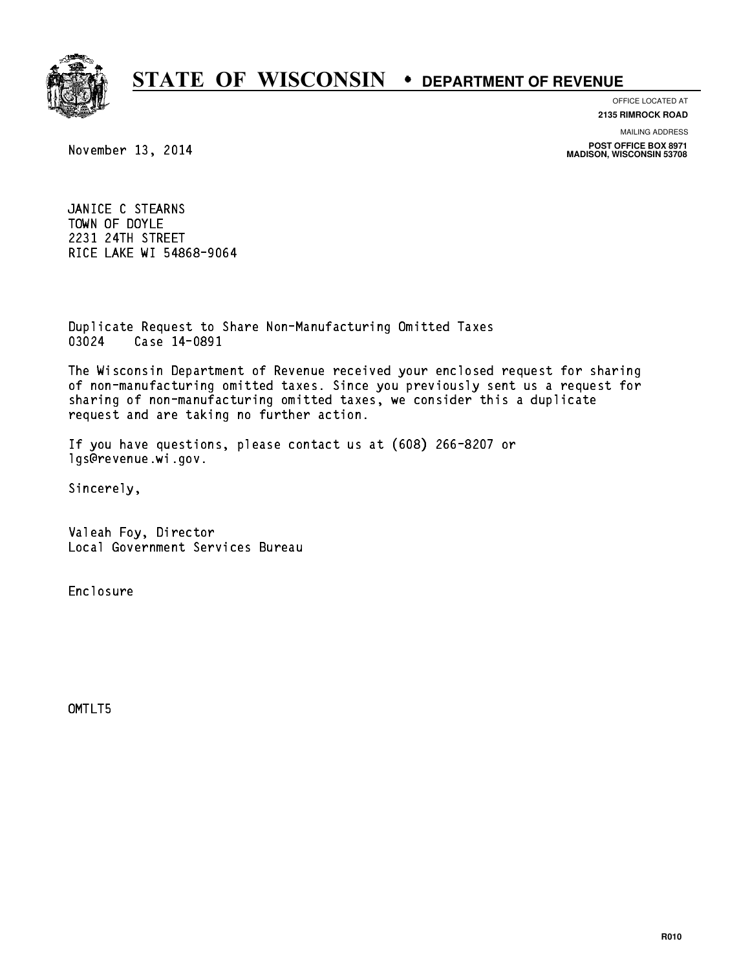

OFFICE LOCATED AT

**2135 RIMROCK ROAD**

MAILING ADDRESS

**POST OFFICE BOX 8971 MADISON, WISCONSIN 53708**

November 13, 2014

JANICE C STEARNS JANICE C STEARNS<br>TOWN OF DOYLE<br>2001 01TU 0TRETT TOWN OF DOYLE<br>2231 24TH STREET RICE LAKE WI 54868-9064

Duplicate Request to Share Non-Manufacturing Omitted Taxes Duplicate Request to Sha<br>03024 Case 14-0891

The Wisconsin Department of Revenue received your enclosed request for sharing of non-manufacturing omitted taxes. Since you previously sent us a request for sharing of non-manufacturing omitted taxes, we consider this a duplicate request and are taking no further action.

If you have questions, please contact us at (608) 266-8207 or lgs@revenue.wi.gov.

Sincerely,

Valeah Foy, Director Local Government Services Bureau

Enclosure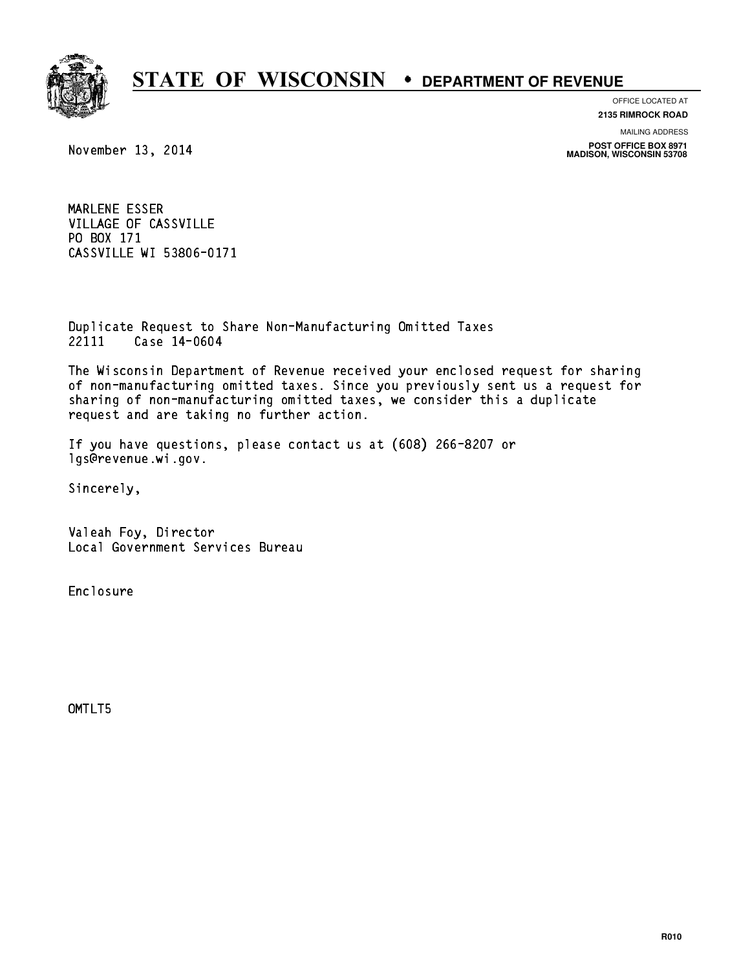

OFFICE LOCATED AT

**2135 RIMROCK ROAD**

MAILING ADDRESS

**POST OFFICE BOX 8971 MADISON, WISCONSIN 53708**

November 13, 2014

MARLENE ESSER MARLENE ESSER<br>VILLAGE OF CASSVILLE VILLAGE OF CA<br>PO BOX 171<br>ALOQUILLE PO BOX 171<br>CASSVILLE WI 53806-0171

Duplicate Request to Share Non-Manufacturing Omitted Taxes Duplicate Request to Sha<br>22111 Case 14-0604

The Wisconsin Department of Revenue received your enclosed request for sharing of non-manufacturing omitted taxes. Since you previously sent us a request for sharing of non-manufacturing omitted taxes, we consider this a duplicate request and are taking no further action.

If you have questions, please contact us at (608) 266-8207 or lgs@revenue.wi.gov.

Sincerely,

Valeah Foy, Director Local Government Services Bureau

Enclosure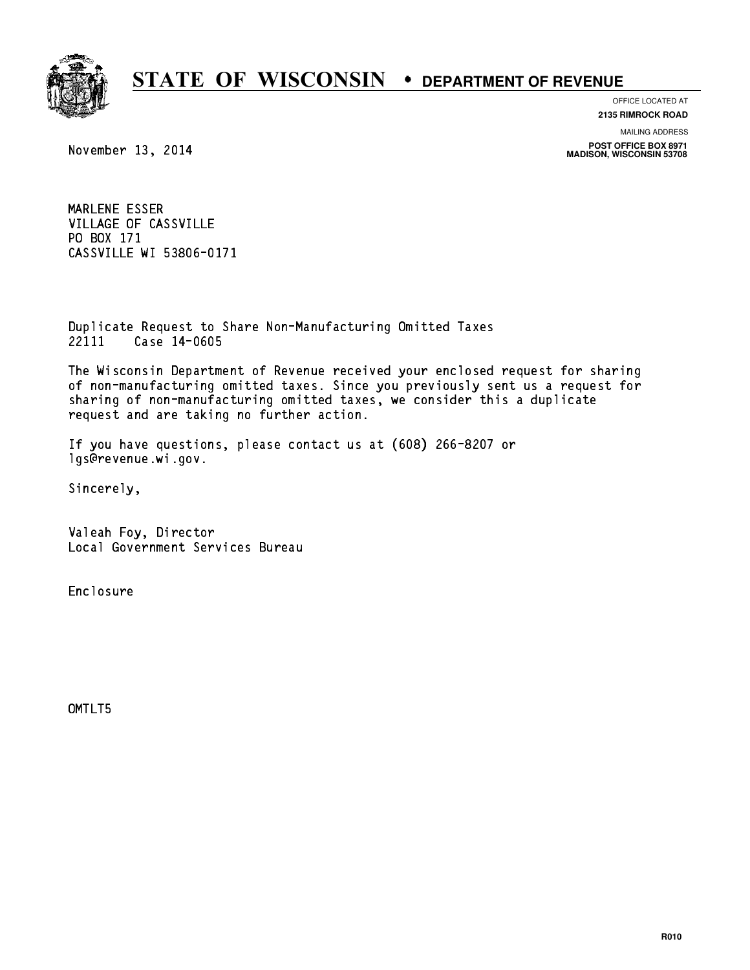

OFFICE LOCATED AT

**2135 RIMROCK ROAD**

MAILING ADDRESS

**POST OFFICE BOX 8971 MADISON, WISCONSIN 53708**

November 13, 2014

MARLENE ESSER MARLENE ESSER<br>VILLAGE OF CASSVILLE VILLAGE OF CA<br>PO BOX 171<br>ALOQUILLE PO BOX 171<br>CASSVILLE WI 53806-0171

Duplicate Request to Share Non-Manufacturing Omitted Taxes Duplicate Request to Sha<br>22111 Case 14-0605

The Wisconsin Department of Revenue received your enclosed request for sharing of non-manufacturing omitted taxes. Since you previously sent us a request for sharing of non-manufacturing omitted taxes, we consider this a duplicate request and are taking no further action.

If you have questions, please contact us at (608) 266-8207 or lgs@revenue.wi.gov.

Sincerely,

Valeah Foy, Director Local Government Services Bureau

Enclosure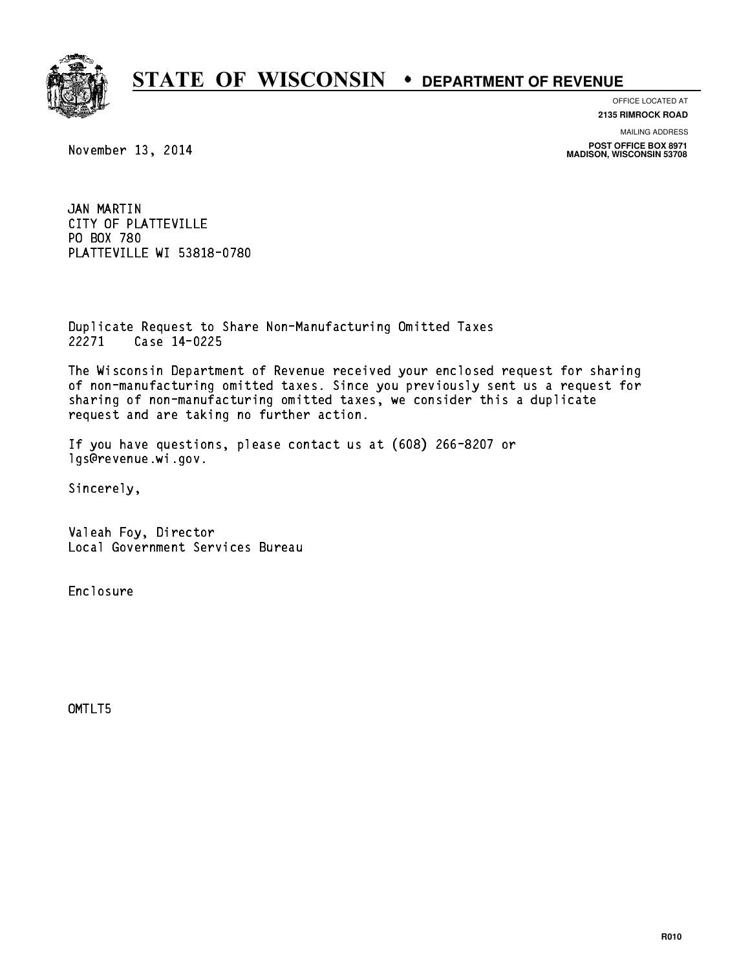

OFFICE LOCATED AT

**2135 RIMROCK ROAD**

MAILING ADDRESS

**POST OFFICE BOX 8971 MADISON, WISCONSIN 53708**

November 13, 2014

JAN MARTIN JAN MARTIN<br>CITY OF PLATTEVILLE<br>CITY OF PLATTEVILLE CITY OF PLATT<br>PO BOX 780<br>PLITTEVILLE U PO BOX 780<br>PLATTEVILLE WI 53818-0780

Duplicate Request to Share Non-Manufacturing Omitted Taxes Duplicate Request to Sha<br>22271 Case 14-0225

The Wisconsin Department of Revenue received your enclosed request for sharing of non-manufacturing omitted taxes. Since you previously sent us a request for sharing of non-manufacturing omitted taxes, we consider this a duplicate request and are taking no further action.

If you have questions, please contact us at (608) 266-8207 or lgs@revenue.wi.gov.

Sincerely,

Valeah Foy, Director Local Government Services Bureau

Enclosure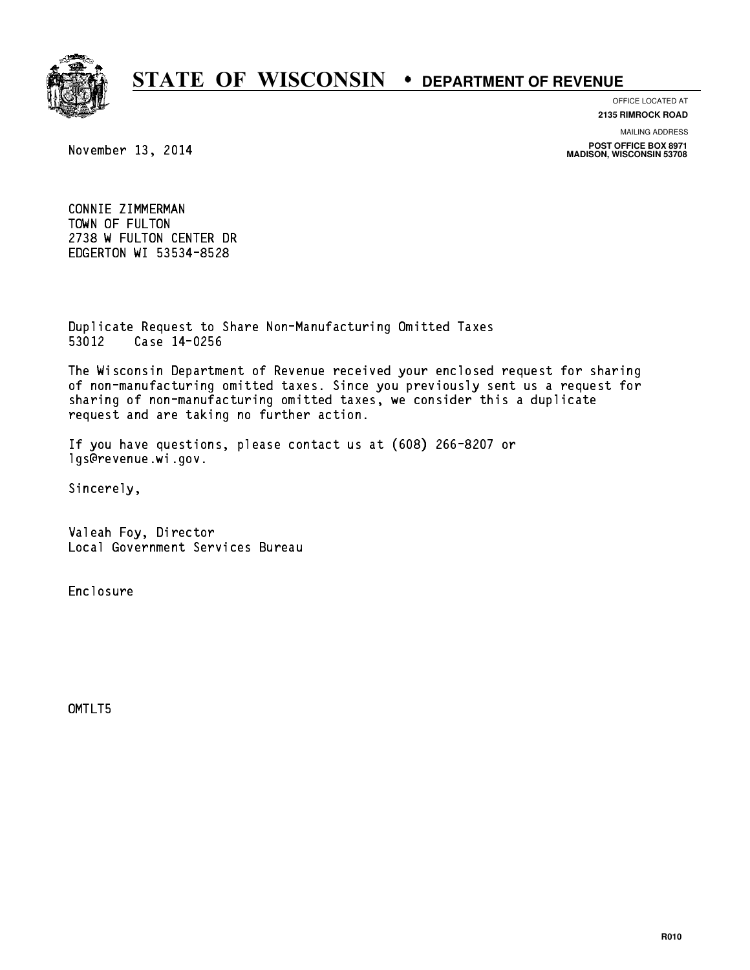

OFFICE LOCATED AT

**2135 RIMROCK ROAD**

MAILING ADDRESS

**POST OFFICE BOX 8971 MADISON, WISCONSIN 53708**

November 13, 2014

CONNIE ZIMMERMAN CONNIE ZIMMERMAN<br>TOWN OF FULTON<br>TOWN OF FULTON ATU 2738 W FULTON CENTER DR EDGERTON WI 53534-8528

Duplicate Request to Share Non-Manufacturing Omitted Taxes Duplicate Request to Sha<br>53012 Case 14-0256

The Wisconsin Department of Revenue received your enclosed request for sharing of non-manufacturing omitted taxes. Since you previously sent us a request for sharing of non-manufacturing omitted taxes, we consider this a duplicate request and are taking no further action.

If you have questions, please contact us at (608) 266-8207 or lgs@revenue.wi.gov.

Sincerely,

Valeah Foy, Director Local Government Services Bureau

Enclosure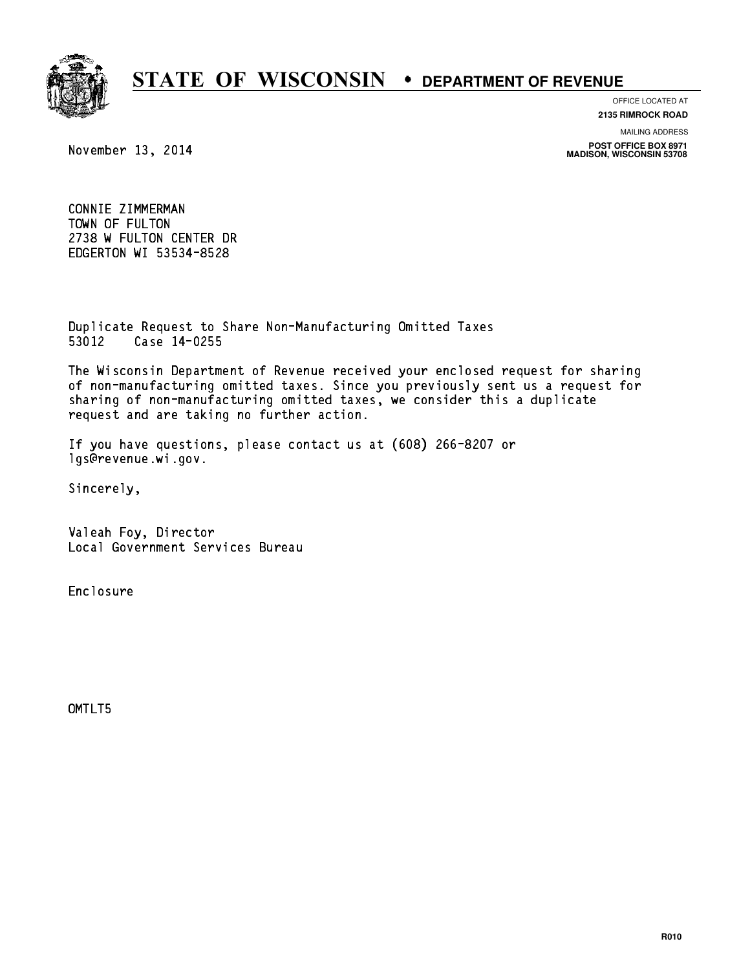

OFFICE LOCATED AT

**2135 RIMROCK ROAD**

MAILING ADDRESS

**POST OFFICE BOX 8971 MADISON, WISCONSIN 53708**

November 13, 2014

CONNIE ZIMMERMAN CONNIE ZIMMERMAN<br>TOWN OF FULTON<br>TOWN OF FULTON ATU 2738 W FULTON CENTER DR EDGERTON WI 53534-8528

Duplicate Request to Share Non-Manufacturing Omitted Taxes Duplicate Request to Sha<br>53012 Case 14-0255

The Wisconsin Department of Revenue received your enclosed request for sharing of non-manufacturing omitted taxes. Since you previously sent us a request for sharing of non-manufacturing omitted taxes, we consider this a duplicate request and are taking no further action.

If you have questions, please contact us at (608) 266-8207 or lgs@revenue.wi.gov.

Sincerely,

Valeah Foy, Director Local Government Services Bureau

Enclosure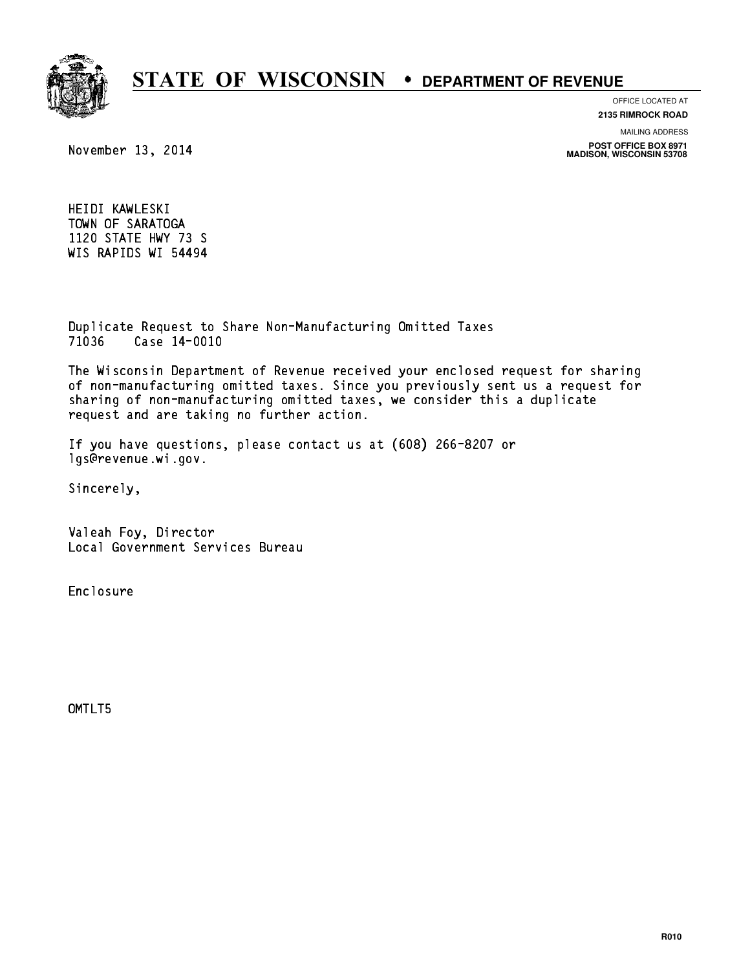

#### OFFICE LOCATED AT **2135 RIMROCK ROAD**

November 13, 2014

MAILING ADDRESS

**POST OFFICE BOX 8971 MADISON, WISCONSIN 53708**

HEIDI KAWLESKI TOWN OF SARATOGA 1120 STATE HWY 73 S WIS RAPIDS WI 54494

Duplicate Request to Share Non-Manufacturing Omitted Taxes Duplicate Request to Sha<br>71036 Case 14-0010

The Wisconsin Department of Revenue received your enclosed request for sharing of non-manufacturing omitted taxes. Since you previously sent us a request for sharing of non-manufacturing omitted taxes, we consider this a duplicate request and are taking no further action.

If you have questions, please contact us at (608) 266-8207 or lgs@revenue.wi.gov.

Sincerely,

Valeah Foy, Director Local Government Services Bureau

Enclosure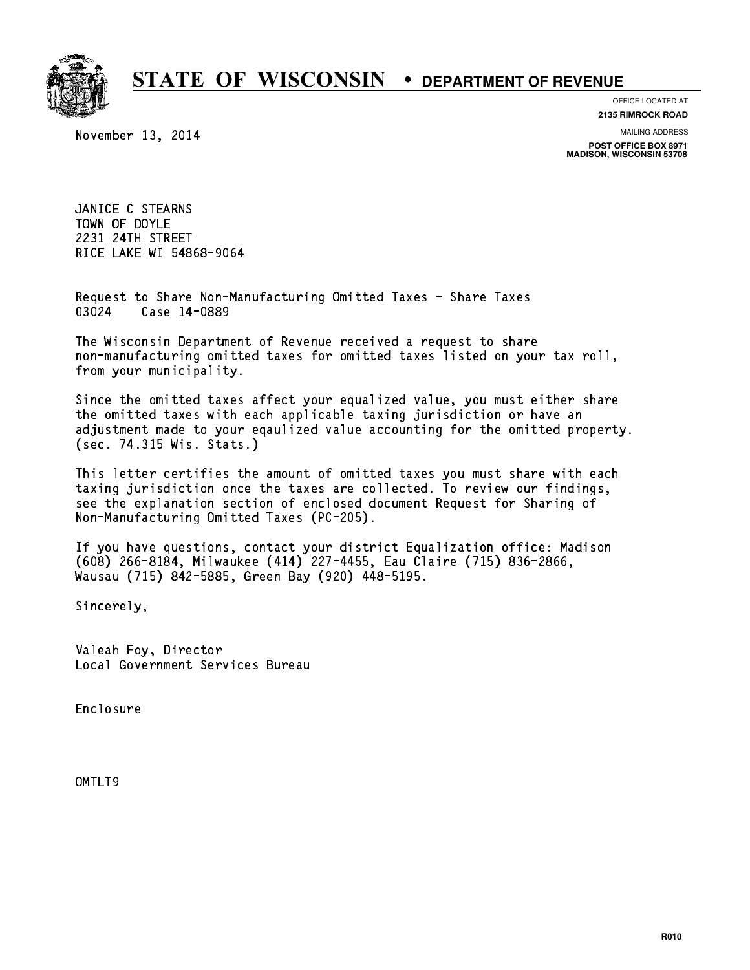

November 13, 2014

OFFICE LOCATED AT

**2135 RIMROCK ROAD**

MAILING ADDRESS **POST OFFICE BOX 8971 MADISON, WISCONSIN 53708**

JANICE C STEARNS JANICE C STEARNS<br>TOWN OF DOYLE<br>2001 01TU 0TRETT TOWN OF DOYLE<br>2231 24TH STREET RICE LAKE WI 54868-9064

Request to Share Non-Manufacturing Omitted Taxes - Share Taxes Request to Share Non-Man<br>03024 Case 14-0889

The Wisconsin Department of Revenue received a request to share The Wisconsin Department of Revenue received a request to share<br>non-manufacturing omitted taxes for omitted taxes listed on your tax roll, non-manufacturing omitted<br>from your municipality.

Since the omitted taxes affect your equalized value, you must either share the omitted taxes with each applicable taxing jurisdiction or have an adjustment made to your eqaulized value accounting for the omitted property. (sec. 74.315 Wis. Stats.)

This letter certifies the amount of omitted taxes you must share with each taxing jurisdiction once the taxes are collected. To review our findings, see the explanation section of enclosed document Request for Sharing of Non-Manufacturing Omitted Taxes (PC-205).

If you have questions, contact your district Equalization office: Madison If you have questions, contact your district Equalization office: Madis<br>(608) 266-8184, Milwaukee (414) 227-4455, Eau Claire (715) 836-2866,<br>.. (608) 266-8184, Milwaukee (414) 227-4455, Eau Clair<br>Wausau (715) 842-5885, Green Bay (920) 448-5195.

Sincerely,

Valeah Foy, Director Local Government Services Bureau

Enclosure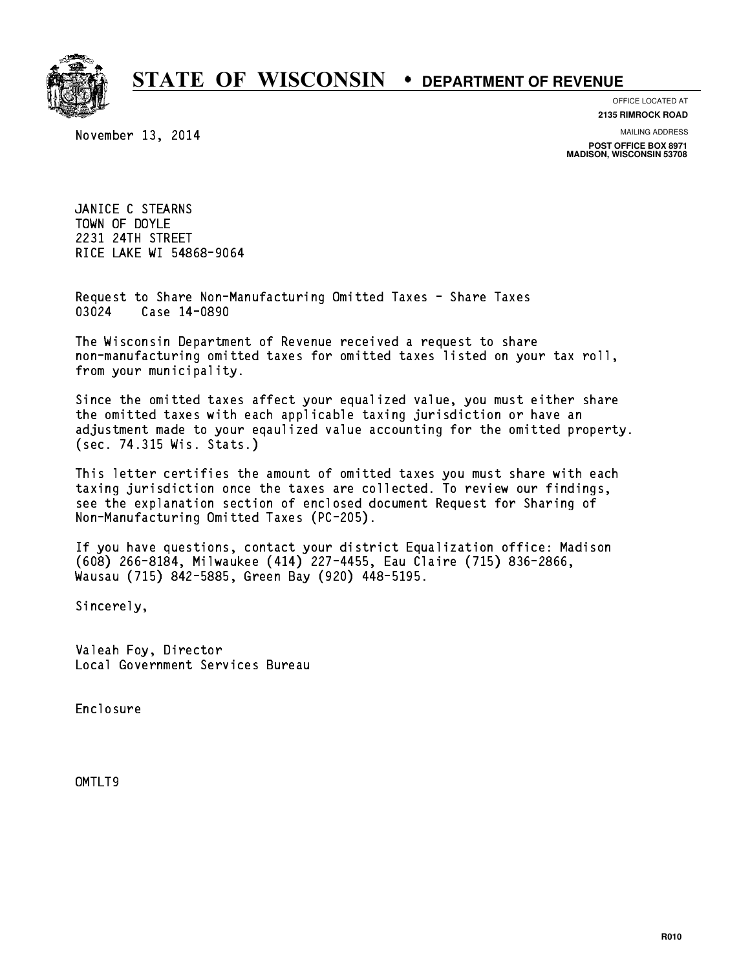

November 13, 2014

OFFICE LOCATED AT

**2135 RIMROCK ROAD**

MAILING ADDRESS **POST OFFICE BOX 8971 MADISON, WISCONSIN 53708**

JANICE C STEARNS JANICE C STEARNS<br>TOWN OF DOYLE<br>2001 01TU 0TRETT TOWN OF DOYLE<br>2231 24TH STREET RICE LAKE WI 54868-9064

Request to Share Non-Manufacturing Omitted Taxes - Share Taxes Request to Share Non-Man<br>03024 Case 14-0890

The Wisconsin Department of Revenue received a request to share The Wisconsin Department of Revenue received a request to share<br>non-manufacturing omitted taxes for omitted taxes listed on your tax roll, non-manufacturing omitted<br>from your municipality.

Since the omitted taxes affect your equalized value, you must either share the omitted taxes with each applicable taxing jurisdiction or have an adjustment made to your eqaulized value accounting for the omitted property. (sec. 74.315 Wis. Stats.)

This letter certifies the amount of omitted taxes you must share with each taxing jurisdiction once the taxes are collected. To review our findings, see the explanation section of enclosed document Request for Sharing of Non-Manufacturing Omitted Taxes (PC-205).

If you have questions, contact your district Equalization office: Madison If you have questions, contact your district Equalization office: Madis<br>(608) 266-8184, Milwaukee (414) 227-4455, Eau Claire (715) 836-2866,<br>.. (608) 266-8184, Milwaukee (414) 227-4455, Eau Clair<br>Wausau (715) 842-5885, Green Bay (920) 448-5195.

Sincerely,

Valeah Foy, Director Local Government Services Bureau

Enclosure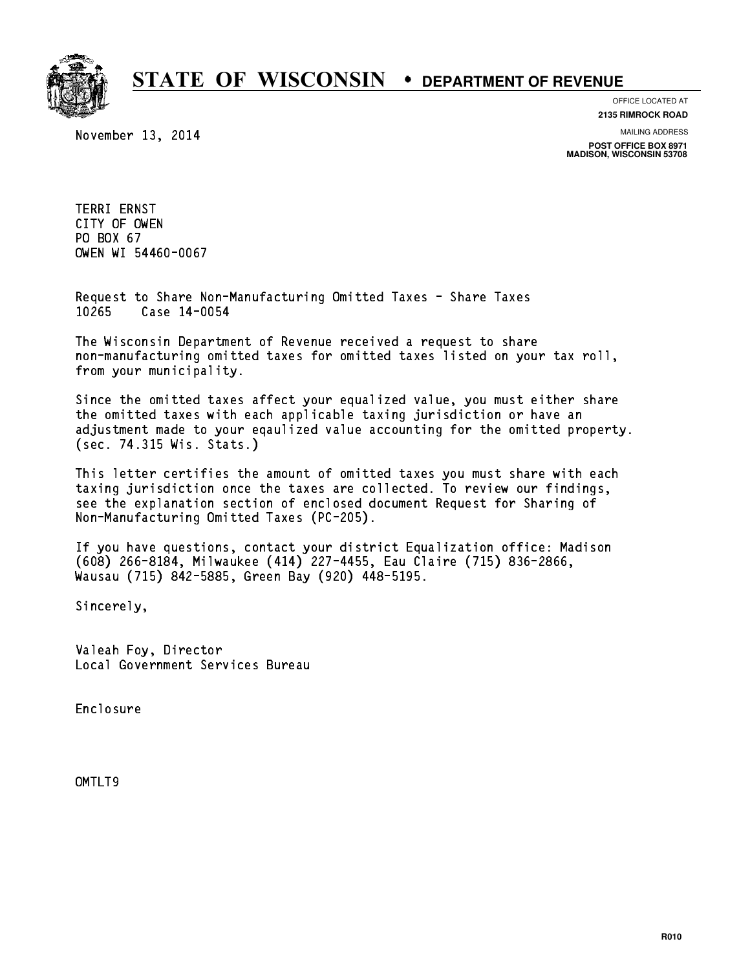

November 13, 2014

OFFICE LOCATED AT **2135 RIMROCK ROAD**

MAILING ADDRESS

**POST OFFICE BOX 8971 MADISON, WISCONSIN 53708**

TERRI ERNST TERRI ERNST<br>CITY OF OWEN<br>PRIMICI CITY OF OWEN<br>PO BOX 67<br>CUEN UI 5446 PO BOX 67<br>OWEN WI 54460-0067

Request to Share Non-Manufacturing Omitted Taxes - Share Taxes Request to Share Non-Man<br>10265 Case 14-0054

The Wisconsin Department of Revenue received a request to share The Wisconsin Department of Revenue received a request to share<br>non-manufacturing omitted taxes for omitted taxes listed on your tax roll, non-manufacturing omitted<br>from your municipality.

Since the omitted taxes affect your equalized value, you must either share the omitted taxes with each applicable taxing jurisdiction or have an adjustment made to your eqaulized value accounting for the omitted property. (sec. 74.315 Wis. Stats.)

This letter certifies the amount of omitted taxes you must share with each taxing jurisdiction once the taxes are collected. To review our findings, see the explanation section of enclosed document Request for Sharing of Non-Manufacturing Omitted Taxes (PC-205).

If you have questions, contact your district Equalization office: Madison If you have questions, contact your district Equalization office: Madis<br>(608) 266-8184, Milwaukee (414) 227-4455, Eau Claire (715) 836-2866,<br>.. (608) 266-8184, Milwaukee (414) 227-4455, Eau Clair<br>Wausau (715) 842-5885, Green Bay (920) 448-5195.

Sincerely,

Valeah Foy, Director Local Government Services Bureau

Enclosure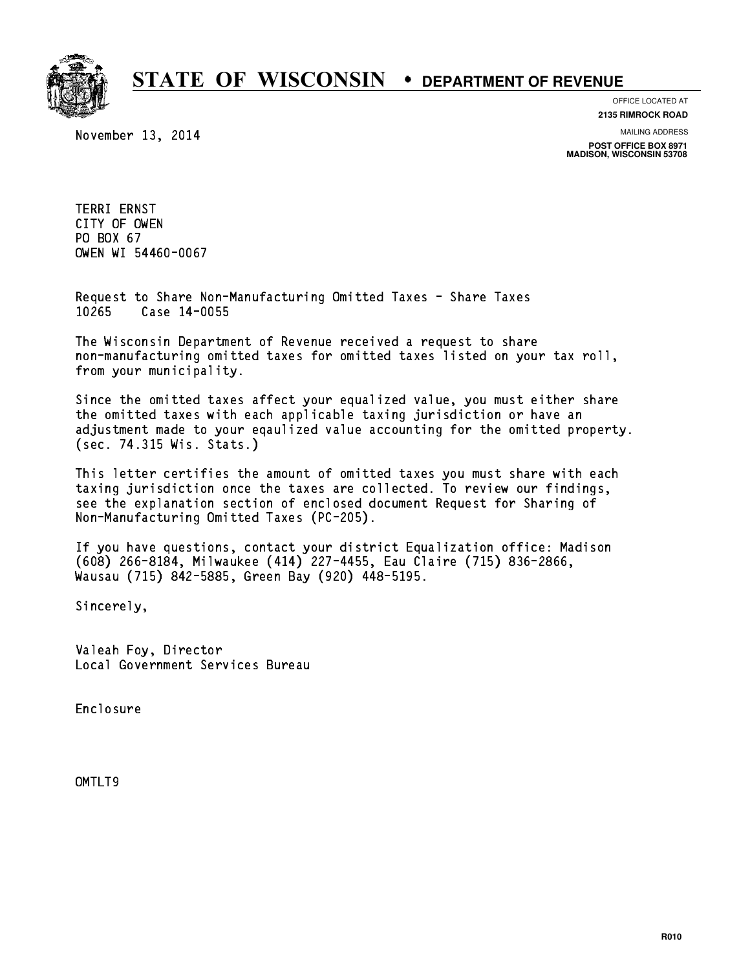

November 13, 2014

OFFICE LOCATED AT **2135 RIMROCK ROAD**

MAILING ADDRESS

**POST OFFICE BOX 8971 MADISON, WISCONSIN 53708**

TERRI ERNST TERRI ERNST<br>CITY OF OWEN<br>PRIMICI CITY OF OWEN<br>PO BOX 67<br>CUEN UI 5446 PO BOX 67<br>OWEN WI 54460-0067

Request to Share Non-Manufacturing Omitted Taxes - Share Taxes Request to Share Non-Man<br>10265 Case 14-0055

The Wisconsin Department of Revenue received a request to share The Wisconsin Department of Revenue received a request to share<br>non-manufacturing omitted taxes for omitted taxes listed on your tax roll, non-manufacturing omitted<br>from your municipality.

Since the omitted taxes affect your equalized value, you must either share the omitted taxes with each applicable taxing jurisdiction or have an adjustment made to your eqaulized value accounting for the omitted property. (sec. 74.315 Wis. Stats.)

This letter certifies the amount of omitted taxes you must share with each taxing jurisdiction once the taxes are collected. To review our findings, see the explanation section of enclosed document Request for Sharing of Non-Manufacturing Omitted Taxes (PC-205).

If you have questions, contact your district Equalization office: Madison If you have questions, contact your district Equalization office: Madis<br>(608) 266-8184, Milwaukee (414) 227-4455, Eau Claire (715) 836-2866,<br>.. (608) 266-8184, Milwaukee (414) 227-4455, Eau Clair<br>Wausau (715) 842-5885, Green Bay (920) 448-5195.

Sincerely,

Valeah Foy, Director Local Government Services Bureau

Enclosure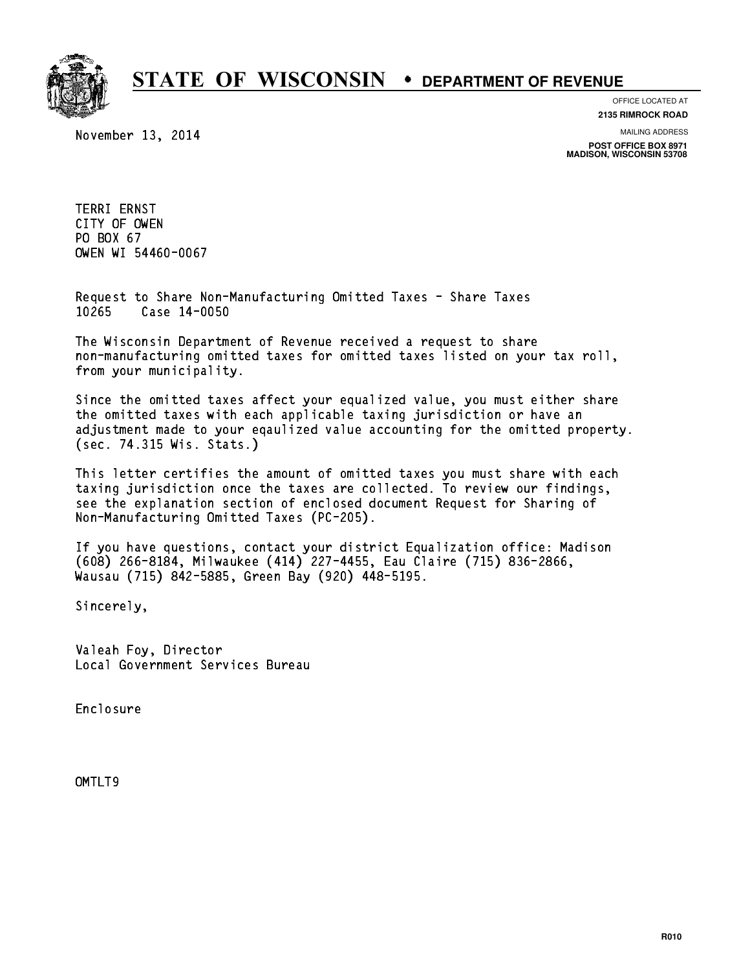

November 13, 2014

OFFICE LOCATED AT **2135 RIMROCK ROAD**

MAILING ADDRESS

**POST OFFICE BOX 8971 MADISON, WISCONSIN 53708**

TERRI ERNST TERRI ERNST<br>CITY OF OWEN<br>PRIMICI CITY OF OWEN<br>PO BOX 67<br>CUEN UI 5446 PO BOX 67<br>OWEN WI 54460-0067

Request to Share Non-Manufacturing Omitted Taxes - Share Taxes Request to Share Non-Man<br>10265 Case 14-0050

The Wisconsin Department of Revenue received a request to share The Wisconsin Department of Revenue received a request to share<br>non-manufacturing omitted taxes for omitted taxes listed on your tax roll, non-manufacturing omitted<br>from your municipality.

Since the omitted taxes affect your equalized value, you must either share the omitted taxes with each applicable taxing jurisdiction or have an adjustment made to your eqaulized value accounting for the omitted property. (sec. 74.315 Wis. Stats.)

This letter certifies the amount of omitted taxes you must share with each taxing jurisdiction once the taxes are collected. To review our findings, see the explanation section of enclosed document Request for Sharing of Non-Manufacturing Omitted Taxes (PC-205).

If you have questions, contact your district Equalization office: Madison If you have questions, contact your district Equalization office: Madis<br>(608) 266-8184, Milwaukee (414) 227-4455, Eau Claire (715) 836-2866,<br>.. (608) 266-8184, Milwaukee (414) 227-4455, Eau Clair<br>Wausau (715) 842-5885, Green Bay (920) 448-5195.

Sincerely,

Valeah Foy, Director Local Government Services Bureau

Enclosure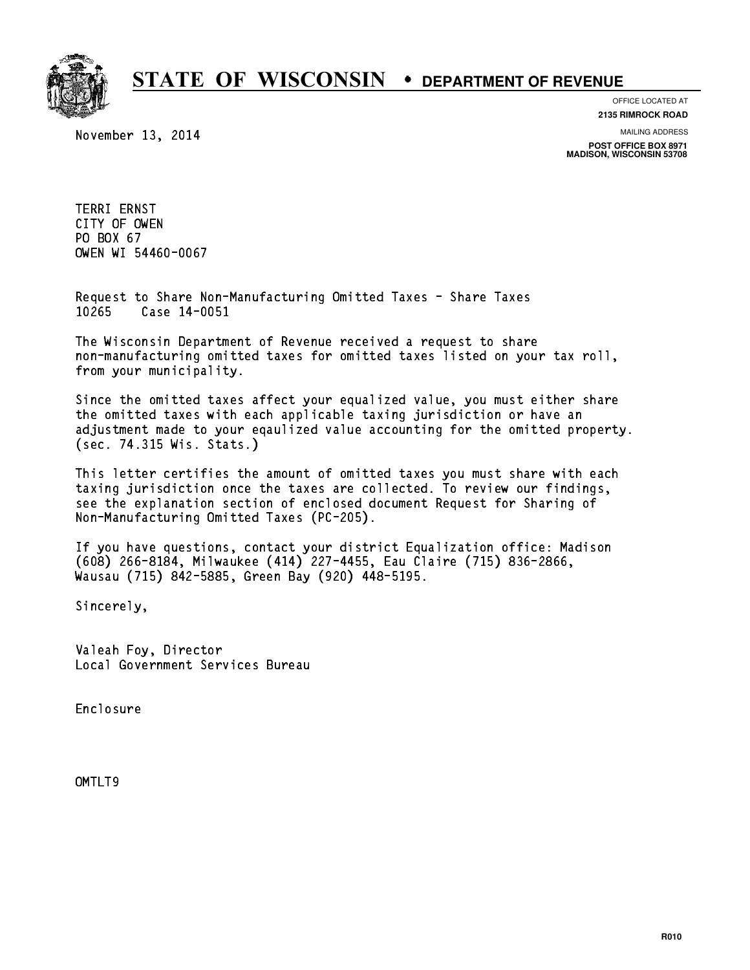

November 13, 2014

OFFICE LOCATED AT **2135 RIMROCK ROAD**

MAILING ADDRESS

**POST OFFICE BOX 8971 MADISON, WISCONSIN 53708**

TERRI ERNST TERRI ERNST<br>CITY OF OWEN<br>PRIMICI CITY OF OWEN<br>PO BOX 67<br>CUEN UI 5446 PO BOX 67<br>OWEN WI 54460-0067

Request to Share Non-Manufacturing Omitted Taxes - Share Taxes Request to Share Non-Man<br>10265 Case 14-0051

The Wisconsin Department of Revenue received a request to share The Wisconsin Department of Revenue received a request to share<br>non-manufacturing omitted taxes for omitted taxes listed on your tax roll, non-manufacturing omitted<br>from your municipality.

Since the omitted taxes affect your equalized value, you must either share the omitted taxes with each applicable taxing jurisdiction or have an adjustment made to your eqaulized value accounting for the omitted property. (sec. 74.315 Wis. Stats.)

This letter certifies the amount of omitted taxes you must share with each taxing jurisdiction once the taxes are collected. To review our findings, see the explanation section of enclosed document Request for Sharing of Non-Manufacturing Omitted Taxes (PC-205).

If you have questions, contact your district Equalization office: Madison If you have questions, contact your district Equalization office: Madis<br>(608) 266-8184, Milwaukee (414) 227-4455, Eau Claire (715) 836-2866,<br>.. (608) 266-8184, Milwaukee (414) 227-4455, Eau Clair<br>Wausau (715) 842-5885, Green Bay (920) 448-5195.

Sincerely,

Valeah Foy, Director Local Government Services Bureau

Enclosure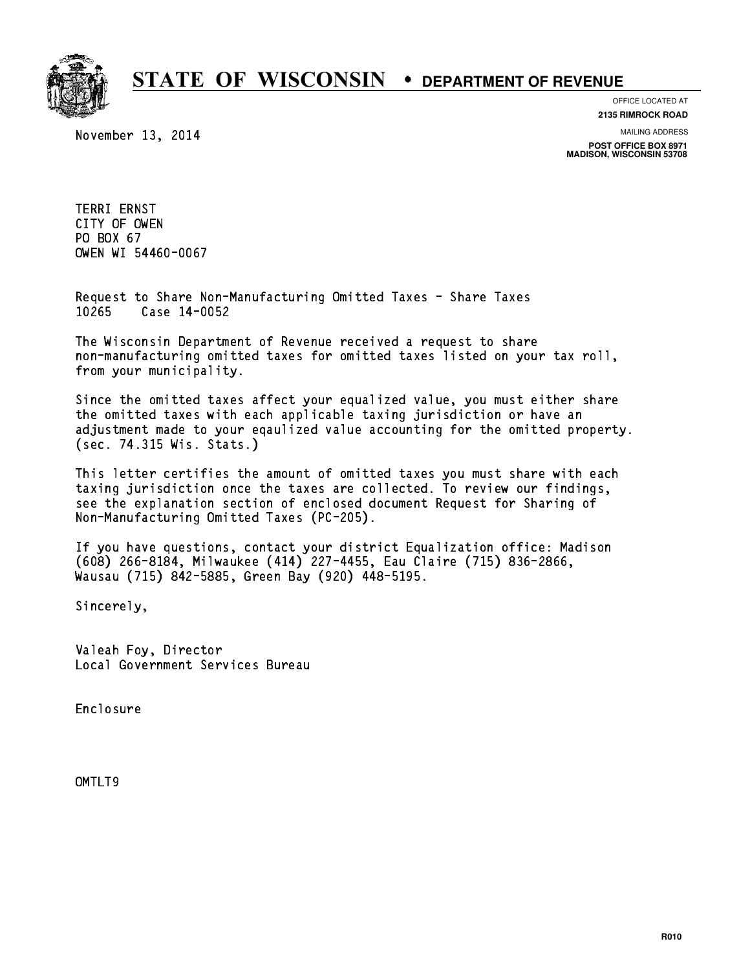

November 13, 2014

OFFICE LOCATED AT **2135 RIMROCK ROAD**

MAILING ADDRESS

**POST OFFICE BOX 8971 MADISON, WISCONSIN 53708**

TERRI ERNST TERRI ERNST<br>CITY OF OWEN<br>PRIMICI CITY OF OWEN<br>PO BOX 67<br>CUEN UI 5446 PO BOX 67<br>OWEN WI 54460-0067

Request to Share Non-Manufacturing Omitted Taxes - Share Taxes Request to Share Non-Man<br>10265 Case 14-0052

The Wisconsin Department of Revenue received a request to share The Wisconsin Department of Revenue received a request to share<br>non-manufacturing omitted taxes for omitted taxes listed on your tax roll, non-manufacturing omitted<br>from your municipality.

Since the omitted taxes affect your equalized value, you must either share the omitted taxes with each applicable taxing jurisdiction or have an adjustment made to your eqaulized value accounting for the omitted property. (sec. 74.315 Wis. Stats.)

This letter certifies the amount of omitted taxes you must share with each taxing jurisdiction once the taxes are collected. To review our findings, see the explanation section of enclosed document Request for Sharing of Non-Manufacturing Omitted Taxes (PC-205).

If you have questions, contact your district Equalization office: Madison If you have questions, contact your district Equalization office: Madis<br>(608) 266-8184, Milwaukee (414) 227-4455, Eau Claire (715) 836-2866,<br>.. (608) 266-8184, Milwaukee (414) 227-4455, Eau Clair<br>Wausau (715) 842-5885, Green Bay (920) 448-5195.

Sincerely,

Valeah Foy, Director Local Government Services Bureau

Enclosure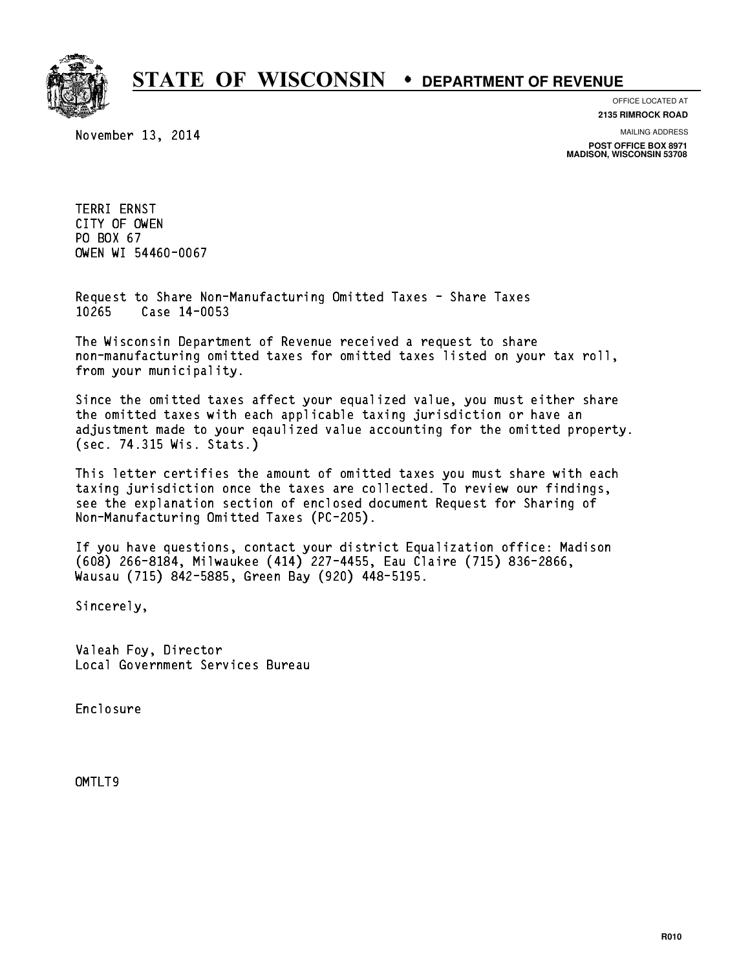

November 13, 2014

OFFICE LOCATED AT **2135 RIMROCK ROAD**

MAILING ADDRESS

**POST OFFICE BOX 8971 MADISON, WISCONSIN 53708**

TERRI ERNST TERRI ERNST<br>CITY OF OWEN<br>PRIMICI CITY OF OWEN<br>PO BOX 67<br>CUEN UI 5446 PO BOX 67<br>OWEN WI 54460-0067

Request to Share Non-Manufacturing Omitted Taxes - Share Taxes Request to Share Non-Man<br>10265 Case 14-0053

The Wisconsin Department of Revenue received a request to share The Wisconsin Department of Revenue received a request to share<br>non-manufacturing omitted taxes for omitted taxes listed on your tax roll, non-manufacturing omitted<br>from your municipality.

Since the omitted taxes affect your equalized value, you must either share the omitted taxes with each applicable taxing jurisdiction or have an adjustment made to your eqaulized value accounting for the omitted property. (sec. 74.315 Wis. Stats.)

This letter certifies the amount of omitted taxes you must share with each taxing jurisdiction once the taxes are collected. To review our findings, see the explanation section of enclosed document Request for Sharing of Non-Manufacturing Omitted Taxes (PC-205).

If you have questions, contact your district Equalization office: Madison If you have questions, contact your district Equalization office: Madis<br>(608) 266-8184, Milwaukee (414) 227-4455, Eau Claire (715) 836-2866,<br>.. (608) 266-8184, Milwaukee (414) 227-4455, Eau Clair<br>Wausau (715) 842-5885, Green Bay (920) 448-5195.

Sincerely,

Valeah Foy, Director Local Government Services Bureau

Enclosure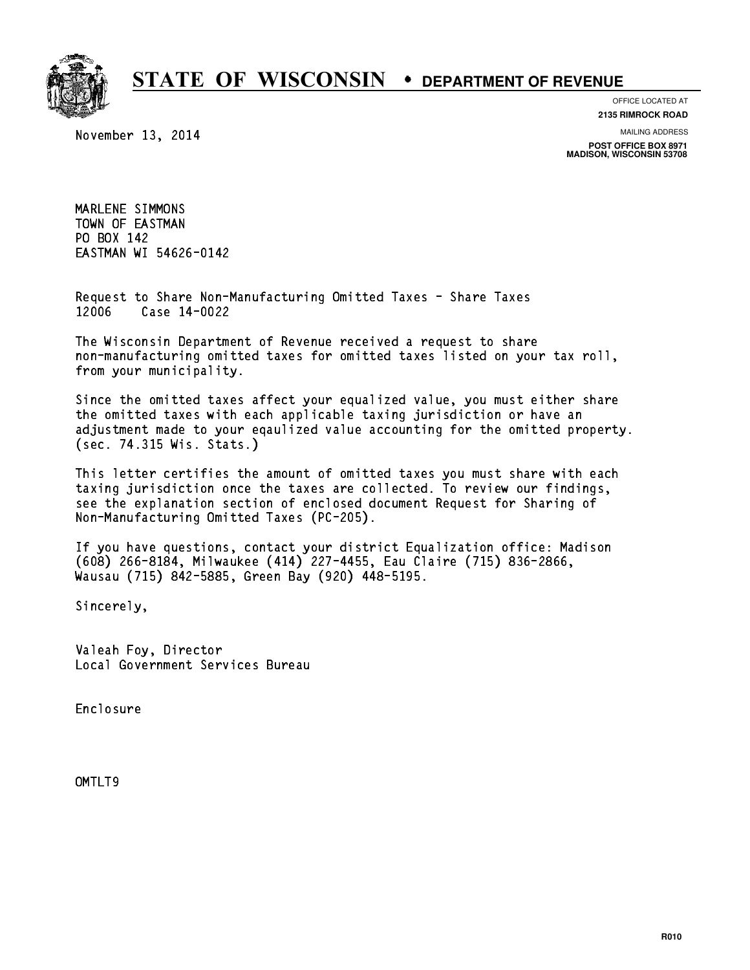

November 13, 2014

OFFICE LOCATED AT **2135 RIMROCK ROAD**

MAILING ADDRESS

**POST OFFICE BOX 8971 MADISON, WISCONSIN 53708**

MARLENE SIMMONS MARLENE SIMMONS<br>TOWN OF EASTMAN TOWN OF EASTM<br>PO BOX 142<br>FisTWALLIE EA EASTMAN WI 54626-0142

Request to Share Non-Manufacturing Omitted Taxes - Share Taxes Request to Share Non-Man<br>12006 Case 14-0022

The Wisconsin Department of Revenue received a request to share The Wisconsin Department of Revenue received a request to share<br>non-manufacturing omitted taxes for omitted taxes listed on your tax roll, non-manufacturing omitted<br>from your municipality.

Since the omitted taxes affect your equalized value, you must either share the omitted taxes with each applicable taxing jurisdiction or have an adjustment made to your eqaulized value accounting for the omitted property. (sec. 74.315 Wis. Stats.)

This letter certifies the amount of omitted taxes you must share with each taxing jurisdiction once the taxes are collected. To review our findings, see the explanation section of enclosed document Request for Sharing of Non-Manufacturing Omitted Taxes (PC-205).

If you have questions, contact your district Equalization office: Madison If you have questions, contact your district Equalization office: Madis<br>(608) 266-8184, Milwaukee (414) 227-4455, Eau Claire (715) 836-2866,<br>.. (608) 266-8184, Milwaukee (414) 227-4455, Eau Clair<br>Wausau (715) 842-5885, Green Bay (920) 448-5195.

Sincerely,

Valeah Foy, Director Local Government Services Bureau

Enclosure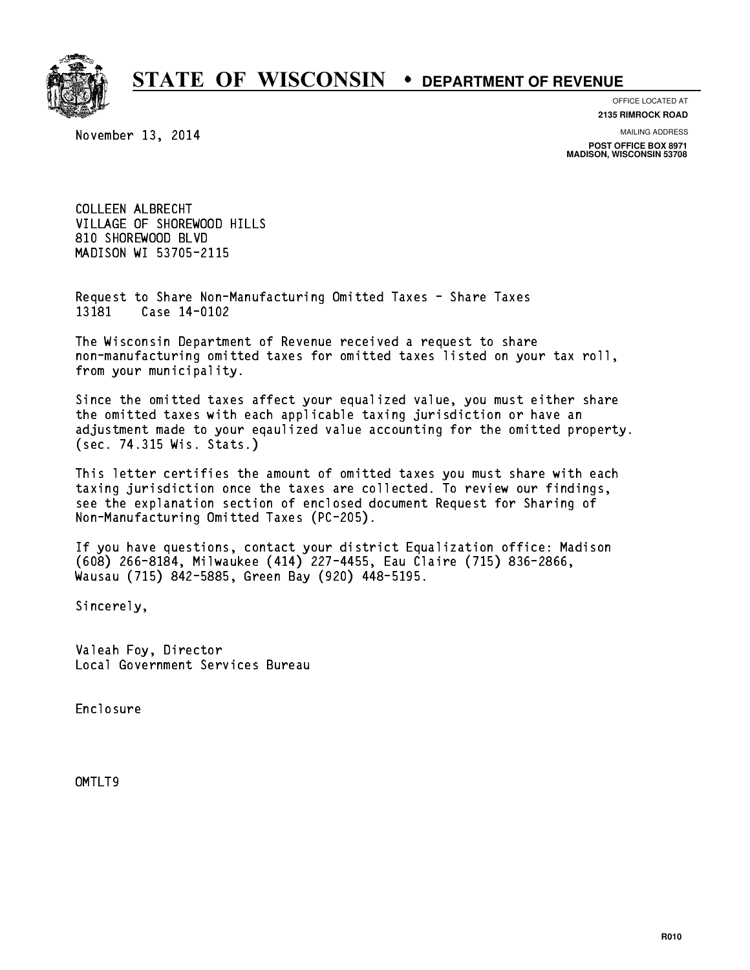

#### OFFICE LOCATED AT

November 13, 2014

**2135 RIMROCK ROAD**

MAILING ADDRESS

**POST OFFICE BOX 8971 MADISON, WISCONSIN 53708**

COLLEEN ALBRECHT VILLAGE OF SHOREWOOD HILLS 810 SHOREWOOD BLVD MADISON WI 53705-2115

Request to Share Non-Manufacturing Omitted Taxes - Share Taxes Request to Share Non-Man<br>13181 Case 14-0102

The Wisconsin Department of Revenue received a request to share The Wisconsin Department of Revenue received a request to share<br>non-manufacturing omitted taxes for omitted taxes listed on your tax roll, non-manufacturing omitted<br>from your municipality.

Since the omitted taxes affect your equalized value, you must either share the omitted taxes with each applicable taxing jurisdiction or have an adjustment made to your eqaulized value accounting for the omitted property. (sec. 74.315 Wis. Stats.)

This letter certifies the amount of omitted taxes you must share with each taxing jurisdiction once the taxes are collected. To review our findings, see the explanation section of enclosed document Request for Sharing of Non-Manufacturing Omitted Taxes (PC-205).

If you have questions, contact your district Equalization office: Madison If you have questions, contact your district Equalization office: Madis<br>(608) 266-8184, Milwaukee (414) 227-4455, Eau Claire (715) 836-2866,<br>.. (608) 266-8184, Milwaukee (414) 227-4455, Eau Clair<br>Wausau (715) 842-5885, Green Bay (920) 448-5195.

Sincerely,

Valeah Foy, Director Local Government Services Bureau

Enclosure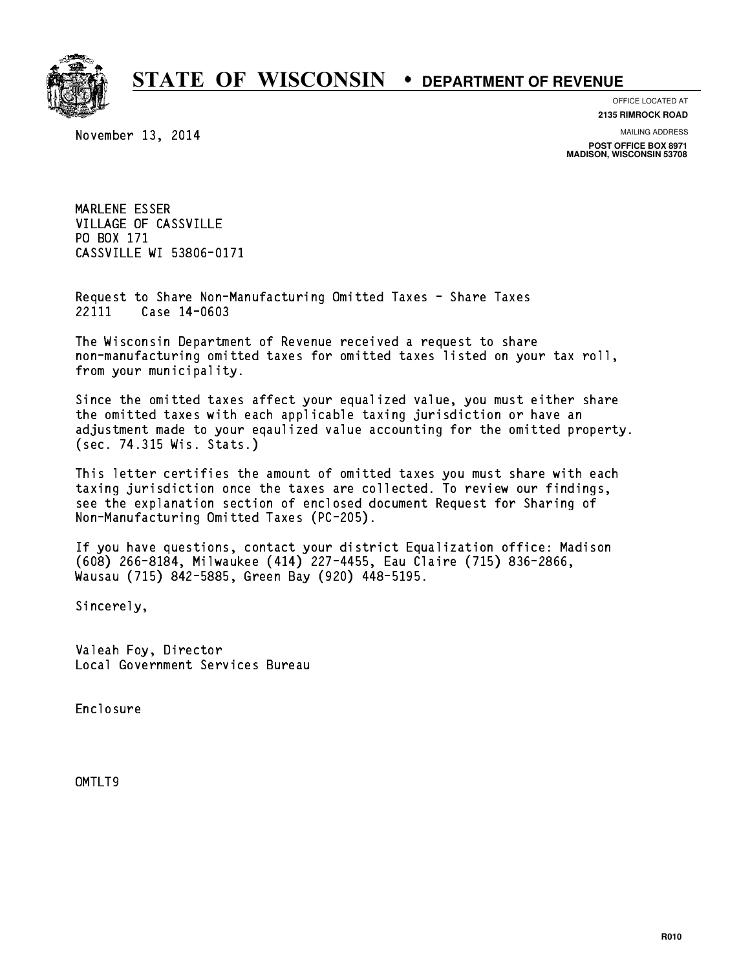

OFFICE LOCATED AT

November 13, 2014

**2135 RIMROCK ROAD**

MAILING ADDRESS

**POST OFFICE BOX 8971 MADISON, WISCONSIN 53708**

MARLENE ESSER MARLENE ESSER<br>VILLAGE OF CASSVILLE VILLAGE OF CA<br>PO BOX 171<br>ALOQUILLE PO BOX 171<br>CASSVILLE WI 53806-0171

Request to Share Non-Manufacturing Omitted Taxes - Share Taxes Request to Share Non-Man<br>22111 Case 14-0603

The Wisconsin Department of Revenue received a request to share The Wisconsin Department of Revenue received a request to share<br>non-manufacturing omitted taxes for omitted taxes listed on your tax roll, non-manufacturing omitted<br>from your municipality.

Since the omitted taxes affect your equalized value, you must either share the omitted taxes with each applicable taxing jurisdiction or have an adjustment made to your eqaulized value accounting for the omitted property. (sec. 74.315 Wis. Stats.)

This letter certifies the amount of omitted taxes you must share with each taxing jurisdiction once the taxes are collected. To review our findings, see the explanation section of enclosed document Request for Sharing of Non-Manufacturing Omitted Taxes (PC-205).

If you have questions, contact your district Equalization office: Madison If you have questions, contact your district Equalization office: Madis<br>(608) 266-8184, Milwaukee (414) 227-4455, Eau Claire (715) 836-2866,<br>.. (608) 266-8184, Milwaukee (414) 227-4455, Eau Clair<br>Wausau (715) 842-5885, Green Bay (920) 448-5195.

Sincerely,

Valeah Foy, Director Local Government Services Bureau

Enclosure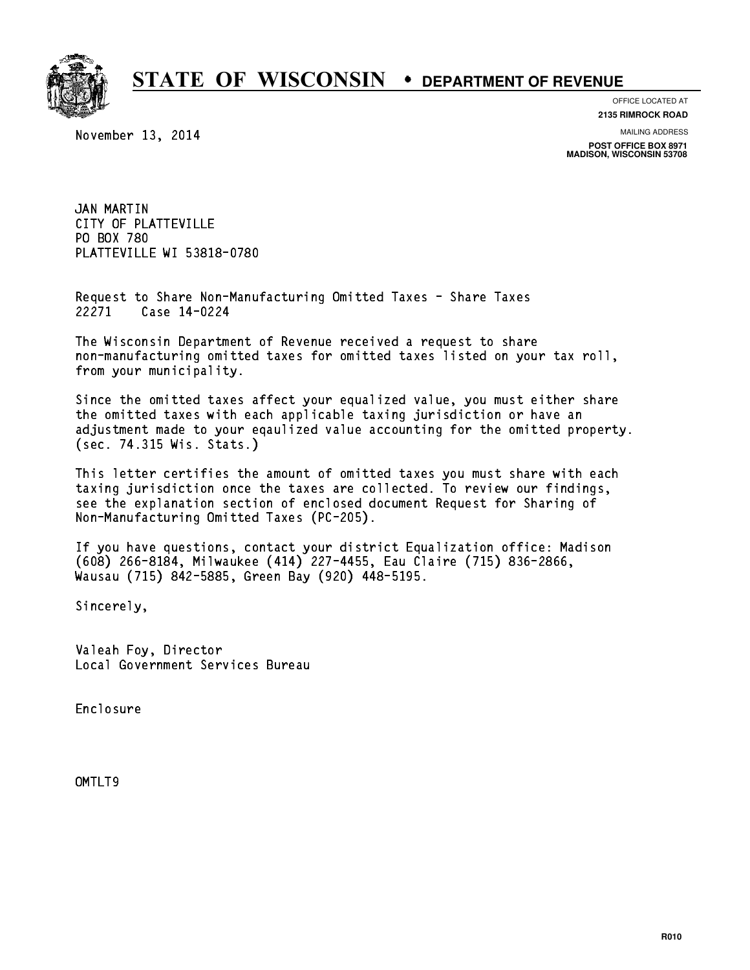

OFFICE LOCATED AT

November 13, 2014

**2135 RIMROCK ROAD**

MAILING ADDRESS

**POST OFFICE BOX 8971 MADISON, WISCONSIN 53708**

JAN MARTIN JAN MARTIN<br>CITY OF PLATTEVILLE<br>CITY OF PLATTEVILLE CITY OF PLATT<br>PO BOX 780<br>PLITTEVILLE U PO BOX 780<br>PLATTEVILLE WI 53818-0780

Request to Share Non-Manufacturing Omitted Taxes - Share Taxes Request to Share Non-Man<br>22271 Case 14-0224

The Wisconsin Department of Revenue received a request to share The Wisconsin Department of Revenue received a request to share<br>non-manufacturing omitted taxes for omitted taxes listed on your tax roll, non-manufacturing omitted<br>from your municipality.

Since the omitted taxes affect your equalized value, you must either share the omitted taxes with each applicable taxing jurisdiction or have an adjustment made to your eqaulized value accounting for the omitted property. (sec. 74.315 Wis. Stats.)

This letter certifies the amount of omitted taxes you must share with each taxing jurisdiction once the taxes are collected. To review our findings, see the explanation section of enclosed document Request for Sharing of Non-Manufacturing Omitted Taxes (PC-205).

If you have questions, contact your district Equalization office: Madison If you have questions, contact your district Equalization office: Madis<br>(608) 266-8184, Milwaukee (414) 227-4455, Eau Claire (715) 836-2866,<br>.. (608) 266-8184, Milwaukee (414) 227-4455, Eau Clair<br>Wausau (715) 842-5885, Green Bay (920) 448-5195.

Sincerely,

Valeah Foy, Director Local Government Services Bureau

Enclosure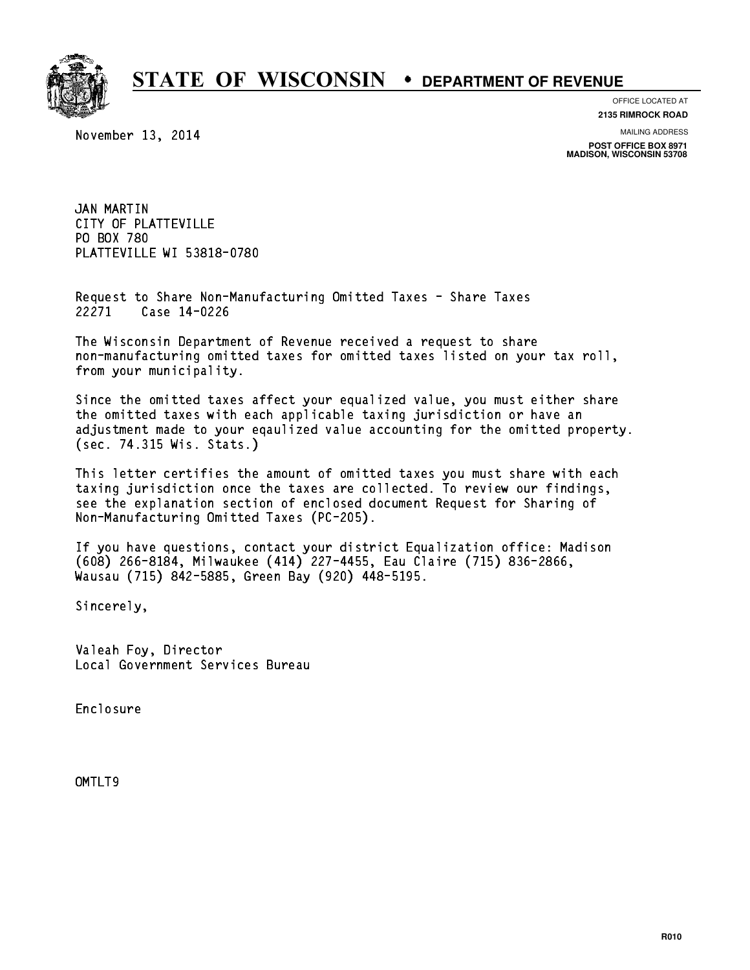

OFFICE LOCATED AT

November 13, 2014

**2135 RIMROCK ROAD**

MAILING ADDRESS

**POST OFFICE BOX 8971 MADISON, WISCONSIN 53708**

JAN MARTIN JAN MARTIN<br>CITY OF PLATTEVILLE<br>CITY OF PLATTEVILLE CITY OF PLATT<br>PO BOX 780<br>PLITTEVILLE U PO BOX 780<br>PLATTEVILLE WI 53818-0780

Request to Share Non-Manufacturing Omitted Taxes - Share Taxes Request to Share Non-Man<br>22271 Case 14-0226

The Wisconsin Department of Revenue received a request to share The Wisconsin Department of Revenue received a request to share<br>non-manufacturing omitted taxes for omitted taxes listed on your tax roll, non-manufacturing omitted<br>from your municipality.

Since the omitted taxes affect your equalized value, you must either share the omitted taxes with each applicable taxing jurisdiction or have an adjustment made to your eqaulized value accounting for the omitted property. (sec. 74.315 Wis. Stats.)

This letter certifies the amount of omitted taxes you must share with each taxing jurisdiction once the taxes are collected. To review our findings, see the explanation section of enclosed document Request for Sharing of Non-Manufacturing Omitted Taxes (PC-205).

If you have questions, contact your district Equalization office: Madison If you have questions, contact your district Equalization office: Madis<br>(608) 266-8184, Milwaukee (414) 227-4455, Eau Claire (715) 836-2866,<br>.. (608) 266-8184, Milwaukee (414) 227-4455, Eau Clair<br>Wausau (715) 842-5885, Green Bay (920) 448-5195.

Sincerely,

Valeah Foy, Director Local Government Services Bureau

Enclosure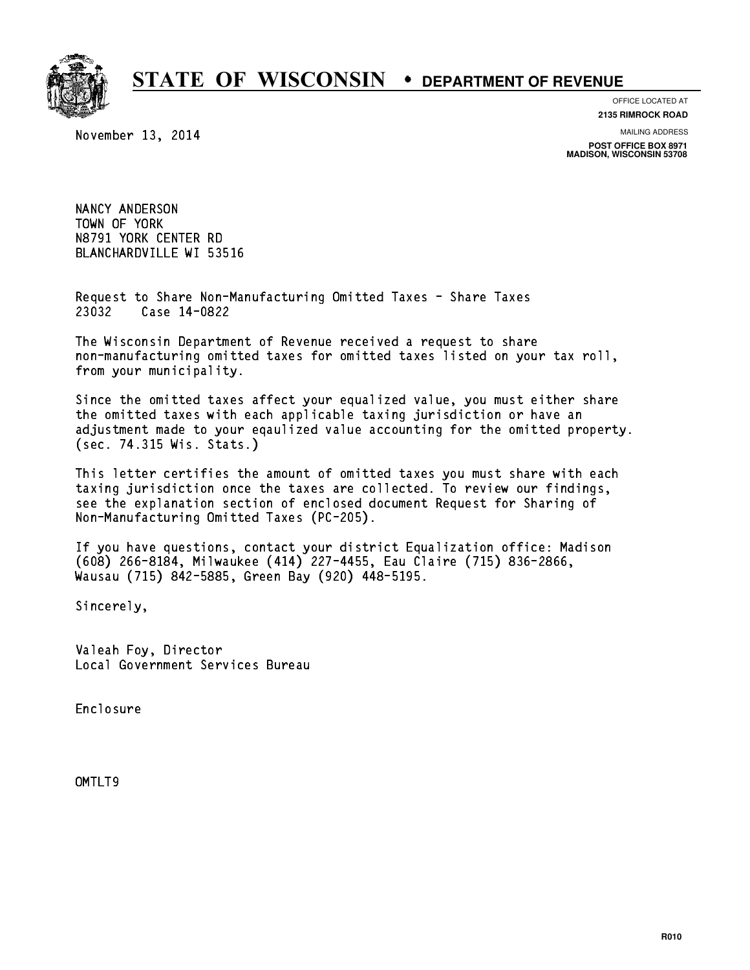

### OFFICE LOCATED AT

November 13, 2014

**2135 RIMROCK ROAD**

MAILING ADDRESS

**POST OFFICE BOX 8971 MADISON, WISCONSIN 53708**

NANCY ANDERSON NANCY ANDERSON<br>TOWN OF YORK<br>USES1 VORK TOWN OF YORK<br>N8791 YORK CENTER RD BLANCHARDVILLE WI 53516

Request to Share Non-Manufacturing Omitted Taxes - Share Taxes Request to Share Non-Man<br>23032 Case 14-0822

The Wisconsin Department of Revenue received a request to share The Wisconsin Department of Revenue received a request to share<br>non-manufacturing omitted taxes for omitted taxes listed on your tax roll, non-manufacturing omitted<br>from your municipality.

Since the omitted taxes affect your equalized value, you must either share the omitted taxes with each applicable taxing jurisdiction or have an adjustment made to your eqaulized value accounting for the omitted property. (sec. 74.315 Wis. Stats.)

This letter certifies the amount of omitted taxes you must share with each taxing jurisdiction once the taxes are collected. To review our findings, see the explanation section of enclosed document Request for Sharing of Non-Manufacturing Omitted Taxes (PC-205).

If you have questions, contact your district Equalization office: Madison If you have questions, contact your district Equalization office: Madis<br>(608) 266-8184, Milwaukee (414) 227-4455, Eau Claire (715) 836-2866,<br>.. (608) 266-8184, Milwaukee (414) 227-4455, Eau Clair<br>Wausau (715) 842-5885, Green Bay (920) 448-5195.

Sincerely,

Valeah Foy, Director Local Government Services Bureau

Enclosure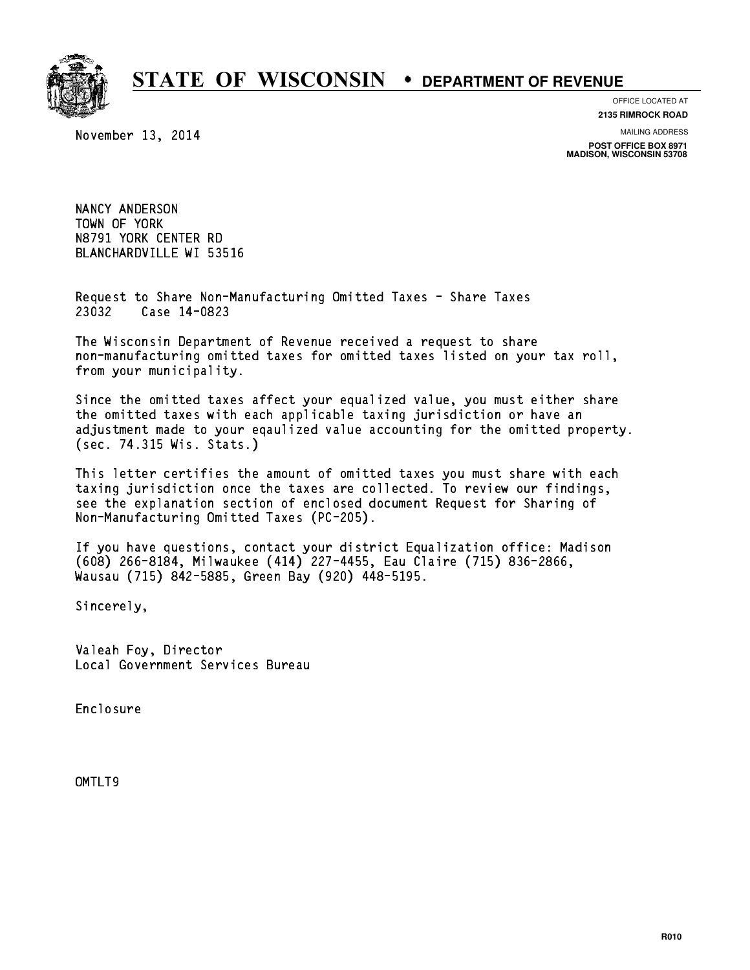

November 13, 2014

OFFICE LOCATED AT **2135 RIMROCK ROAD**

MAILING ADDRESS

**POST OFFICE BOX 8971 MADISON, WISCONSIN 53708**

NANCY ANDERSON NANCY ANDERSON<br>TOWN OF YORK<br>USES1 VORK TOWN OF YORK<br>N8791 YORK CENTER RD BLANCHARDVILLE WI 53516

Request to Share Non-Manufacturing Omitted Taxes - Share Taxes Request to Share Non-Man<br>23032 Case 14-0823

The Wisconsin Department of Revenue received a request to share The Wisconsin Department of Revenue received a request to share<br>non-manufacturing omitted taxes for omitted taxes listed on your tax roll, non-manufacturing omitted<br>from your municipality.

Since the omitted taxes affect your equalized value, you must either share the omitted taxes with each applicable taxing jurisdiction or have an adjustment made to your eqaulized value accounting for the omitted property. (sec. 74.315 Wis. Stats.)

This letter certifies the amount of omitted taxes you must share with each taxing jurisdiction once the taxes are collected. To review our findings, see the explanation section of enclosed document Request for Sharing of Non-Manufacturing Omitted Taxes (PC-205).

If you have questions, contact your district Equalization office: Madison If you have questions, contact your district Equalization office: Madis<br>(608) 266-8184, Milwaukee (414) 227-4455, Eau Claire (715) 836-2866,<br>.. (608) 266-8184, Milwaukee (414) 227-4455, Eau Clair<br>Wausau (715) 842-5885, Green Bay (920) 448-5195.

Sincerely,

Valeah Foy, Director Local Government Services Bureau

Enclosure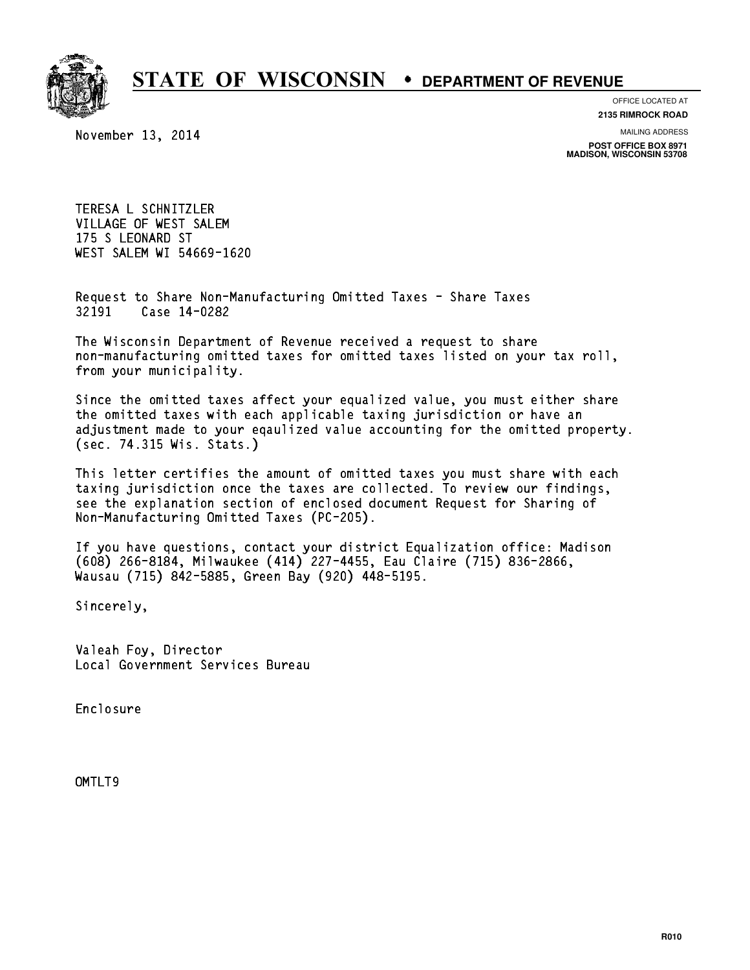

#### OFFICE LOCATED AT

November 13, 2014

**2135 RIMROCK ROAD**

MAILING ADDRESS

**POST OFFICE BOX 8971 MADISON, WISCONSIN 53708**

TERESA L SCHNITZLER VILLAGE OF WEST SALEM 175 S LEONARD ST WEST SALEM WI 54669-1620

Request to Share Non-Manufacturing Omitted Taxes - Share Taxes Request to Share Non-Man<br>32191 Case 14-0282

The Wisconsin Department of Revenue received a request to share The Wisconsin Department of Revenue received a request to share<br>non-manufacturing omitted taxes for omitted taxes listed on your tax roll, non-manufacturing omitted<br>from your municipality.

Since the omitted taxes affect your equalized value, you must either share the omitted taxes with each applicable taxing jurisdiction or have an adjustment made to your eqaulized value accounting for the omitted property. (sec. 74.315 Wis. Stats.)

This letter certifies the amount of omitted taxes you must share with each taxing jurisdiction once the taxes are collected. To review our findings, see the explanation section of enclosed document Request for Sharing of Non-Manufacturing Omitted Taxes (PC-205).

If you have questions, contact your district Equalization office: Madison If you have questions, contact your district Equalization office: Madis<br>(608) 266-8184, Milwaukee (414) 227-4455, Eau Claire (715) 836-2866,<br>.. (608) 266-8184, Milwaukee (414) 227-4455, Eau Clair<br>Wausau (715) 842-5885, Green Bay (920) 448-5195.

Sincerely,

Valeah Foy, Director Local Government Services Bureau

Enclosure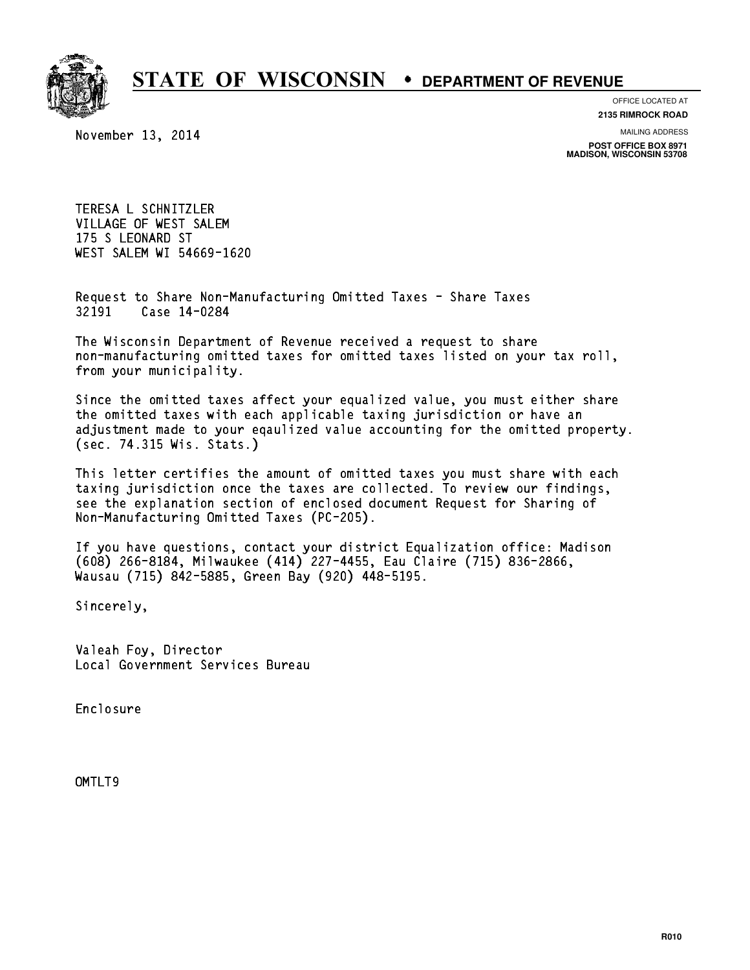

November 13, 2014

OFFICE LOCATED AT **2135 RIMROCK ROAD**

MAILING ADDRESS

**POST OFFICE BOX 8971 MADISON, WISCONSIN 53708**

TERESA L SCHNITZLER VILLAGE OF WEST SALEM 175 S LEONARD ST WEST SALEM WI 54669-1620

Request to Share Non-Manufacturing Omitted Taxes - Share Taxes Request to Share Non-Man<br>32191 Case 14-0284

The Wisconsin Department of Revenue received a request to share The Wisconsin Department of Revenue received a request to share<br>non-manufacturing omitted taxes for omitted taxes listed on your tax roll, non-manufacturing omitted<br>from your municipality.

Since the omitted taxes affect your equalized value, you must either share the omitted taxes with each applicable taxing jurisdiction or have an adjustment made to your eqaulized value accounting for the omitted property. (sec. 74.315 Wis. Stats.)

This letter certifies the amount of omitted taxes you must share with each taxing jurisdiction once the taxes are collected. To review our findings, see the explanation section of enclosed document Request for Sharing of Non-Manufacturing Omitted Taxes (PC-205).

If you have questions, contact your district Equalization office: Madison If you have questions, contact your district Equalization office: Madis<br>(608) 266-8184, Milwaukee (414) 227-4455, Eau Claire (715) 836-2866,<br>.. (608) 266-8184, Milwaukee (414) 227-4455, Eau Clair<br>Wausau (715) 842-5885, Green Bay (920) 448-5195.

Sincerely,

Valeah Foy, Director Local Government Services Bureau

Enclosure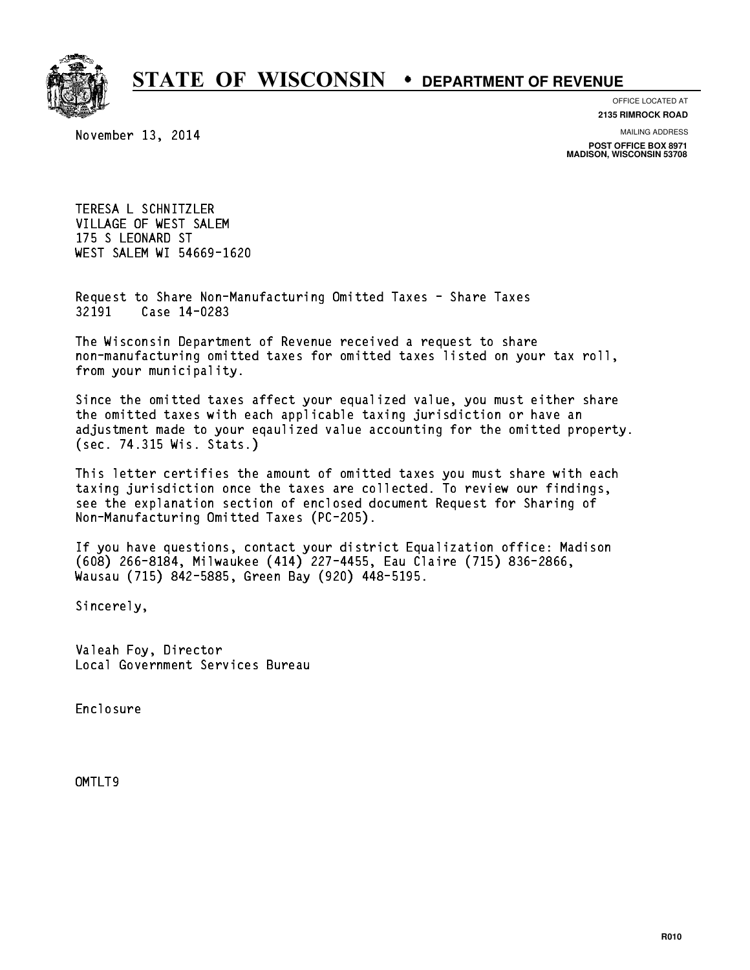

November 13, 2014

OFFICE LOCATED AT **2135 RIMROCK ROAD**

MAILING ADDRESS

**POST OFFICE BOX 8971 MADISON, WISCONSIN 53708**

TERESA L SCHNITZLER VILLAGE OF WEST SALEM 175 S LEONARD ST WEST SALEM WI 54669-1620

Request to Share Non-Manufacturing Omitted Taxes - Share Taxes Request to Share Non-Man<br>32191 Case 14-0283

The Wisconsin Department of Revenue received a request to share The Wisconsin Department of Revenue received a request to share<br>non-manufacturing omitted taxes for omitted taxes listed on your tax roll, non-manufacturing omitted<br>from your municipality.

Since the omitted taxes affect your equalized value, you must either share the omitted taxes with each applicable taxing jurisdiction or have an adjustment made to your eqaulized value accounting for the omitted property. (sec. 74.315 Wis. Stats.)

This letter certifies the amount of omitted taxes you must share with each taxing jurisdiction once the taxes are collected. To review our findings, see the explanation section of enclosed document Request for Sharing of Non-Manufacturing Omitted Taxes (PC-205).

If you have questions, contact your district Equalization office: Madison If you have questions, contact your district Equalization office: Madis<br>(608) 266-8184, Milwaukee (414) 227-4455, Eau Claire (715) 836-2866,<br>.. (608) 266-8184, Milwaukee (414) 227-4455, Eau Clair<br>Wausau (715) 842-5885, Green Bay (920) 448-5195.

Sincerely,

Valeah Foy, Director Local Government Services Bureau

Enclosure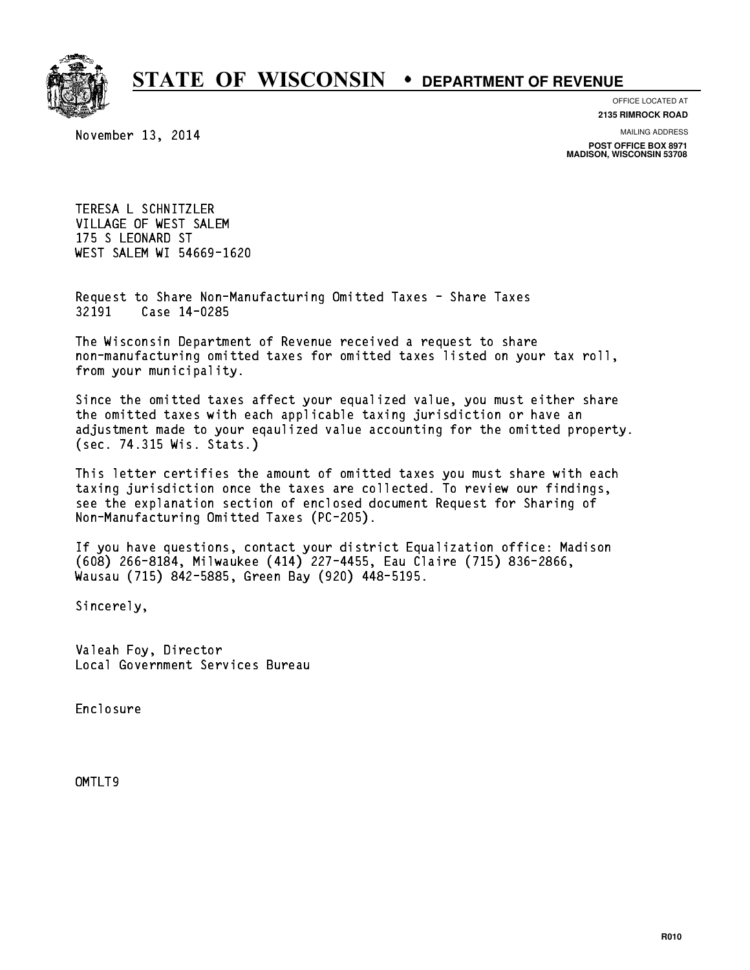

### OFFICE LOCATED AT

November 13, 2014

**2135 RIMROCK ROAD**

MAILING ADDRESS

**POST OFFICE BOX 8971 MADISON, WISCONSIN 53708**

TERESA L SCHNITZLER VILLAGE OF WEST SALEM 175 S LEONARD ST WEST SALEM WI 54669-1620

Request to Share Non-Manufacturing Omitted Taxes - Share Taxes Request to Share Non-Man<br>32191 Case 14-0285

The Wisconsin Department of Revenue received a request to share The Wisconsin Department of Revenue received a request to share<br>non-manufacturing omitted taxes for omitted taxes listed on your tax roll, non-manufacturing omitted<br>from your municipality.

Since the omitted taxes affect your equalized value, you must either share the omitted taxes with each applicable taxing jurisdiction or have an adjustment made to your eqaulized value accounting for the omitted property. (sec. 74.315 Wis. Stats.)

This letter certifies the amount of omitted taxes you must share with each taxing jurisdiction once the taxes are collected. To review our findings, see the explanation section of enclosed document Request for Sharing of Non-Manufacturing Omitted Taxes (PC-205).

If you have questions, contact your district Equalization office: Madison If you have questions, contact your district Equalization office: Madis<br>(608) 266-8184, Milwaukee (414) 227-4455, Eau Claire (715) 836-2866,<br>.. (608) 266-8184, Milwaukee (414) 227-4455, Eau Clair<br>Wausau (715) 842-5885, Green Bay (920) 448-5195.

Sincerely,

Valeah Foy, Director Local Government Services Bureau

Enclosure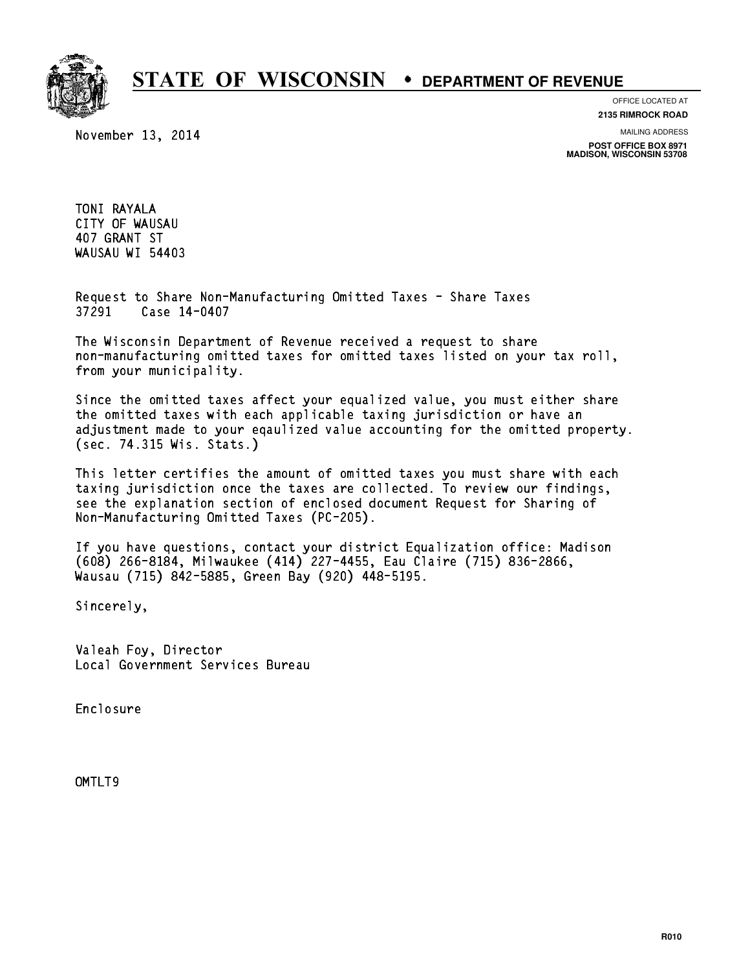

November 13, 2014

OFFICE LOCATED AT **2135 RIMROCK ROAD**

MAILING ADDRESS

**POST OFFICE BOX 8971 MADISON, WISCONSIN 53708**

TONI RAYALA CITY OF WAUSAU 407 GRANT ST WAUSAU WI 54403

Request to Share Non-Manufacturing Omitted Taxes - Share Taxes Request to Share Non-Man<br>37291 Case 14-0407

The Wisconsin Department of Revenue received a request to share The Wisconsin Department of Revenue received a request to share<br>non-manufacturing omitted taxes for omitted taxes listed on your tax roll, non-manufacturing omitted<br>from your municipality.

Since the omitted taxes affect your equalized value, you must either share the omitted taxes with each applicable taxing jurisdiction or have an adjustment made to your eqaulized value accounting for the omitted property. (sec. 74.315 Wis. Stats.)

This letter certifies the amount of omitted taxes you must share with each taxing jurisdiction once the taxes are collected. To review our findings, see the explanation section of enclosed document Request for Sharing of Non-Manufacturing Omitted Taxes (PC-205).

If you have questions, contact your district Equalization office: Madison If you have questions, contact your district Equalization office: Madis<br>(608) 266-8184, Milwaukee (414) 227-4455, Eau Claire (715) 836-2866,<br>.. (608) 266-8184, Milwaukee (414) 227-4455, Eau Clair<br>Wausau (715) 842-5885, Green Bay (920) 448-5195.

Sincerely,

Valeah Foy, Director Local Government Services Bureau

Enclosure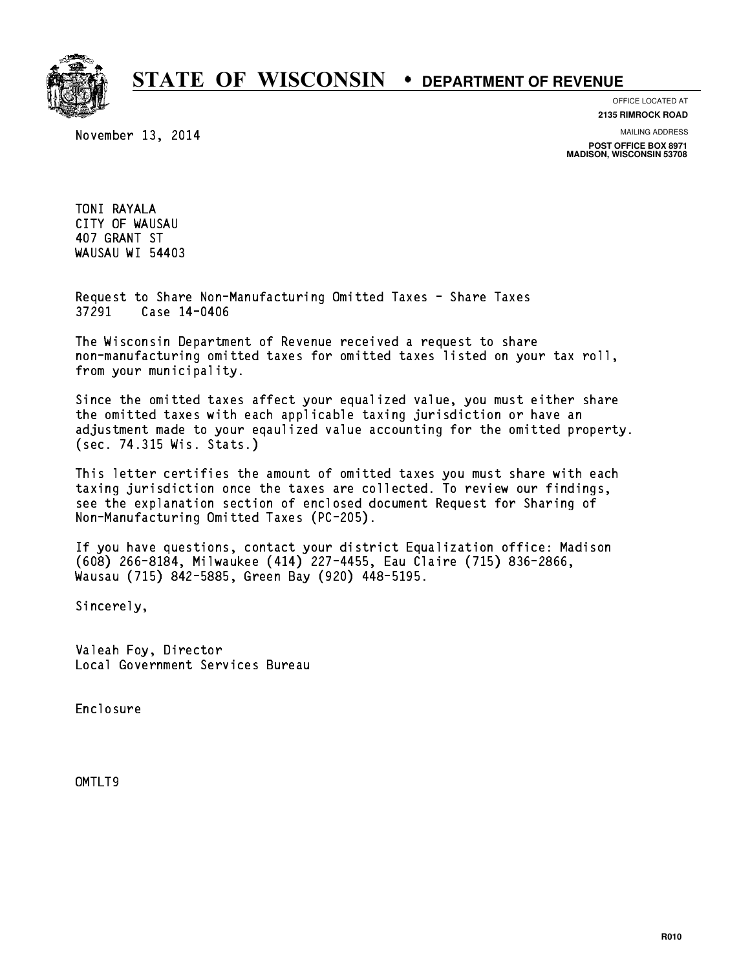

November 13, 2014

OFFICE LOCATED AT **2135 RIMROCK ROAD**

MAILING ADDRESS

**POST OFFICE BOX 8971 MADISON, WISCONSIN 53708**

TONI RAYALA CITY OF WAUSAU 407 GRANT ST WAUSAU WI 54403

Request to Share Non-Manufacturing Omitted Taxes - Share Taxes Request to Share Non-Man<br>37291 Case 14-0406

The Wisconsin Department of Revenue received a request to share The Wisconsin Department of Revenue received a request to share<br>non-manufacturing omitted taxes for omitted taxes listed on your tax roll, non-manufacturing omitted<br>from your municipality.

Since the omitted taxes affect your equalized value, you must either share the omitted taxes with each applicable taxing jurisdiction or have an adjustment made to your eqaulized value accounting for the omitted property. (sec. 74.315 Wis. Stats.)

This letter certifies the amount of omitted taxes you must share with each taxing jurisdiction once the taxes are collected. To review our findings, see the explanation section of enclosed document Request for Sharing of Non-Manufacturing Omitted Taxes (PC-205).

If you have questions, contact your district Equalization office: Madison If you have questions, contact your district Equalization office: Madis<br>(608) 266-8184, Milwaukee (414) 227-4455, Eau Claire (715) 836-2866,<br>.. (608) 266-8184, Milwaukee (414) 227-4455, Eau Clair<br>Wausau (715) 842-5885, Green Bay (920) 448-5195.

Sincerely,

Valeah Foy, Director Local Government Services Bureau

Enclosure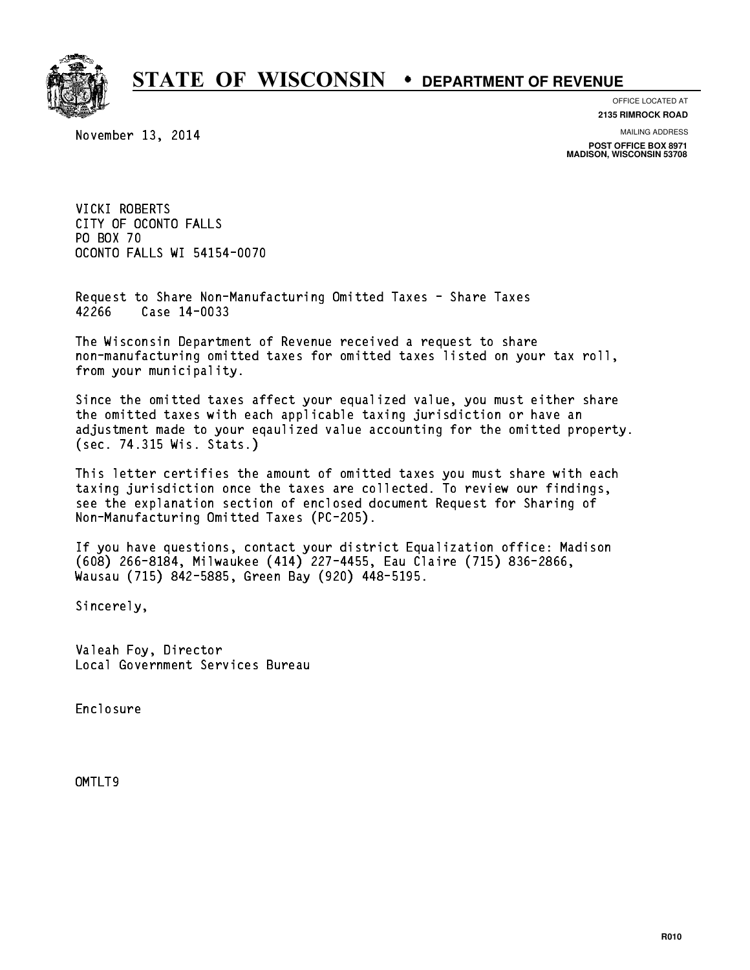

### OFFICE LOCATED AT

November 13, 2014

**2135 RIMROCK ROAD**

MAILING ADDRESS

**POST OFFICE BOX 8971 MADISON, WISCONSIN 53708**

VICKI ROBERTS VICKI ROBERTS<br>CITY OF OCONTO FALLS CITY OF OCON<br>PO BOX 70<br>COOUTS FillS PO BOX 70<br>OCONTO FALLS WI 54154-0070

Request to Share Non-Manufacturing Omitted Taxes - Share Taxes Request to Share Non-Man<br>42266 Case 14-0033

The Wisconsin Department of Revenue received a request to share The Wisconsin Department of Revenue received a request to share<br>non-manufacturing omitted taxes for omitted taxes listed on your tax roll, non-manufacturing omitted<br>from your municipality.

Since the omitted taxes affect your equalized value, you must either share the omitted taxes with each applicable taxing jurisdiction or have an adjustment made to your eqaulized value accounting for the omitted property. (sec. 74.315 Wis. Stats.)

This letter certifies the amount of omitted taxes you must share with each taxing jurisdiction once the taxes are collected. To review our findings, see the explanation section of enclosed document Request for Sharing of Non-Manufacturing Omitted Taxes (PC-205).

If you have questions, contact your district Equalization office: Madison If you have questions, contact your district Equalization office: Madis<br>(608) 266-8184, Milwaukee (414) 227-4455, Eau Claire (715) 836-2866,<br>.. (608) 266-8184, Milwaukee (414) 227-4455, Eau Clair<br>Wausau (715) 842-5885, Green Bay (920) 448-5195.

Sincerely,

Valeah Foy, Director Local Government Services Bureau

Enclosure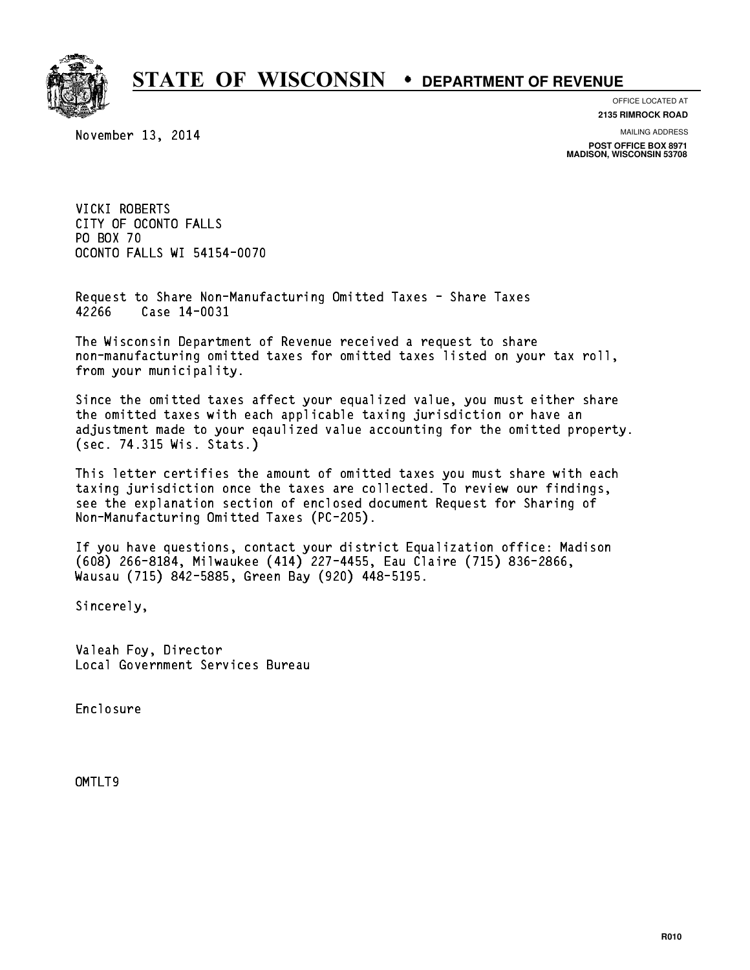

### OFFICE LOCATED AT

November 13, 2014

**2135 RIMROCK ROAD**

MAILING ADDRESS

**POST OFFICE BOX 8971 MADISON, WISCONSIN 53708**

VICKI ROBERTS VICKI ROBERTS<br>CITY OF OCONTO FALLS CITY OF OCON<br>PO BOX 70<br>COOUTS FillS PO BOX 70<br>OCONTO FALLS WI 54154-0070

Request to Share Non-Manufacturing Omitted Taxes - Share Taxes Request to Share Non-Man<br>42266 Case 14-0031

The Wisconsin Department of Revenue received a request to share The Wisconsin Department of Revenue received a request to share<br>non-manufacturing omitted taxes for omitted taxes listed on your tax roll, non-manufacturing omitted<br>from your municipality.

Since the omitted taxes affect your equalized value, you must either share the omitted taxes with each applicable taxing jurisdiction or have an adjustment made to your eqaulized value accounting for the omitted property. (sec. 74.315 Wis. Stats.)

This letter certifies the amount of omitted taxes you must share with each taxing jurisdiction once the taxes are collected. To review our findings, see the explanation section of enclosed document Request for Sharing of Non-Manufacturing Omitted Taxes (PC-205).

If you have questions, contact your district Equalization office: Madison If you have questions, contact your district Equalization office: Madis<br>(608) 266-8184, Milwaukee (414) 227-4455, Eau Claire (715) 836-2866,<br>.. (608) 266-8184, Milwaukee (414) 227-4455, Eau Clair<br>Wausau (715) 842-5885, Green Bay (920) 448-5195.

Sincerely,

Valeah Foy, Director Local Government Services Bureau

Enclosure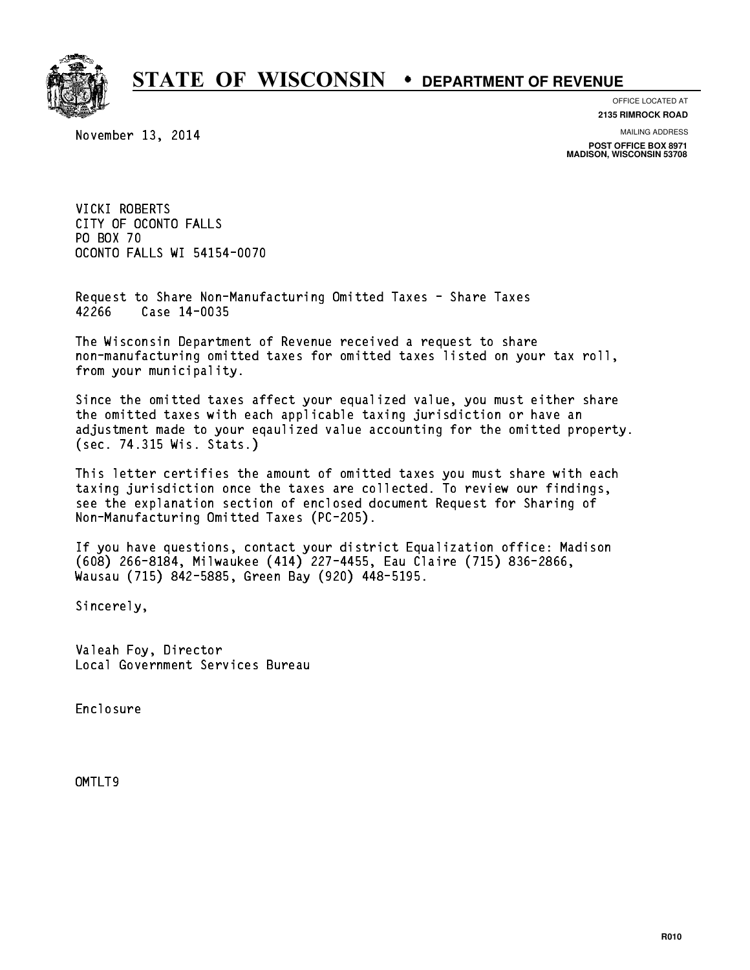

### OFFICE LOCATED AT

November 13, 2014

**2135 RIMROCK ROAD**

MAILING ADDRESS

**POST OFFICE BOX 8971 MADISON, WISCONSIN 53708**

VICKI ROBERTS VICKI ROBERTS<br>CITY OF OCONTO FALLS CITY OF OCON<br>PO BOX 70<br>COOUTS FillS PO BOX 70<br>OCONTO FALLS WI 54154-0070

Request to Share Non-Manufacturing Omitted Taxes - Share Taxes Request to Share Non-Man<br>42266 Case 14-0035

The Wisconsin Department of Revenue received a request to share The Wisconsin Department of Revenue received a request to share<br>non-manufacturing omitted taxes for omitted taxes listed on your tax roll, non-manufacturing omitted<br>from your municipality.

Since the omitted taxes affect your equalized value, you must either share the omitted taxes with each applicable taxing jurisdiction or have an adjustment made to your eqaulized value accounting for the omitted property. (sec. 74.315 Wis. Stats.)

This letter certifies the amount of omitted taxes you must share with each taxing jurisdiction once the taxes are collected. To review our findings, see the explanation section of enclosed document Request for Sharing of Non-Manufacturing Omitted Taxes (PC-205).

If you have questions, contact your district Equalization office: Madison If you have questions, contact your district Equalization office: Madis<br>(608) 266-8184, Milwaukee (414) 227-4455, Eau Claire (715) 836-2866,<br>.. (608) 266-8184, Milwaukee (414) 227-4455, Eau Clair<br>Wausau (715) 842-5885, Green Bay (920) 448-5195.

Sincerely,

Valeah Foy, Director Local Government Services Bureau

Enclosure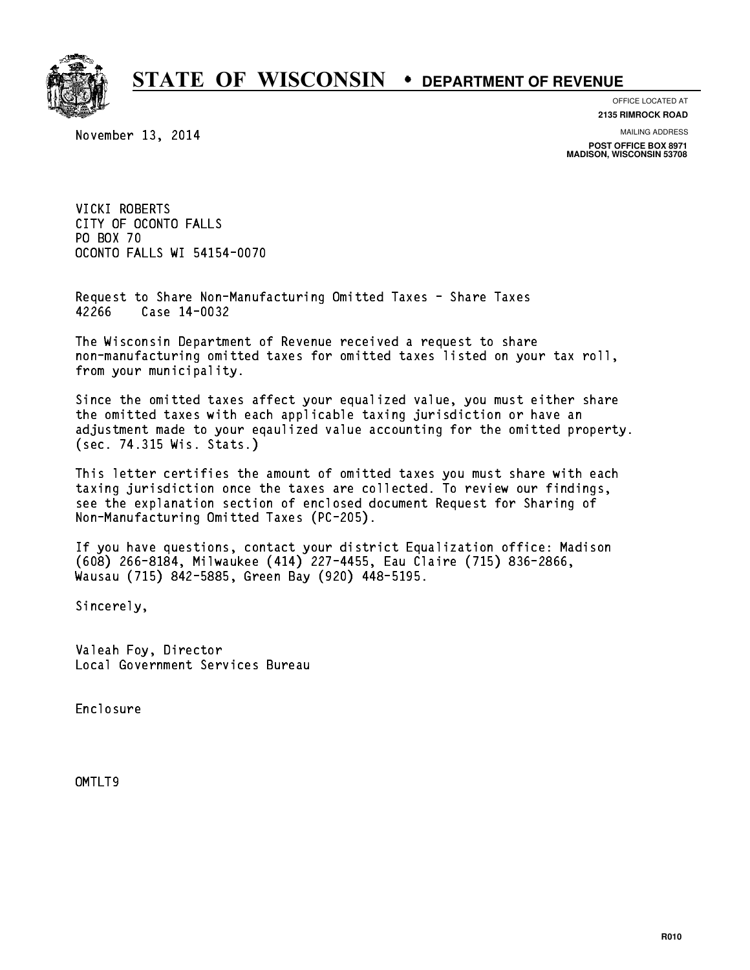

### OFFICE LOCATED AT

November 13, 2014

**2135 RIMROCK ROAD**

MAILING ADDRESS

**POST OFFICE BOX 8971 MADISON, WISCONSIN 53708**

VICKI ROBERTS VICKI ROBERTS<br>CITY OF OCONTO FALLS CITY OF OCON<br>PO BOX 70<br>COOUTS FillS PO BOX 70<br>OCONTO FALLS WI 54154-0070

Request to Share Non-Manufacturing Omitted Taxes - Share Taxes Request to Share Non-Man<br>42266 Case 14-0032

The Wisconsin Department of Revenue received a request to share The Wisconsin Department of Revenue received a request to share<br>non-manufacturing omitted taxes for omitted taxes listed on your tax roll, non-manufacturing omitted<br>from your municipality.

Since the omitted taxes affect your equalized value, you must either share the omitted taxes with each applicable taxing jurisdiction or have an adjustment made to your eqaulized value accounting for the omitted property. (sec. 74.315 Wis. Stats.)

This letter certifies the amount of omitted taxes you must share with each taxing jurisdiction once the taxes are collected. To review our findings, see the explanation section of enclosed document Request for Sharing of Non-Manufacturing Omitted Taxes (PC-205).

If you have questions, contact your district Equalization office: Madison If you have questions, contact your district Equalization office: Madis<br>(608) 266-8184, Milwaukee (414) 227-4455, Eau Claire (715) 836-2866,<br>.. (608) 266-8184, Milwaukee (414) 227-4455, Eau Clair<br>Wausau (715) 842-5885, Green Bay (920) 448-5195.

Sincerely,

Valeah Foy, Director Local Government Services Bureau

Enclosure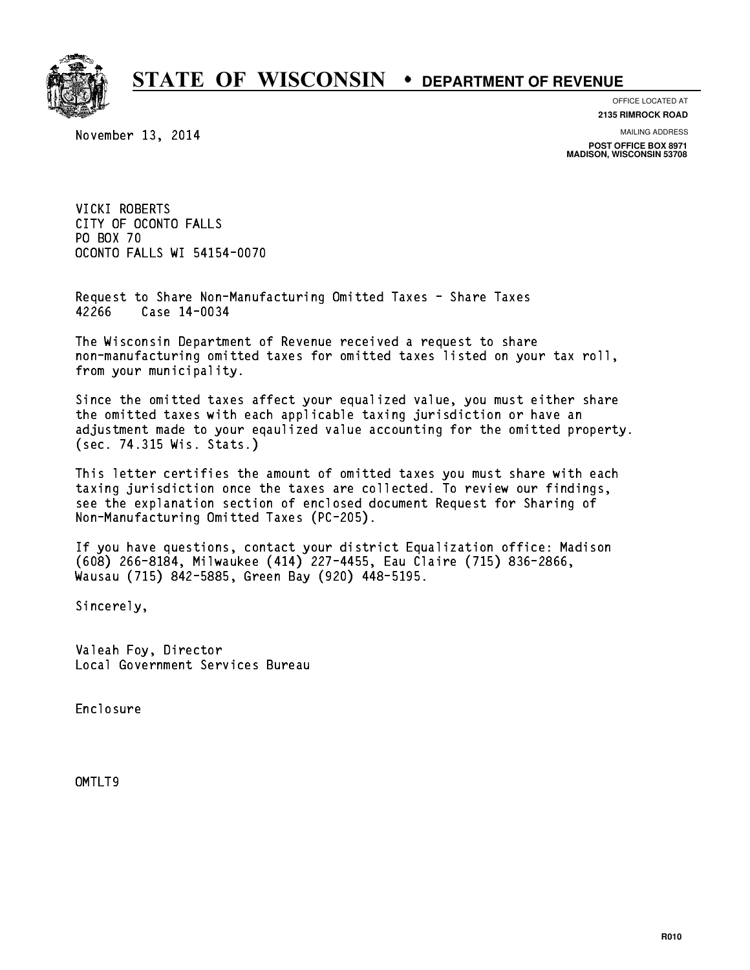

### OFFICE LOCATED AT

November 13, 2014

**2135 RIMROCK ROAD**

MAILING ADDRESS

**POST OFFICE BOX 8971 MADISON, WISCONSIN 53708**

VICKI ROBERTS VICKI ROBERTS<br>CITY OF OCONTO FALLS CITY OF OCON<br>PO BOX 70<br>COOUTS FillS PO BOX 70<br>OCONTO FALLS WI 54154-0070

Request to Share Non-Manufacturing Omitted Taxes - Share Taxes Request to Share Non-Man<br>42266 Case 14-0034

The Wisconsin Department of Revenue received a request to share The Wisconsin Department of Revenue received a request to share<br>non-manufacturing omitted taxes for omitted taxes listed on your tax roll, non-manufacturing omitted<br>from your municipality.

Since the omitted taxes affect your equalized value, you must either share the omitted taxes with each applicable taxing jurisdiction or have an adjustment made to your eqaulized value accounting for the omitted property. (sec. 74.315 Wis. Stats.)

This letter certifies the amount of omitted taxes you must share with each taxing jurisdiction once the taxes are collected. To review our findings, see the explanation section of enclosed document Request for Sharing of Non-Manufacturing Omitted Taxes (PC-205).

If you have questions, contact your district Equalization office: Madison If you have questions, contact your district Equalization office: Madis<br>(608) 266-8184, Milwaukee (414) 227-4455, Eau Claire (715) 836-2866,<br>.. (608) 266-8184, Milwaukee (414) 227-4455, Eau Clair<br>Wausau (715) 842-5885, Green Bay (920) 448-5195.

Sincerely,

Valeah Foy, Director Local Government Services Bureau

Enclosure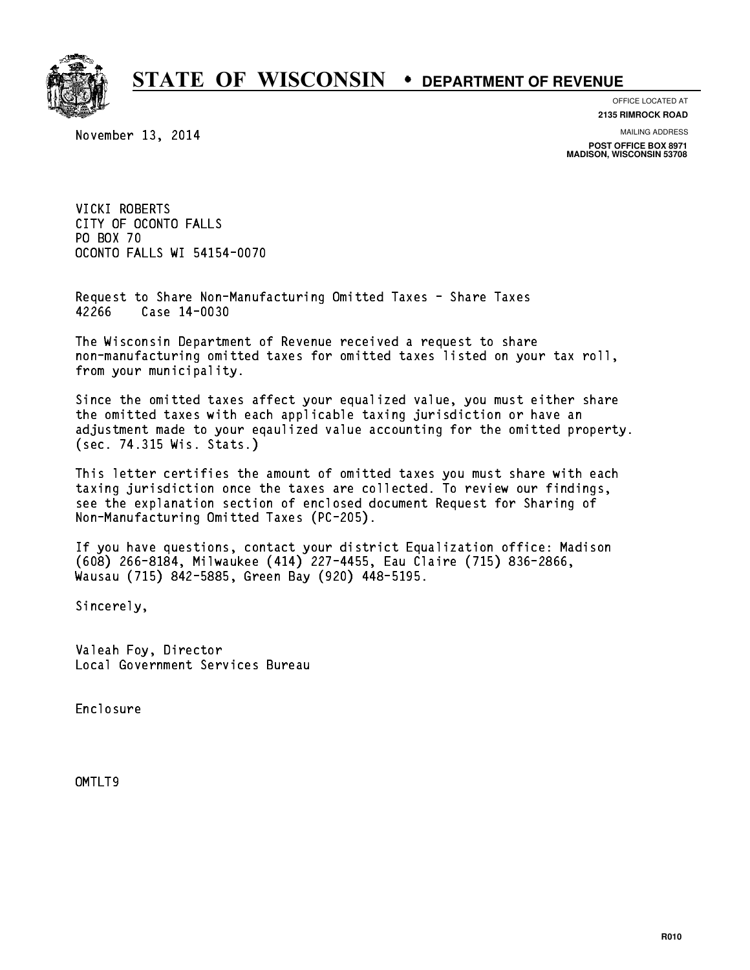

### OFFICE LOCATED AT

November 13, 2014

**2135 RIMROCK ROAD**

MAILING ADDRESS

**POST OFFICE BOX 8971 MADISON, WISCONSIN 53708**

VICKI ROBERTS VICKI ROBERTS<br>CITY OF OCONTO FALLS CITY OF OCON<br>PO BOX 70<br>COOUTS FillS PO BOX 70<br>OCONTO FALLS WI 54154-0070

Request to Share Non-Manufacturing Omitted Taxes - Share Taxes Request to Share Non-Man<br>42266 Case 14-0030

The Wisconsin Department of Revenue received a request to share The Wisconsin Department of Revenue received a request to share<br>non-manufacturing omitted taxes for omitted taxes listed on your tax roll, non-manufacturing omitted<br>from your municipality.

Since the omitted taxes affect your equalized value, you must either share the omitted taxes with each applicable taxing jurisdiction or have an adjustment made to your eqaulized value accounting for the omitted property. (sec. 74.315 Wis. Stats.)

This letter certifies the amount of omitted taxes you must share with each taxing jurisdiction once the taxes are collected. To review our findings, see the explanation section of enclosed document Request for Sharing of Non-Manufacturing Omitted Taxes (PC-205).

If you have questions, contact your district Equalization office: Madison If you have questions, contact your district Equalization office: Madis<br>(608) 266-8184, Milwaukee (414) 227-4455, Eau Claire (715) 836-2866,<br>.. (608) 266-8184, Milwaukee (414) 227-4455, Eau Clair<br>Wausau (715) 842-5885, Green Bay (920) 448-5195.

Sincerely,

Valeah Foy, Director Local Government Services Bureau

Enclosure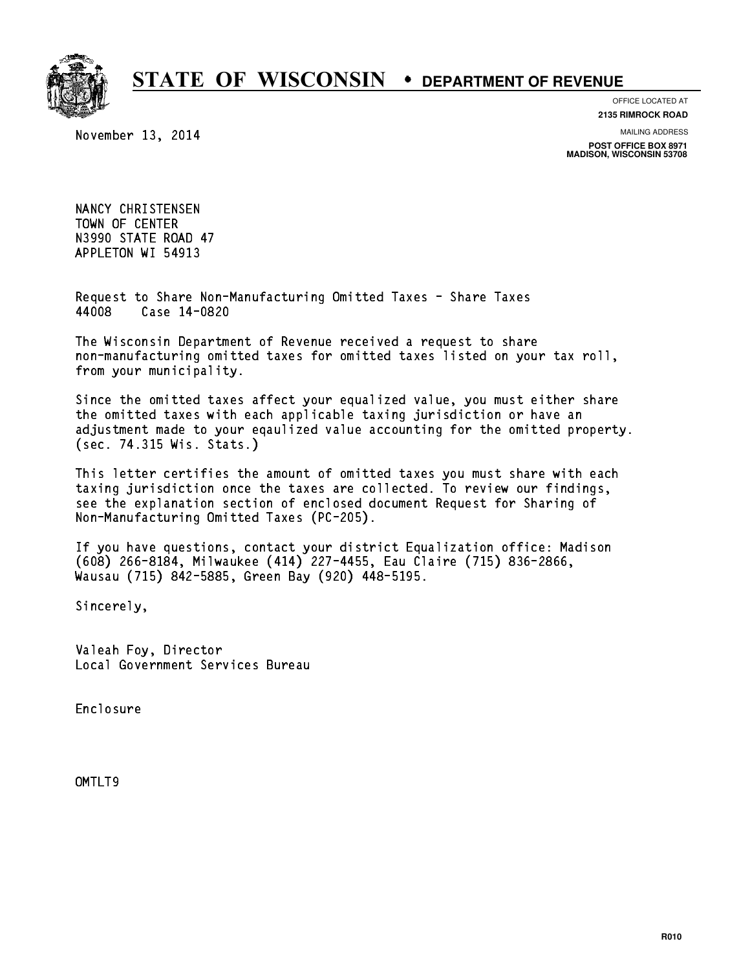

### OFFICE LOCATED AT

November 13, 2014

**2135 RIMROCK ROAD**

MAILING ADDRESS

**POST OFFICE BOX 8971 MADISON, WISCONSIN 53708**

NANCY CHRISTENSEN NANCY CHRISTENSEN<br>TOWN OF CENTER<br>UGOOO TIET ERIT TOWN OF CENTER<br>N3990 STATE ROAD 47 APPLETON WI 54913

Request to Share Non-Manufacturing Omitted Taxes - Share Taxes Request to Share Non-Man<br>44008 Case 14-0820

The Wisconsin Department of Revenue received a request to share The Wisconsin Department of Revenue received a request to share<br>non-manufacturing omitted taxes for omitted taxes listed on your tax roll, non-manufacturing omitted<br>from your municipality.

Since the omitted taxes affect your equalized value, you must either share the omitted taxes with each applicable taxing jurisdiction or have an adjustment made to your eqaulized value accounting for the omitted property. (sec. 74.315 Wis. Stats.)

This letter certifies the amount of omitted taxes you must share with each taxing jurisdiction once the taxes are collected. To review our findings, see the explanation section of enclosed document Request for Sharing of Non-Manufacturing Omitted Taxes (PC-205).

If you have questions, contact your district Equalization office: Madison If you have questions, contact your district Equalization office: Madis<br>(608) 266-8184, Milwaukee (414) 227-4455, Eau Claire (715) 836-2866,<br>.. (608) 266-8184, Milwaukee (414) 227-4455, Eau Clair<br>Wausau (715) 842-5885, Green Bay (920) 448-5195.

Sincerely,

Valeah Foy, Director Local Government Services Bureau

Enclosure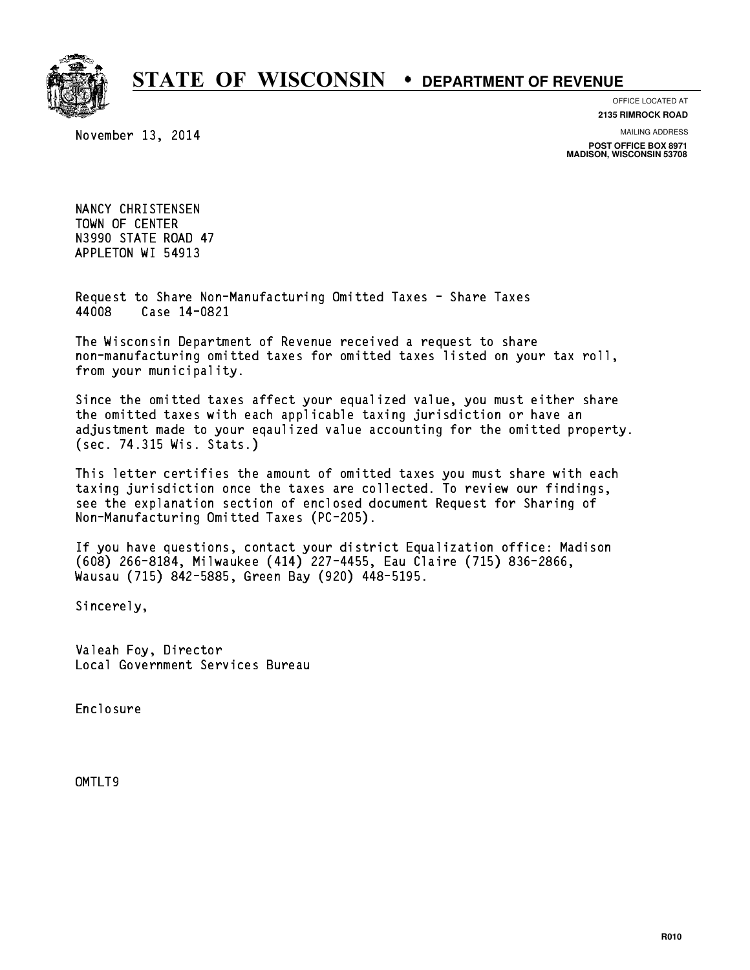

### OFFICE LOCATED AT

November 13, 2014

**2135 RIMROCK ROAD**

MAILING ADDRESS

**POST OFFICE BOX 8971 MADISON, WISCONSIN 53708**

NANCY CHRISTENSEN NANCY CHRISTENSEN<br>TOWN OF CENTER<br>UGOOO TIET ERIT TOWN OF CENTER<br>N3990 STATE ROAD 47 APPLETON WI 54913

Request to Share Non-Manufacturing Omitted Taxes - Share Taxes Request to Share Non-Man<br>44008 Case 14-0821

The Wisconsin Department of Revenue received a request to share The Wisconsin Department of Revenue received a request to share<br>non-manufacturing omitted taxes for omitted taxes listed on your tax roll, non-manufacturing omitted<br>from your municipality.

Since the omitted taxes affect your equalized value, you must either share the omitted taxes with each applicable taxing jurisdiction or have an adjustment made to your eqaulized value accounting for the omitted property. (sec. 74.315 Wis. Stats.)

This letter certifies the amount of omitted taxes you must share with each taxing jurisdiction once the taxes are collected. To review our findings, see the explanation section of enclosed document Request for Sharing of Non-Manufacturing Omitted Taxes (PC-205).

If you have questions, contact your district Equalization office: Madison If you have questions, contact your district Equalization office: Madis<br>(608) 266-8184, Milwaukee (414) 227-4455, Eau Claire (715) 836-2866,<br>.. (608) 266-8184, Milwaukee (414) 227-4455, Eau Clair<br>Wausau (715) 842-5885, Green Bay (920) 448-5195.

Sincerely,

Valeah Foy, Director Local Government Services Bureau

Enclosure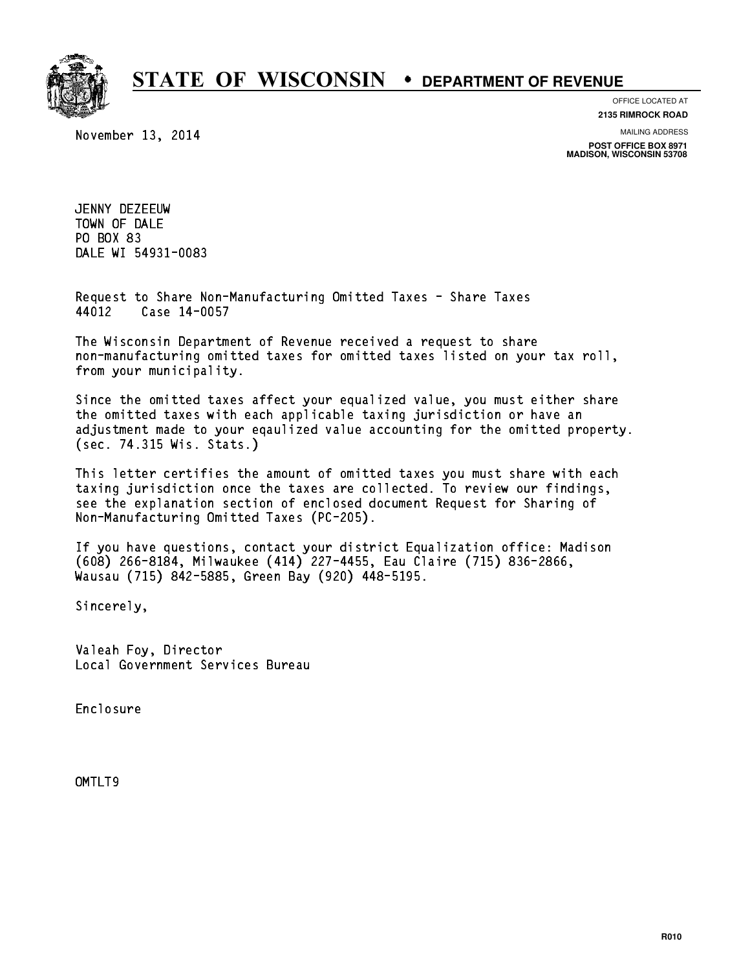

November 13, 2014

OFFICE LOCATED AT **2135 RIMROCK ROAD**

MAILING ADDRESS

**POST OFFICE BOX 8971 MADISON, WISCONSIN 53708**

JENNY DEZEEUW JENNY DEZEEUW<br>TOWN OF DALE<br>PROVICE TOWN OF DALE<br>PO BOX 83<br>Pile UI 5400 PO BOX 83<br>DALE WI 54931-0083

Request to Share Non-Manufacturing Omitted Taxes - Share Taxes Request to Share Non-Man<br>44012 Case 14-0057

The Wisconsin Department of Revenue received a request to share The Wisconsin Department of Revenue received a request to share<br>non-manufacturing omitted taxes for omitted taxes listed on your tax roll, non-manufacturing omitted<br>from your municipality.

Since the omitted taxes affect your equalized value, you must either share the omitted taxes with each applicable taxing jurisdiction or have an adjustment made to your eqaulized value accounting for the omitted property. (sec. 74.315 Wis. Stats.)

This letter certifies the amount of omitted taxes you must share with each taxing jurisdiction once the taxes are collected. To review our findings, see the explanation section of enclosed document Request for Sharing of Non-Manufacturing Omitted Taxes (PC-205).

If you have questions, contact your district Equalization office: Madison If you have questions, contact your district Equalization office: Madis<br>(608) 266-8184, Milwaukee (414) 227-4455, Eau Claire (715) 836-2866,<br>.. (608) 266-8184, Milwaukee (414) 227-4455, Eau Clair<br>Wausau (715) 842-5885, Green Bay (920) 448-5195.

Sincerely,

Valeah Foy, Director Local Government Services Bureau

Enclosure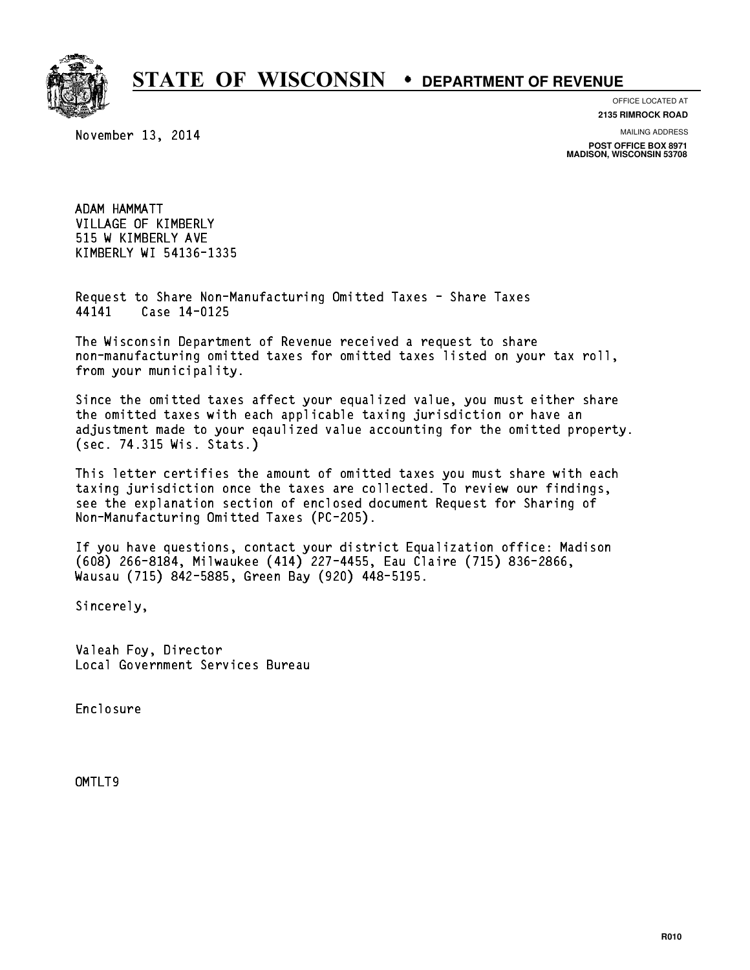

OFFICE LOCATED AT

November 13, 2014

**2135 RIMROCK ROAD**

MAILING ADDRESS

**POST OFFICE BOX 8971 MADISON, WISCONSIN 53708**

ADAM HAMMATT VILLAGE OF KIMBERLY 515 W KIMBERLY AVE KIMBERLY WI 54136-1335

Request to Share Non-Manufacturing Omitted Taxes - Share Taxes Request to Share Non-Man<br>44141 Case 14-0125

The Wisconsin Department of Revenue received a request to share The Wisconsin Department of Revenue received a request to share<br>non-manufacturing omitted taxes for omitted taxes listed on your tax roll, non-manufacturing omitted<br>from your municipality.

Since the omitted taxes affect your equalized value, you must either share the omitted taxes with each applicable taxing jurisdiction or have an adjustment made to your eqaulized value accounting for the omitted property. (sec. 74.315 Wis. Stats.)

This letter certifies the amount of omitted taxes you must share with each taxing jurisdiction once the taxes are collected. To review our findings, see the explanation section of enclosed document Request for Sharing of Non-Manufacturing Omitted Taxes (PC-205).

If you have questions, contact your district Equalization office: Madison If you have questions, contact your district Equalization office: Madis<br>(608) 266-8184, Milwaukee (414) 227-4455, Eau Claire (715) 836-2866,<br>.. (608) 266-8184, Milwaukee (414) 227-4455, Eau Clair<br>Wausau (715) 842-5885, Green Bay (920) 448-5195.

Sincerely,

Valeah Foy, Director Local Government Services Bureau

Enclosure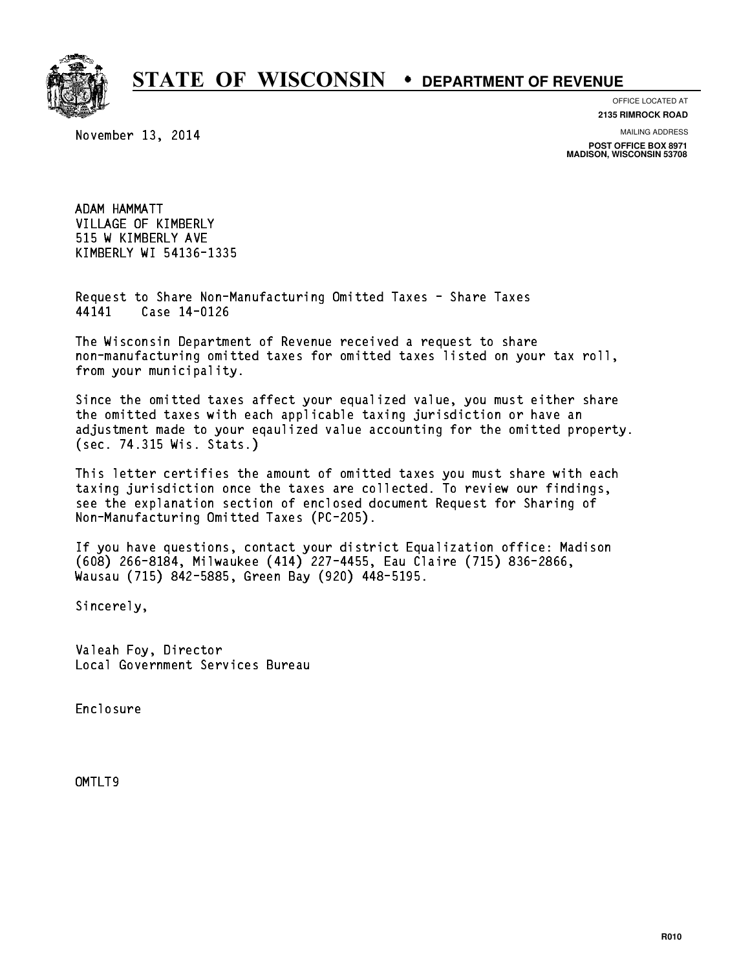

OFFICE LOCATED AT

November 13, 2014

**2135 RIMROCK ROAD**

MAILING ADDRESS

**POST OFFICE BOX 8971 MADISON, WISCONSIN 53708**

ADAM HAMMATT VILLAGE OF KIMBERLY 515 W KIMBERLY AVE KIMBERLY WI 54136-1335

Request to Share Non-Manufacturing Omitted Taxes - Share Taxes Request to Share Non-Man<br>44141 Case 14-0126

The Wisconsin Department of Revenue received a request to share The Wisconsin Department of Revenue received a request to share<br>non-manufacturing omitted taxes for omitted taxes listed on your tax roll, non-manufacturing omitted<br>from your municipality.

Since the omitted taxes affect your equalized value, you must either share the omitted taxes with each applicable taxing jurisdiction or have an adjustment made to your eqaulized value accounting for the omitted property. (sec. 74.315 Wis. Stats.)

This letter certifies the amount of omitted taxes you must share with each taxing jurisdiction once the taxes are collected. To review our findings, see the explanation section of enclosed document Request for Sharing of Non-Manufacturing Omitted Taxes (PC-205).

If you have questions, contact your district Equalization office: Madison If you have questions, contact your district Equalization office: Madis<br>(608) 266-8184, Milwaukee (414) 227-4455, Eau Claire (715) 836-2866,<br>.. (608) 266-8184, Milwaukee (414) 227-4455, Eau Clair<br>Wausau (715) 842-5885, Green Bay (920) 448-5195.

Sincerely,

Valeah Foy, Director Local Government Services Bureau

Enclosure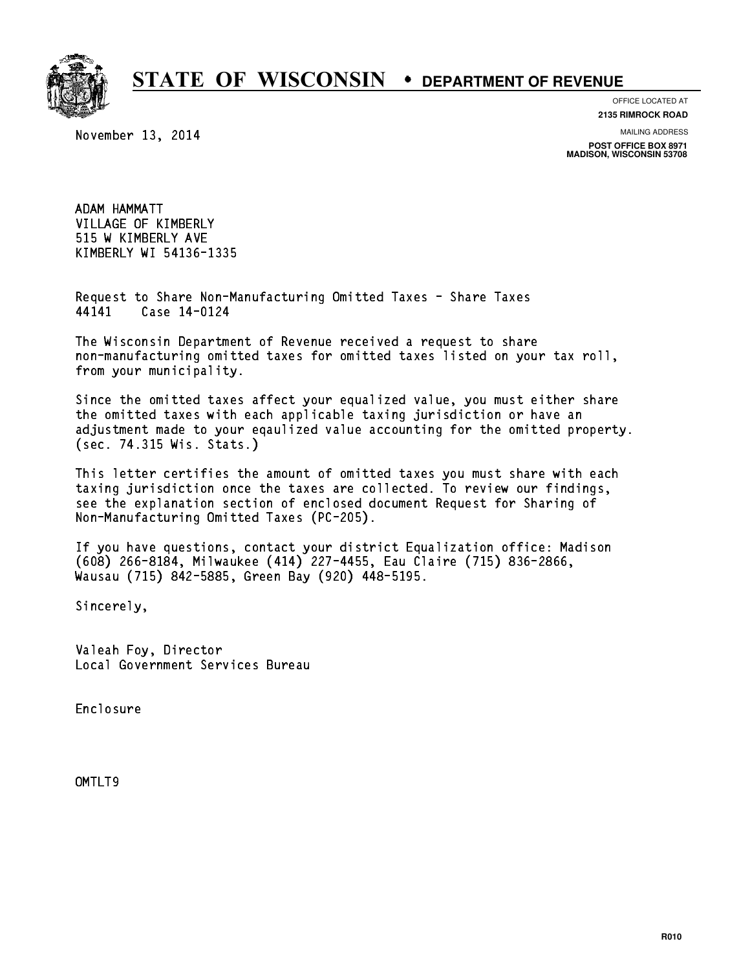

OFFICE LOCATED AT

November 13, 2014

**2135 RIMROCK ROAD**

MAILING ADDRESS

**POST OFFICE BOX 8971 MADISON, WISCONSIN 53708**

ADAM HAMMATT VILLAGE OF KIMBERLY 515 W KIMBERLY AVE KIMBERLY WI 54136-1335

Request to Share Non-Manufacturing Omitted Taxes - Share Taxes Request to Share Non-Man<br>44141 Case 14-0124

The Wisconsin Department of Revenue received a request to share The Wisconsin Department of Revenue received a request to share<br>non-manufacturing omitted taxes for omitted taxes listed on your tax roll, non-manufacturing omitted<br>from your municipality.

Since the omitted taxes affect your equalized value, you must either share the omitted taxes with each applicable taxing jurisdiction or have an adjustment made to your eqaulized value accounting for the omitted property. (sec. 74.315 Wis. Stats.)

This letter certifies the amount of omitted taxes you must share with each taxing jurisdiction once the taxes are collected. To review our findings, see the explanation section of enclosed document Request for Sharing of Non-Manufacturing Omitted Taxes (PC-205).

If you have questions, contact your district Equalization office: Madison If you have questions, contact your district Equalization office: Madis<br>(608) 266-8184, Milwaukee (414) 227-4455, Eau Claire (715) 836-2866,<br>.. (608) 266-8184, Milwaukee (414) 227-4455, Eau Clair<br>Wausau (715) 842-5885, Green Bay (920) 448-5195.

Sincerely,

Valeah Foy, Director Local Government Services Bureau

Enclosure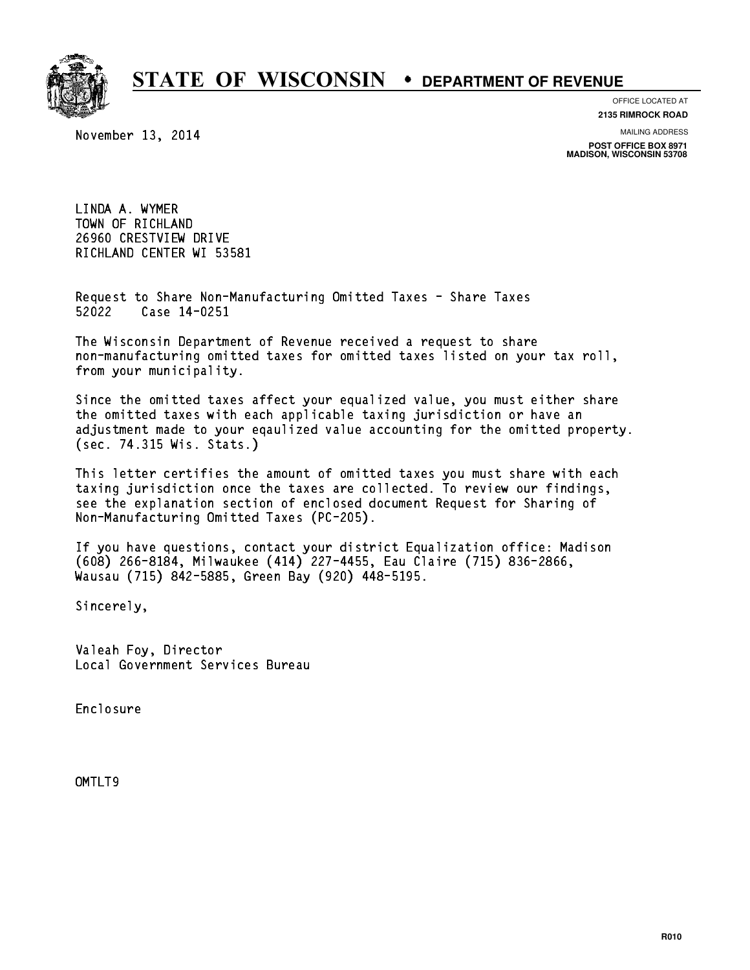

#### OFFICE LOCATED AT

November 13, 2014

**2135 RIMROCK ROAD**

MAILING ADDRESS

**POST OFFICE BOX 8971 MADISON, WISCONSIN 53708**

LINDA A. WYMER TOWN OF RICHLAND 26960 CRESTVIEW DRIVE RICHLAND CENTER WI 53581

Request to Share Non-Manufacturing Omitted Taxes - Share Taxes Request to Share Non-Man<br>52022 Case 14-0251

The Wisconsin Department of Revenue received a request to share The Wisconsin Department of Revenue received a request to share<br>non-manufacturing omitted taxes for omitted taxes listed on your tax roll, non-manufacturing omitted<br>from your municipality.

Since the omitted taxes affect your equalized value, you must either share the omitted taxes with each applicable taxing jurisdiction or have an adjustment made to your eqaulized value accounting for the omitted property. (sec. 74.315 Wis. Stats.)

This letter certifies the amount of omitted taxes you must share with each taxing jurisdiction once the taxes are collected. To review our findings, see the explanation section of enclosed document Request for Sharing of Non-Manufacturing Omitted Taxes (PC-205).

If you have questions, contact your district Equalization office: Madison If you have questions, contact your district Equalization office: Madis<br>(608) 266-8184, Milwaukee (414) 227-4455, Eau Claire (715) 836-2866,<br>.. (608) 266-8184, Milwaukee (414) 227-4455, Eau Clair<br>Wausau (715) 842-5885, Green Bay (920) 448-5195.

Sincerely,

Valeah Foy, Director Local Government Services Bureau

Enclosure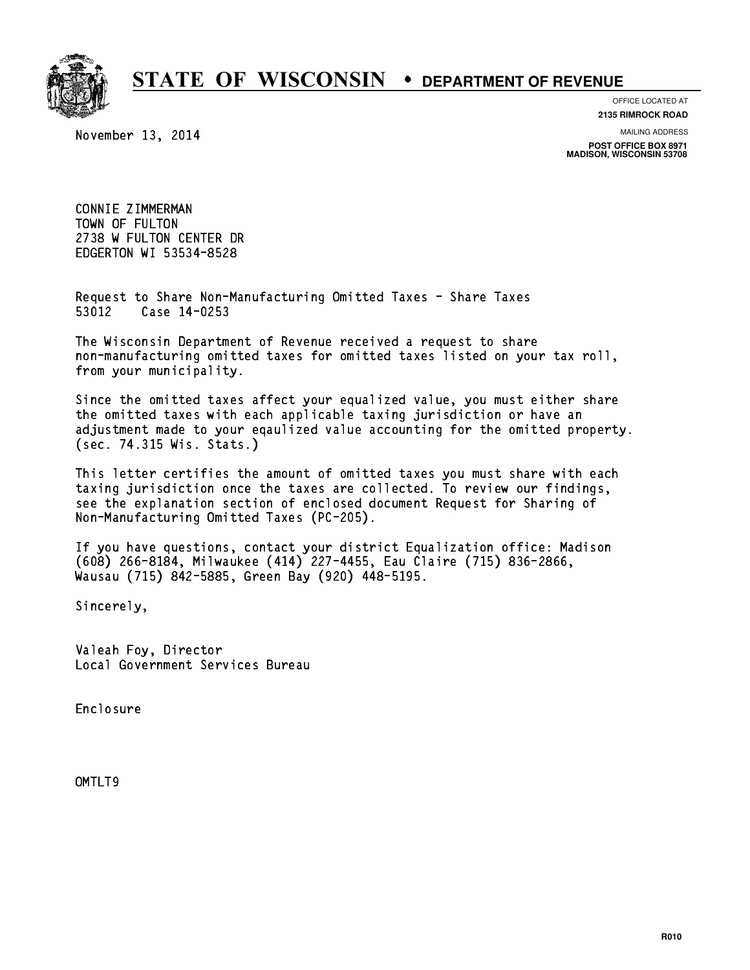

### OFFICE LOCATED AT

November 13, 2014

**2135 RIMROCK ROAD**

MAILING ADDRESS

**POST OFFICE BOX 8971 MADISON, WISCONSIN 53708**

CONNIE ZIMMERMAN CONNIE ZIMMERMAN<br>TOWN OF FULTON<br>TOWN OF FULTON ATU 2738 W FULTON CENTER DR EDGERTON WI 53534-8528

Request to Share Non-Manufacturing Omitted Taxes - Share Taxes Request to Share Non-Man<br>53012 Case 14-0253

The Wisconsin Department of Revenue received a request to share The Wisconsin Department of Revenue received a request to share<br>non-manufacturing omitted taxes for omitted taxes listed on your tax roll, non-manufacturing omitted<br>from your municipality.

Since the omitted taxes affect your equalized value, you must either share the omitted taxes with each applicable taxing jurisdiction or have an adjustment made to your eqaulized value accounting for the omitted property. (sec. 74.315 Wis. Stats.)

This letter certifies the amount of omitted taxes you must share with each taxing jurisdiction once the taxes are collected. To review our findings, see the explanation section of enclosed document Request for Sharing of Non-Manufacturing Omitted Taxes (PC-205).

If you have questions, contact your district Equalization office: Madison If you have questions, contact your district Equalization office: Madis<br>(608) 266-8184, Milwaukee (414) 227-4455, Eau Claire (715) 836-2866,<br>.. (608) 266-8184, Milwaukee (414) 227-4455, Eau Clair<br>Wausau (715) 842-5885, Green Bay (920) 448-5195.

Sincerely,

Valeah Foy, Director Local Government Services Bureau

Enclosure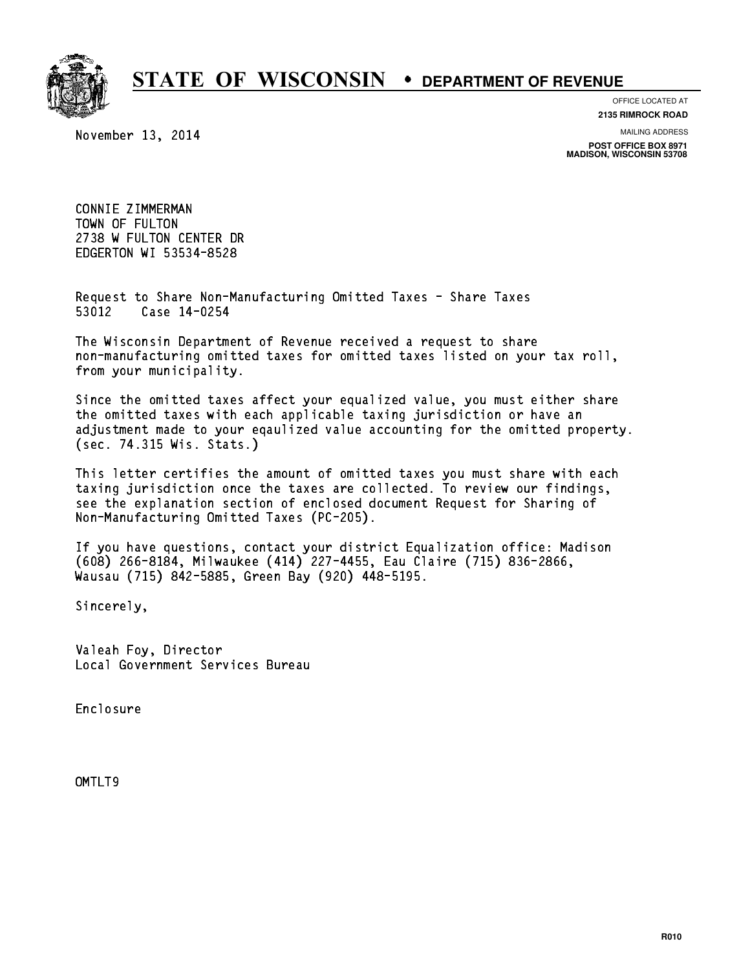

### OFFICE LOCATED AT

November 13, 2014

**2135 RIMROCK ROAD**

MAILING ADDRESS

**POST OFFICE BOX 8971 MADISON, WISCONSIN 53708**

CONNIE ZIMMERMAN CONNIE ZIMMERMAN<br>TOWN OF FULTON<br>TOWN OF FULTON ATU 2738 W FULTON CENTER DR EDGERTON WI 53534-8528

Request to Share Non-Manufacturing Omitted Taxes - Share Taxes Request to Share Non-Man<br>53012 Case 14-0254

The Wisconsin Department of Revenue received a request to share The Wisconsin Department of Revenue received a request to share<br>non-manufacturing omitted taxes for omitted taxes listed on your tax roll, non-manufacturing omitted<br>from your municipality.

Since the omitted taxes affect your equalized value, you must either share the omitted taxes with each applicable taxing jurisdiction or have an adjustment made to your eqaulized value accounting for the omitted property. (sec. 74.315 Wis. Stats.)

This letter certifies the amount of omitted taxes you must share with each taxing jurisdiction once the taxes are collected. To review our findings, see the explanation section of enclosed document Request for Sharing of Non-Manufacturing Omitted Taxes (PC-205).

If you have questions, contact your district Equalization office: Madison If you have questions, contact your district Equalization office: Madis<br>(608) 266-8184, Milwaukee (414) 227-4455, Eau Claire (715) 836-2866,<br>.. (608) 266-8184, Milwaukee (414) 227-4455, Eau Clair<br>Wausau (715) 842-5885, Green Bay (920) 448-5195.

Sincerely,

Valeah Foy, Director Local Government Services Bureau

Enclosure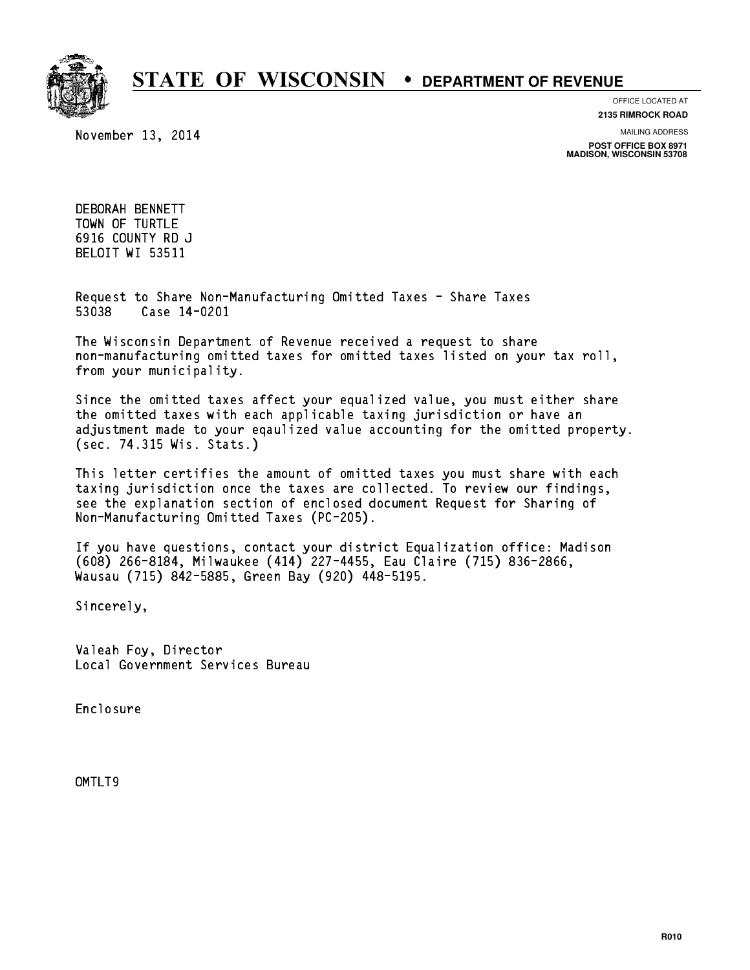

November 13, 2014

OFFICE LOCATED AT

**2135 RIMROCK ROAD**

MAILING ADDRESS **POST OFFICE BOX 8971**

**MADISON, WISCONSIN 53708**

DEBORAH BENNETT TOWN OF TURTLE 6916 COUNTY RD J BELOIT WI 53511

Request to Share Non-Manufacturing Omitted Taxes - Share Taxes Request to Share Non-Man<br>53038 Case 14-0201

The Wisconsin Department of Revenue received a request to share The Wisconsin Department of Revenue received a request to share<br>non-manufacturing omitted taxes for omitted taxes listed on your tax roll, non-manufacturing omitted<br>from your municipality.

Since the omitted taxes affect your equalized value, you must either share the omitted taxes with each applicable taxing jurisdiction or have an adjustment made to your eqaulized value accounting for the omitted property. (sec. 74.315 Wis. Stats.)

This letter certifies the amount of omitted taxes you must share with each taxing jurisdiction once the taxes are collected. To review our findings, see the explanation section of enclosed document Request for Sharing of Non-Manufacturing Omitted Taxes (PC-205).

If you have questions, contact your district Equalization office: Madison If you have questions, contact your district Equalization office: Madis<br>(608) 266-8184, Milwaukee (414) 227-4455, Eau Claire (715) 836-2866,<br>.. (608) 266-8184, Milwaukee (414) 227-4455, Eau Clair<br>Wausau (715) 842-5885, Green Bay (920) 448-5195.

Sincerely,

Valeah Foy, Director Local Government Services Bureau

Enclosure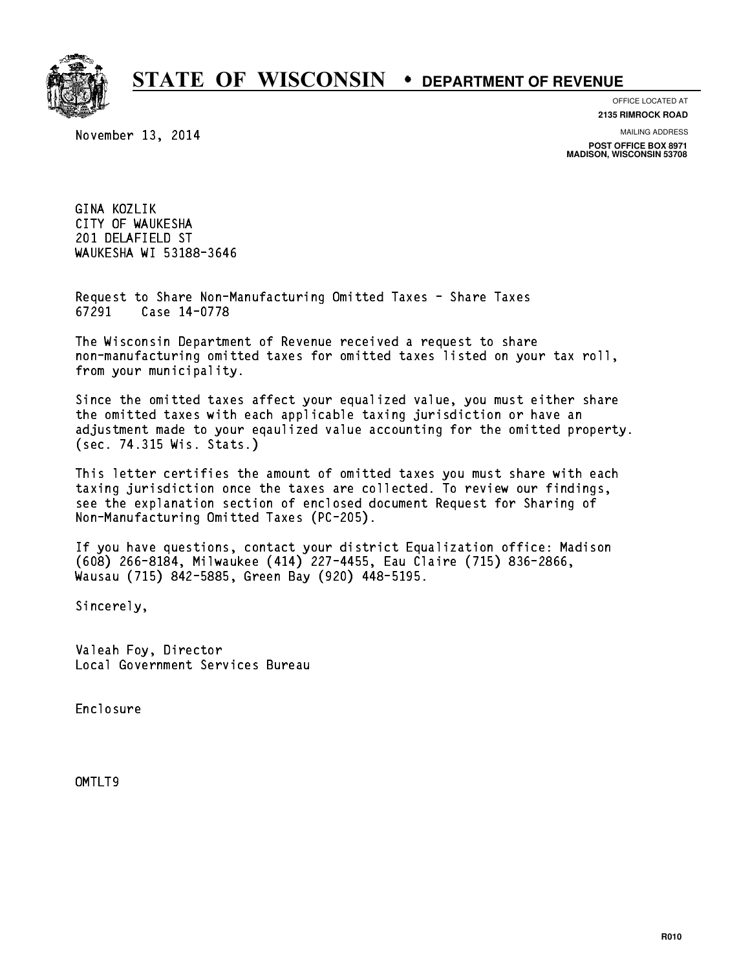

OFFICE LOCATED AT

November 13, 2014

**2135 RIMROCK ROAD**

MAILING ADDRESS

**POST OFFICE BOX 8971 MADISON, WISCONSIN 53708**

GINA KOZLIK CITY OF WAUKESHA 201 DELAFIELD ST WAUKESHA WI 53188-3646

Request to Share Non-Manufacturing Omitted Taxes - Share Taxes Request to Share Non-Man<br>67291 Case 14-0778

The Wisconsin Department of Revenue received a request to share The Wisconsin Department of Revenue received a request to share<br>non-manufacturing omitted taxes for omitted taxes listed on your tax roll, non-manufacturing omitted<br>from your municipality.

Since the omitted taxes affect your equalized value, you must either share the omitted taxes with each applicable taxing jurisdiction or have an adjustment made to your eqaulized value accounting for the omitted property. (sec. 74.315 Wis. Stats.)

This letter certifies the amount of omitted taxes you must share with each taxing jurisdiction once the taxes are collected. To review our findings, see the explanation section of enclosed document Request for Sharing of Non-Manufacturing Omitted Taxes (PC-205).

If you have questions, contact your district Equalization office: Madison If you have questions, contact your district Equalization office: Madis<br>(608) 266-8184, Milwaukee (414) 227-4455, Eau Claire (715) 836-2866,<br>.. (608) 266-8184, Milwaukee (414) 227-4455, Eau Clair<br>Wausau (715) 842-5885, Green Bay (920) 448-5195.

Sincerely,

Valeah Foy, Director Local Government Services Bureau

Enclosure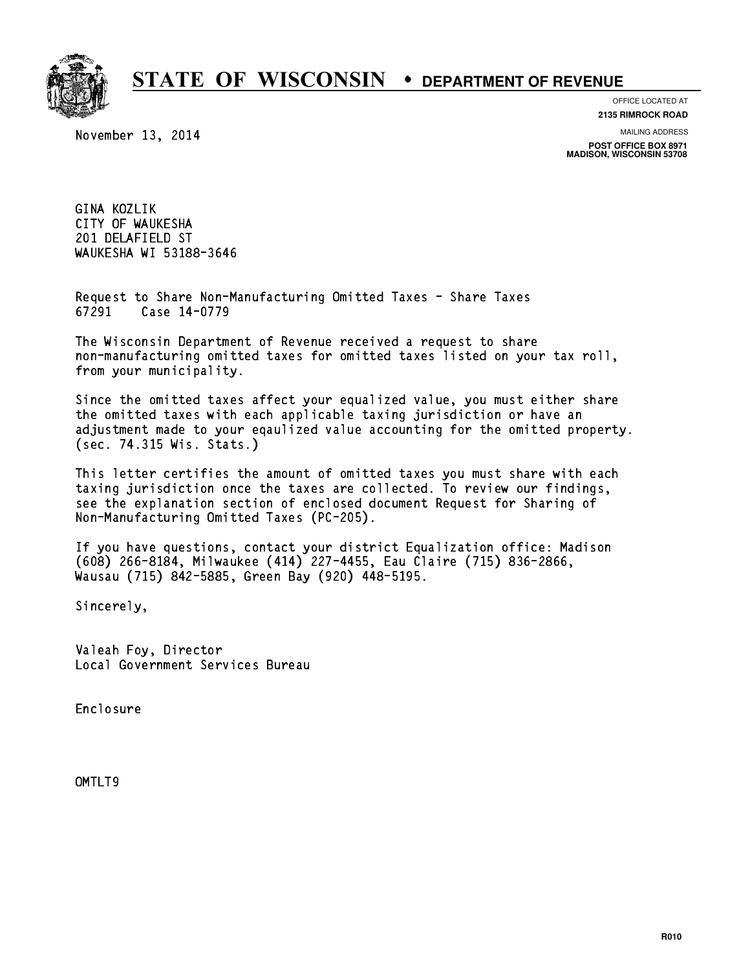

OFFICE LOCATED AT

November 13, 2014

**2135 RIMROCK ROAD**

MAILING ADDRESS

**POST OFFICE BOX 8971 MADISON, WISCONSIN 53708**

GINA KOZLIK CITY OF WAUKESHA 201 DELAFIELD ST WAUKESHA WI 53188-3646

Request to Share Non-Manufacturing Omitted Taxes - Share Taxes Request to Share Non-Man<br>67291 Case 14-0779

The Wisconsin Department of Revenue received a request to share The Wisconsin Department of Revenue received a request to share<br>non-manufacturing omitted taxes for omitted taxes listed on your tax roll, non-manufacturing omitted<br>from your municipality.

Since the omitted taxes affect your equalized value, you must either share the omitted taxes with each applicable taxing jurisdiction or have an adjustment made to your eqaulized value accounting for the omitted property. (sec. 74.315 Wis. Stats.)

This letter certifies the amount of omitted taxes you must share with each taxing jurisdiction once the taxes are collected. To review our findings, see the explanation section of enclosed document Request for Sharing of Non-Manufacturing Omitted Taxes (PC-205).

If you have questions, contact your district Equalization office: Madison If you have questions, contact your district Equalization office: Madis<br>(608) 266-8184, Milwaukee (414) 227-4455, Eau Claire (715) 836-2866,<br>.. (608) 266-8184, Milwaukee (414) 227-4455, Eau Clair<br>Wausau (715) 842-5885, Green Bay (920) 448-5195.

Sincerely,

Valeah Foy, Director Local Government Services Bureau

Enclosure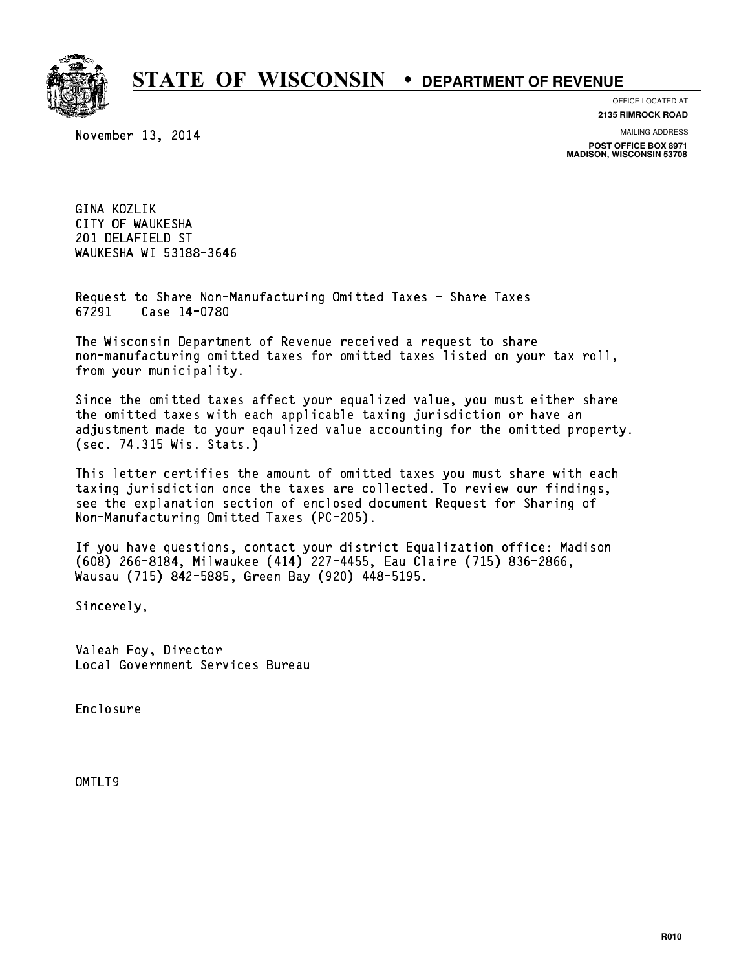

OFFICE LOCATED AT

November 13, 2014

**2135 RIMROCK ROAD**

MAILING ADDRESS

**POST OFFICE BOX 8971 MADISON, WISCONSIN 53708**

GINA KOZLIK CITY OF WAUKESHA 201 DELAFIELD ST WAUKESHA WI 53188-3646

Request to Share Non-Manufacturing Omitted Taxes - Share Taxes Request to Share Non-Man<br>67291 Case 14-0780

The Wisconsin Department of Revenue received a request to share The Wisconsin Department of Revenue received a request to share<br>non-manufacturing omitted taxes for omitted taxes listed on your tax roll, non-manufacturing omitted<br>from your municipality.

Since the omitted taxes affect your equalized value, you must either share the omitted taxes with each applicable taxing jurisdiction or have an adjustment made to your eqaulized value accounting for the omitted property. (sec. 74.315 Wis. Stats.)

This letter certifies the amount of omitted taxes you must share with each taxing jurisdiction once the taxes are collected. To review our findings, see the explanation section of enclosed document Request for Sharing of Non-Manufacturing Omitted Taxes (PC-205).

If you have questions, contact your district Equalization office: Madison If you have questions, contact your district Equalization office: Madis<br>(608) 266-8184, Milwaukee (414) 227-4455, Eau Claire (715) 836-2866,<br>.. (608) 266-8184, Milwaukee (414) 227-4455, Eau Clair<br>Wausau (715) 842-5885, Green Bay (920) 448-5195.

Sincerely,

Valeah Foy, Director Local Government Services Bureau

Enclosure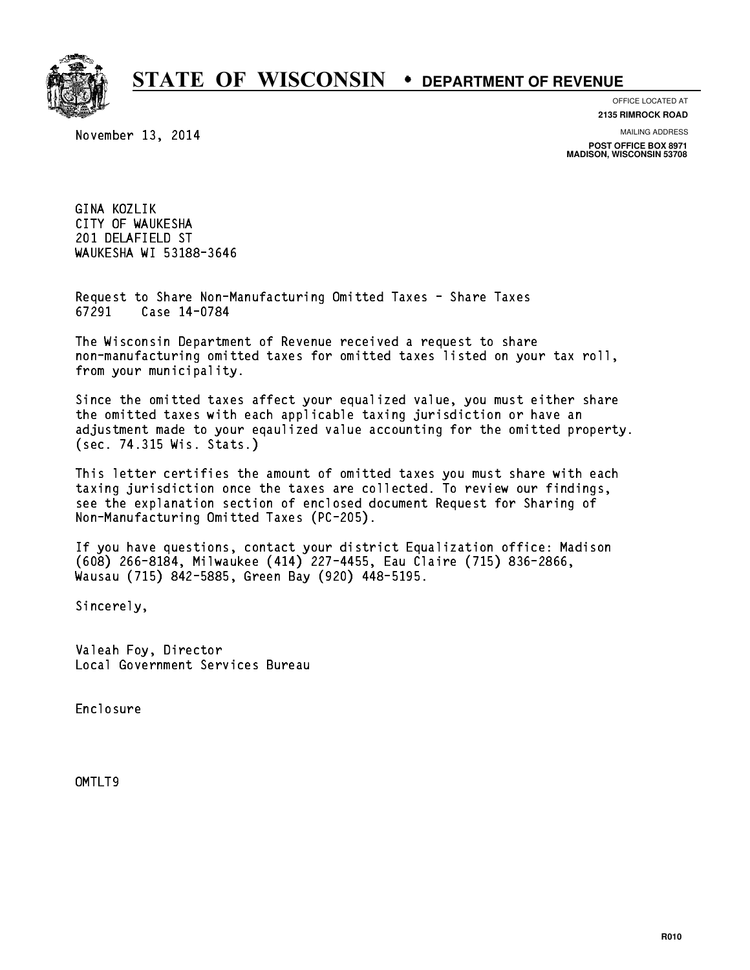

OFFICE LOCATED AT

November 13, 2014

**2135 RIMROCK ROAD**

MAILING ADDRESS

**POST OFFICE BOX 8971 MADISON, WISCONSIN 53708**

GINA KOZLIK CITY OF WAUKESHA 201 DELAFIELD ST WAUKESHA WI 53188-3646

Request to Share Non-Manufacturing Omitted Taxes - Share Taxes Request to Share Non-Man<br>67291 Case 14-0784

The Wisconsin Department of Revenue received a request to share The Wisconsin Department of Revenue received a request to share<br>non-manufacturing omitted taxes for omitted taxes listed on your tax roll, non-manufacturing omitted<br>from your municipality.

Since the omitted taxes affect your equalized value, you must either share the omitted taxes with each applicable taxing jurisdiction or have an adjustment made to your eqaulized value accounting for the omitted property. (sec. 74.315 Wis. Stats.)

This letter certifies the amount of omitted taxes you must share with each taxing jurisdiction once the taxes are collected. To review our findings, see the explanation section of enclosed document Request for Sharing of Non-Manufacturing Omitted Taxes (PC-205).

If you have questions, contact your district Equalization office: Madison If you have questions, contact your district Equalization office: Madis<br>(608) 266-8184, Milwaukee (414) 227-4455, Eau Claire (715) 836-2866,<br>.. (608) 266-8184, Milwaukee (414) 227-4455, Eau Clair<br>Wausau (715) 842-5885, Green Bay (920) 448-5195.

Sincerely,

Valeah Foy, Director Local Government Services Bureau

Enclosure